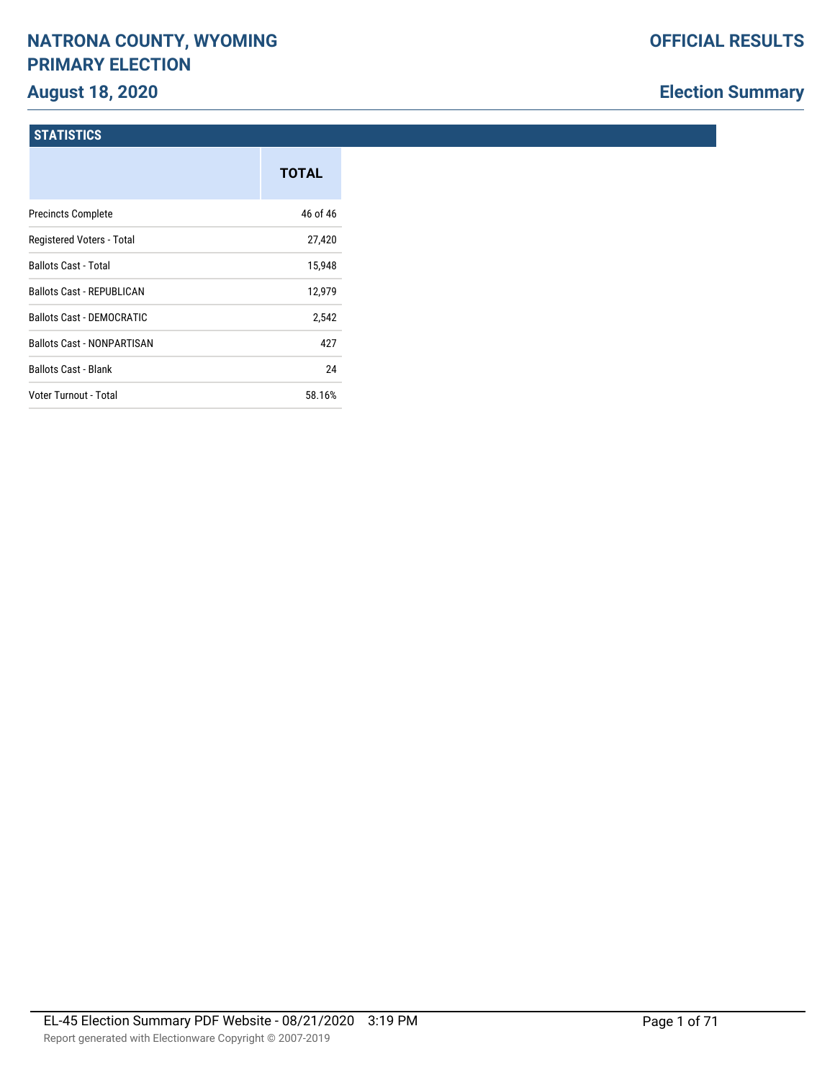# **NATRONA COUNTY, WYOMING PRIMARY ELECTION**

# **August 18, 2020**

# **Election Summary**

#### **STATISTICS**

|                                   | <b>TOTAL</b> |
|-----------------------------------|--------------|
| <b>Precincts Complete</b>         | 46 of 46     |
| Registered Voters - Total         | 27,420       |
| <b>Ballots Cast - Total</b>       | 15,948       |
| <b>Ballots Cast - REPUBLICAN</b>  | 12,979       |
| Ballots Cast - DEMOCRATIC         | 2,542        |
| <b>Ballots Cast - NONPARTISAN</b> | 427          |
| <b>Ballots Cast - Blank</b>       | 24           |
| Voter Turnout - Total             | 58.16%       |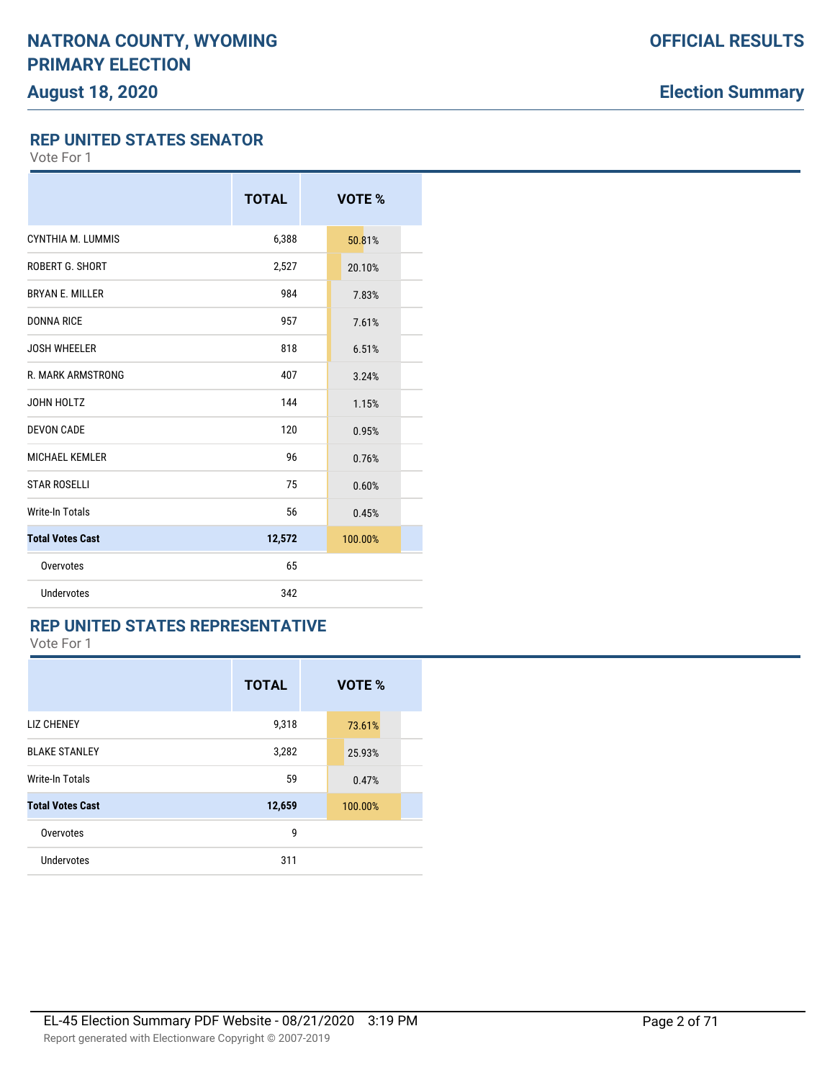# **Election Summary**

**REP UNITED STATES SENATOR**

Vote For 1

|                         | <b>TOTAL</b> | VOTE %  |
|-------------------------|--------------|---------|
| CYNTHIA M. LUMMIS       | 6,388        | 50.81%  |
| ROBERT G. SHORT         | 2,527        | 20.10%  |
| <b>BRYAN E. MILLER</b>  | 984          | 7.83%   |
| <b>DONNA RICE</b>       | 957          | 7.61%   |
| <b>JOSH WHEELER</b>     | 818          | 6.51%   |
| R. MARK ARMSTRONG       | 407          | 3.24%   |
| JOHN HOLTZ              | 144          | 1.15%   |
| <b>DEVON CADE</b>       | 120          | 0.95%   |
| <b>MICHAEL KEMLER</b>   | 96           | 0.76%   |
| <b>STAR ROSELLI</b>     | 75           | 0.60%   |
| <b>Write-In Totals</b>  | 56           | 0.45%   |
| <b>Total Votes Cast</b> | 12,572       | 100.00% |
| Overvotes               | 65           |         |
| <b>Undervotes</b>       | 342          |         |

### **REP UNITED STATES REPRESENTATIVE**

|                         | <b>TOTAL</b> | VOTE %  |  |
|-------------------------|--------------|---------|--|
| <b>LIZ CHENEY</b>       | 9,318        | 73.61%  |  |
| <b>BLAKE STANLEY</b>    | 3,282        | 25.93%  |  |
| <b>Write-In Totals</b>  | 59           | 0.47%   |  |
| <b>Total Votes Cast</b> | 12,659       | 100.00% |  |
| Overvotes               | 9            |         |  |
| Undervotes              | 311          |         |  |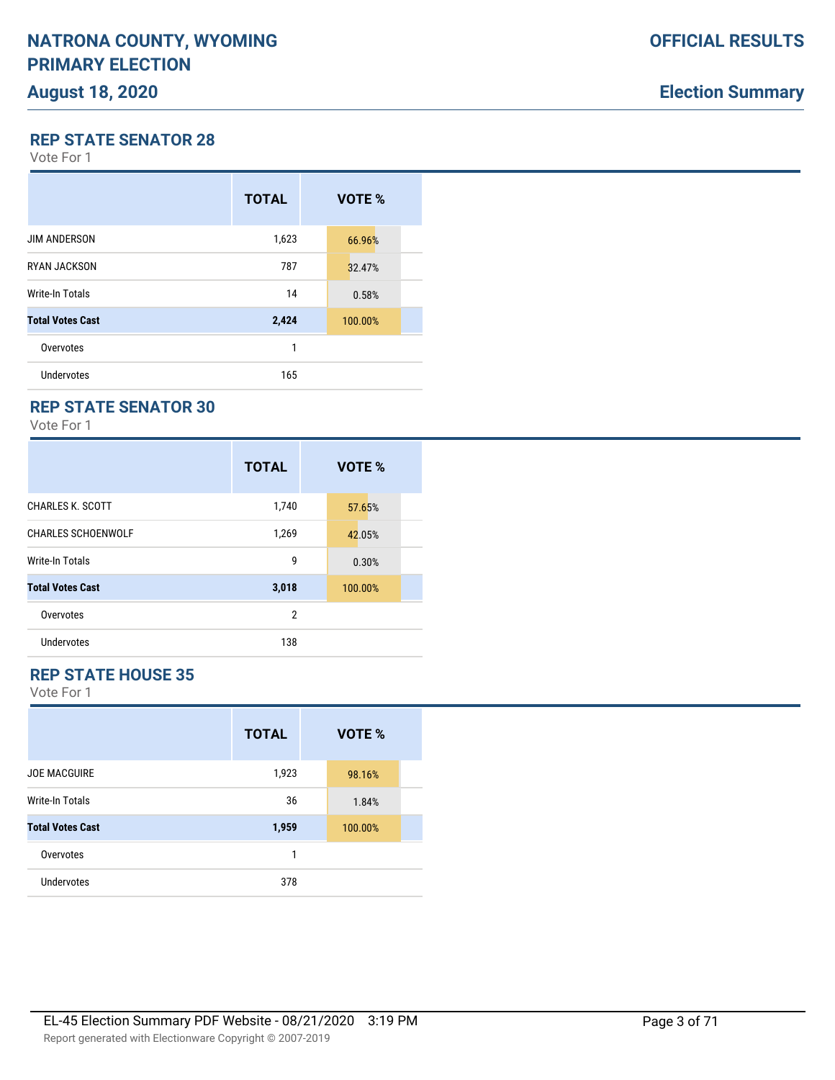# **Election Summary**

**REP STATE SENATOR 28**

Vote For 1

|                         | <b>TOTAL</b> | VOTE %  |
|-------------------------|--------------|---------|
| <b>JIM ANDERSON</b>     | 1,623        | 66.96%  |
| <b>RYAN JACKSON</b>     | 787          | 32.47%  |
| Write-In Totals         | 14           | 0.58%   |
| <b>Total Votes Cast</b> | 2,424        | 100.00% |
| Overvotes               | 1            |         |
| Undervotes              | 165          |         |

### **REP STATE SENATOR 30**

Vote For 1

|                           | <b>TOTAL</b>   | VOTE %  |
|---------------------------|----------------|---------|
| <b>CHARLES K. SCOTT</b>   | 1,740          | 57.65%  |
| <b>CHARLES SCHOENWOLF</b> | 1,269          | 42.05%  |
| <b>Write-In Totals</b>    | 9              | 0.30%   |
| <b>Total Votes Cast</b>   | 3,018          | 100.00% |
| Overvotes                 | $\overline{2}$ |         |
| Undervotes                | 138            |         |

### **REP STATE HOUSE 35**

|                         | <b>TOTAL</b> | VOTE %  |
|-------------------------|--------------|---------|
| <b>JOE MACGUIRE</b>     | 1,923        | 98.16%  |
| <b>Write-In Totals</b>  | 36           | 1.84%   |
| <b>Total Votes Cast</b> | 1,959        | 100.00% |
| Overvotes               | 1            |         |
| Undervotes              | 378          |         |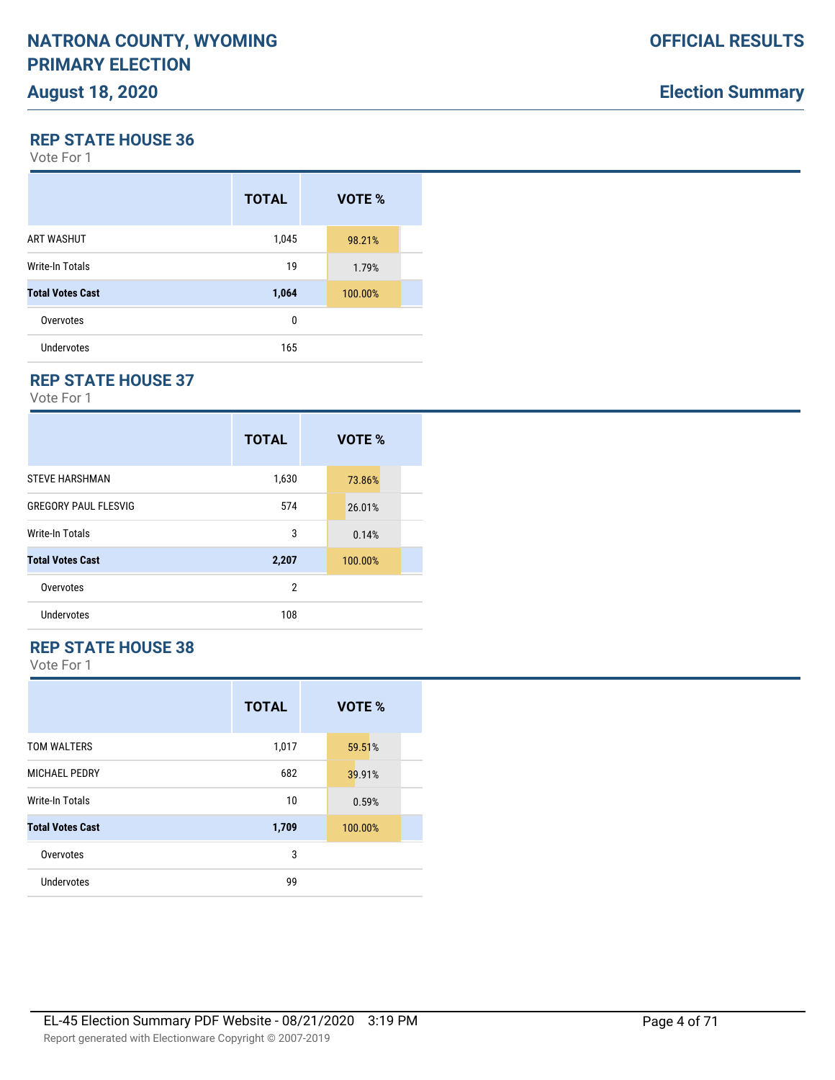**REP STATE HOUSE 36**

Vote For 1

|                         | <b>TOTAL</b> | VOTE %  |  |
|-------------------------|--------------|---------|--|
| ART WASHUT              | 1,045        | 98.21%  |  |
| <b>Write-In Totals</b>  | 19           | 1.79%   |  |
| <b>Total Votes Cast</b> | 1,064        | 100.00% |  |
| Overvotes               | 0            |         |  |
| <b>Undervotes</b>       | 165          |         |  |

### **REP STATE HOUSE 37**

Vote For 1

|                             | <b>TOTAL</b>   | VOTE %  |
|-----------------------------|----------------|---------|
| <b>STEVE HARSHMAN</b>       | 1,630          | 73.86%  |
| <b>GREGORY PAUL FLESVIG</b> | 574            | 26.01%  |
| Write-In Totals             | 3              | 0.14%   |
| <b>Total Votes Cast</b>     | 2,207          | 100.00% |
| Overvotes                   | $\overline{2}$ |         |
| Undervotes                  | 108            |         |

# **REP STATE HOUSE 38**

|                         | <b>TOTAL</b> | VOTE %  |
|-------------------------|--------------|---------|
| TOM WALTERS             | 1,017        | 59.51%  |
| <b>MICHAEL PEDRY</b>    | 682          | 39.91%  |
| <b>Write-In Totals</b>  | 10           | 0.59%   |
| <b>Total Votes Cast</b> | 1,709        | 100.00% |
| Overvotes               | 3            |         |
| <b>Undervotes</b>       | 99           |         |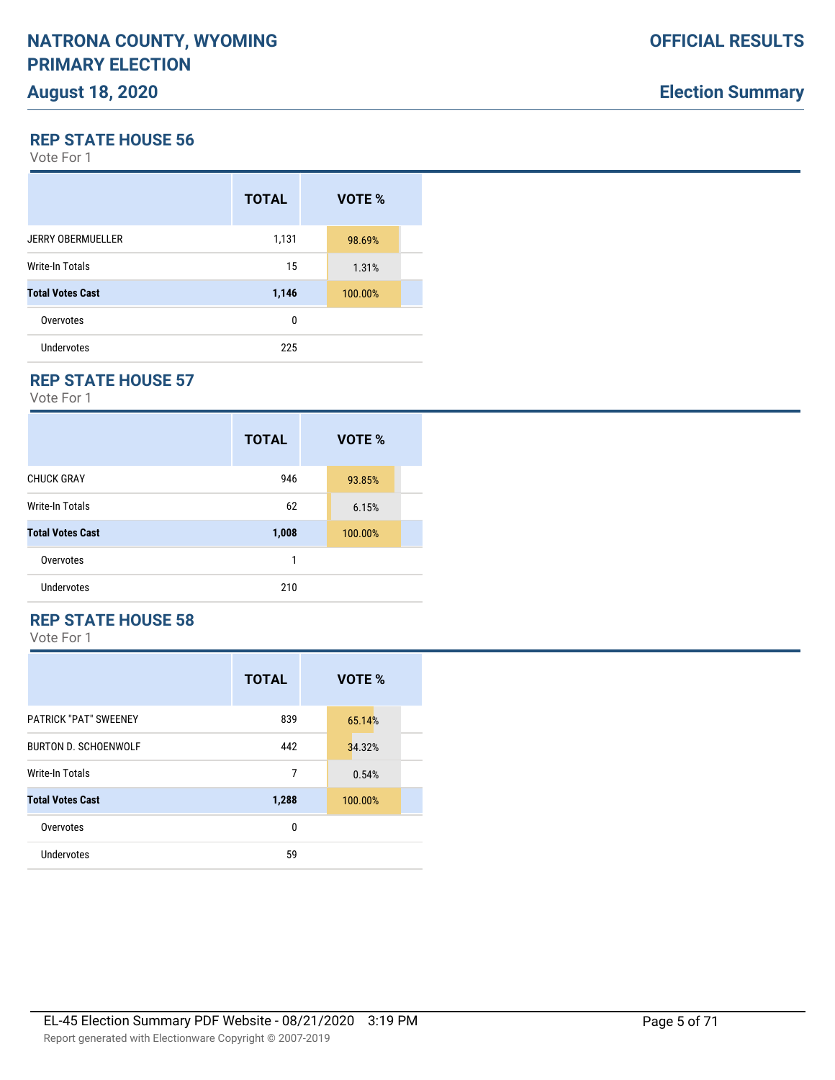**REP STATE HOUSE 56**

Vote For 1

|                          | <b>TOTAL</b> | VOTE %  |  |
|--------------------------|--------------|---------|--|
| <b>JERRY OBERMUELLER</b> | 1,131        | 98.69%  |  |
| Write-In Totals          | 15           | 1.31%   |  |
| <b>Total Votes Cast</b>  | 1,146        | 100.00% |  |
| Overvotes                | 0            |         |  |
| Undervotes               | 225          |         |  |

### **REP STATE HOUSE 57**

Vote For 1

|                         | <b>TOTAL</b> | VOTE %  |
|-------------------------|--------------|---------|
| <b>CHUCK GRAY</b>       | 946          | 93.85%  |
| <b>Write-In Totals</b>  | 62           | 6.15%   |
| <b>Total Votes Cast</b> | 1,008        | 100.00% |
| Overvotes               | 1            |         |
| Undervotes              | 210          |         |

### **REP STATE HOUSE 58**

|                              | <b>TOTAL</b> | VOTE %  |
|------------------------------|--------------|---------|
| <b>PATRICK "PAT" SWEENEY</b> | 839          | 65.14%  |
| <b>BURTON D. SCHOENWOLF</b>  | 442          | 34.32%  |
| <b>Write-In Totals</b>       | 7            | 0.54%   |
| <b>Total Votes Cast</b>      | 1,288        | 100.00% |
| Overvotes                    | 0            |         |
| Undervotes                   | 59           |         |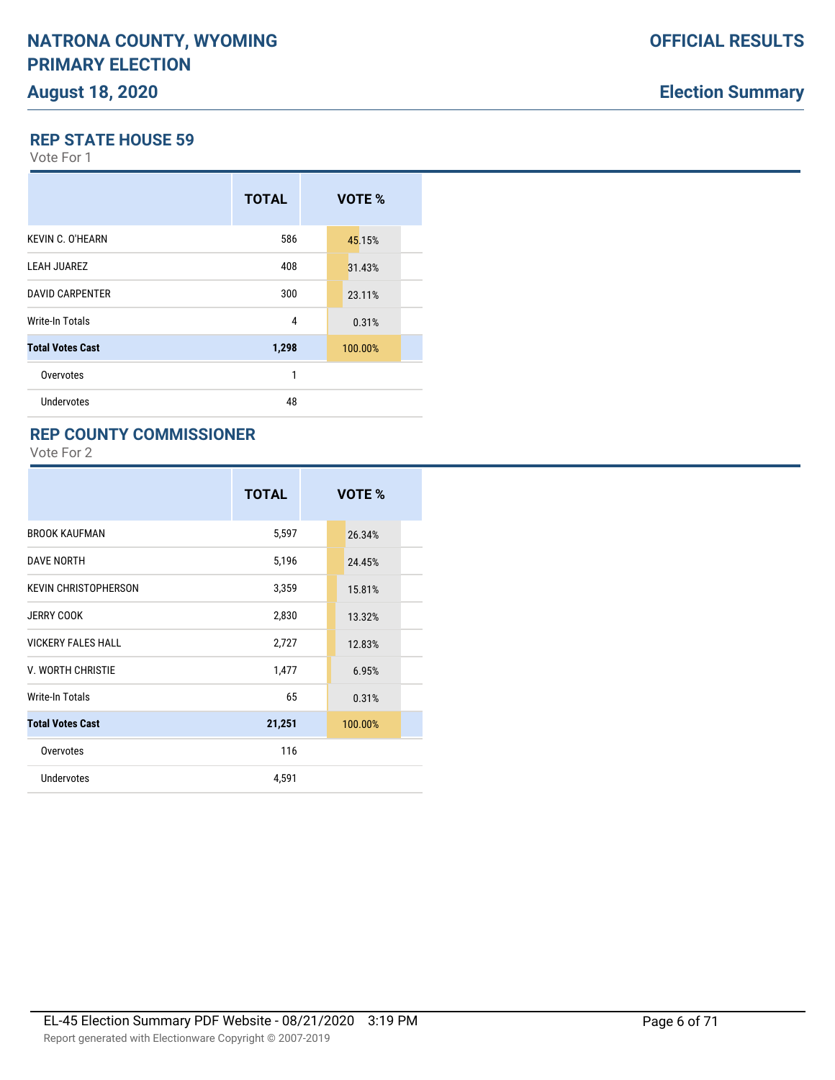# **Election Summary**

#### **REP STATE HOUSE 59**

Vote For 1

|                         | <b>TOTAL</b> | <b>VOTE %</b> |  |
|-------------------------|--------------|---------------|--|
| <b>KEVIN C. O'HEARN</b> | 586          | 45.15%        |  |
| <b>LEAH JUAREZ</b>      | 408          | 31.43%        |  |
| <b>DAVID CARPENTER</b>  | 300          | 23.11%        |  |
| Write-In Totals         | 4            | 0.31%         |  |
| <b>Total Votes Cast</b> | 1,298        | 100.00%       |  |
| Overvotes               | 1            |               |  |
| Undervotes              | 48           |               |  |

### **REP COUNTY COMMISSIONER**

|                             | <b>TOTAL</b> | VOTE %  |
|-----------------------------|--------------|---------|
| <b>BROOK KAUFMAN</b>        | 5,597        | 26.34%  |
| <b>DAVE NORTH</b>           | 5,196        | 24.45%  |
| <b>KEVIN CHRISTOPHERSON</b> | 3,359        | 15.81%  |
| <b>JERRY COOK</b>           | 2,830        | 13.32%  |
| <b>VICKERY FALES HALL</b>   | 2,727        | 12.83%  |
| V. WORTH CHRISTIE           | 1,477        | 6.95%   |
| Write-In Totals             | 65           | 0.31%   |
| <b>Total Votes Cast</b>     | 21,251       | 100.00% |
| Overvotes                   | 116          |         |
| Undervotes                  | 4,591        |         |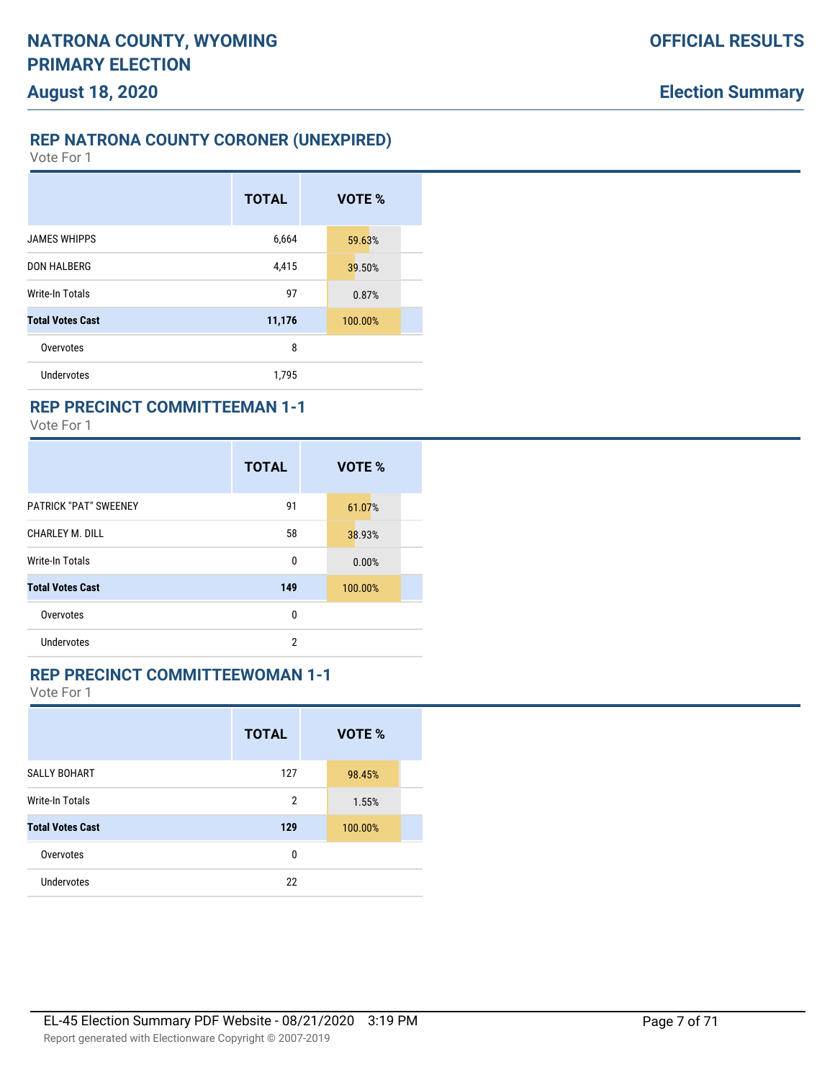## **REP NATRONA COUNTY CORONER (UNEXPIRED)**

Vote For 1

|                         | <b>TOTAL</b> | VOTE %  |
|-------------------------|--------------|---------|
| <b>JAMES WHIPPS</b>     | 6,664        | 59.63%  |
| <b>DON HALBERG</b>      | 4,415        | 39.50%  |
| Write-In Totals         | 97           | 0.87%   |
| <b>Total Votes Cast</b> | 11,176       | 100.00% |
| Overvotes               | 8            |         |
| Undervotes              | 1,795        |         |

### **REP PRECINCT COMMITTEEMAN 1-1**

Vote For 1

|                              | <b>TOTAL</b> | VOTE %  |
|------------------------------|--------------|---------|
| <b>PATRICK "PAT" SWEENEY</b> | 91           | 61.07%  |
| CHARLEY M. DILL              | 58           | 38.93%  |
| <b>Write-In Totals</b>       | 0            | 0.00%   |
| <b>Total Votes Cast</b>      | 149          | 100.00% |
| Overvotes                    | 0            |         |
| Undervotes                   | 2            |         |

### **REP PRECINCT COMMITTEEWOMAN 1-1**

|                         | <b>TOTAL</b>   | VOTE %  |  |
|-------------------------|----------------|---------|--|
| <b>SALLY BOHART</b>     | 127            | 98.45%  |  |
| <b>Write-In Totals</b>  | $\overline{2}$ | 1.55%   |  |
| <b>Total Votes Cast</b> | 129            | 100.00% |  |
| Overvotes               | 0              |         |  |
| <b>Undervotes</b>       | 22             |         |  |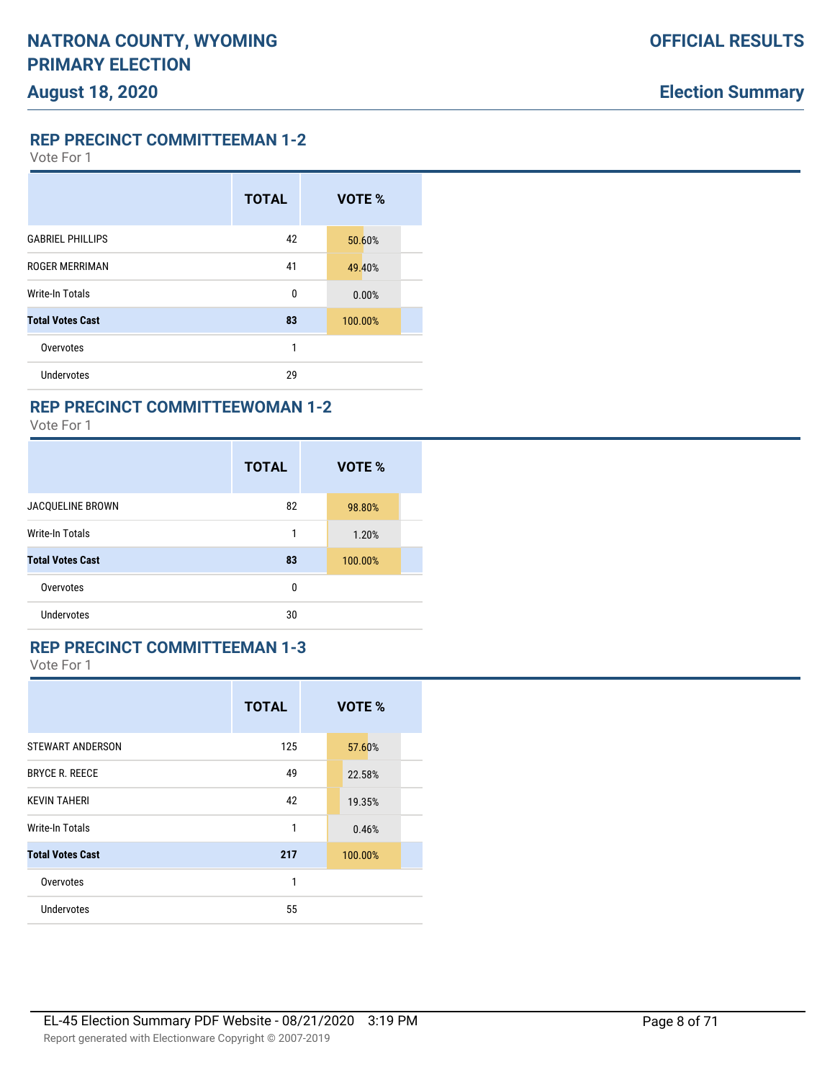Vote For 1

|                         | <b>TOTAL</b> | VOTE %  |
|-------------------------|--------------|---------|
| <b>GABRIEL PHILLIPS</b> | 42           | 50.60%  |
| <b>ROGER MERRIMAN</b>   | 41           | 49.40%  |
| Write-In Totals         | 0            | 0.00%   |
| <b>Total Votes Cast</b> | 83           | 100.00% |
| Overvotes               | 1            |         |
| Undervotes              | 29           |         |

# **REP PRECINCT COMMITTEEWOMAN 1-2**

Vote For 1

|                         | <b>TOTAL</b> | VOTE %  |  |
|-------------------------|--------------|---------|--|
| JACQUELINE BROWN        | 82           | 98.80%  |  |
| <b>Write-In Totals</b>  | 1            | 1.20%   |  |
| <b>Total Votes Cast</b> | 83           | 100.00% |  |
| Overvotes               | 0            |         |  |
| <b>Undervotes</b>       | 30           |         |  |

## **REP PRECINCT COMMITTEEMAN 1-3**

|                         | <b>TOTAL</b> | VOTE %  |  |
|-------------------------|--------------|---------|--|
| <b>STEWART ANDERSON</b> | 125          | 57.60%  |  |
| <b>BRYCE R. REECE</b>   | 49           | 22.58%  |  |
| <b>KEVIN TAHERI</b>     | 42           | 19.35%  |  |
| Write-In Totals         | 1            | 0.46%   |  |
| <b>Total Votes Cast</b> | 217          | 100.00% |  |
| Overvotes               | 1            |         |  |
| <b>Undervotes</b>       | 55           |         |  |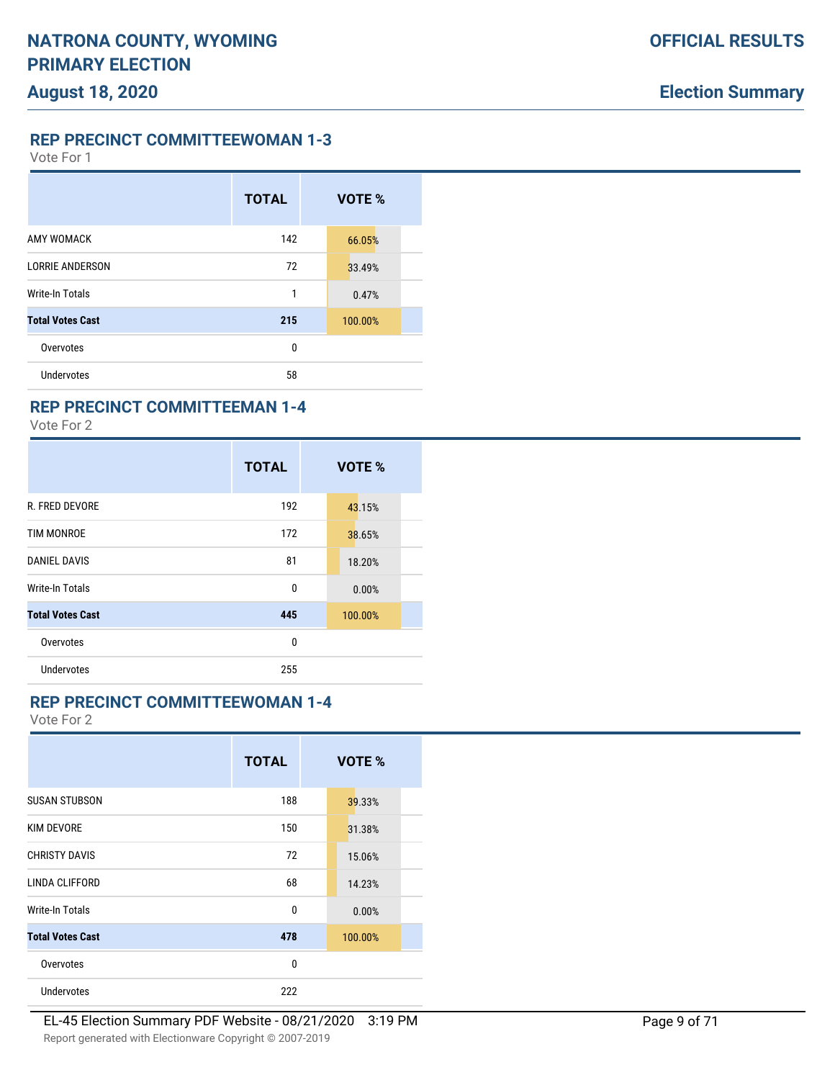**REP PRECINCT COMMITTEEWOMAN 1-3**

Vote For 1

|                         | <b>TOTAL</b> | VOTE %  |  |
|-------------------------|--------------|---------|--|
| AMY WOMACK              | 142          | 66.05%  |  |
| <b>LORRIE ANDERSON</b>  | 72           | 33.49%  |  |
| Write-In Totals         | 1            | 0.47%   |  |
| <b>Total Votes Cast</b> | 215          | 100.00% |  |
| Overvotes               | 0            |         |  |
| Undervotes              | 58           |         |  |

### **REP PRECINCT COMMITTEEMAN 1-4**

Vote For 2

|                         | <b>TOTAL</b> | VOTE %  |
|-------------------------|--------------|---------|
| <b>R. FRED DEVORE</b>   | 192          | 43.15%  |
| <b>TIM MONROE</b>       | 172          | 38.65%  |
| <b>DANIEL DAVIS</b>     | 81           | 18.20%  |
| Write-In Totals         | 0            | 0.00%   |
| <b>Total Votes Cast</b> | 445          | 100.00% |
| Overvotes               | 0            |         |
| <b>Undervotes</b>       | 255          |         |

### **REP PRECINCT COMMITTEEWOMAN 1-4**

|                         | <b>TOTAL</b> | VOTE %  |  |
|-------------------------|--------------|---------|--|
| <b>SUSAN STUBSON</b>    | 188          | 39.33%  |  |
| <b>KIM DEVORE</b>       | 150          | 31.38%  |  |
| <b>CHRISTY DAVIS</b>    | 72           | 15.06%  |  |
| LINDA CLIFFORD          | 68           | 14.23%  |  |
| Write-In Totals         | 0            | 0.00%   |  |
| <b>Total Votes Cast</b> | 478          | 100.00% |  |
| Overvotes               | 0            |         |  |
| Undervotes              | 222          |         |  |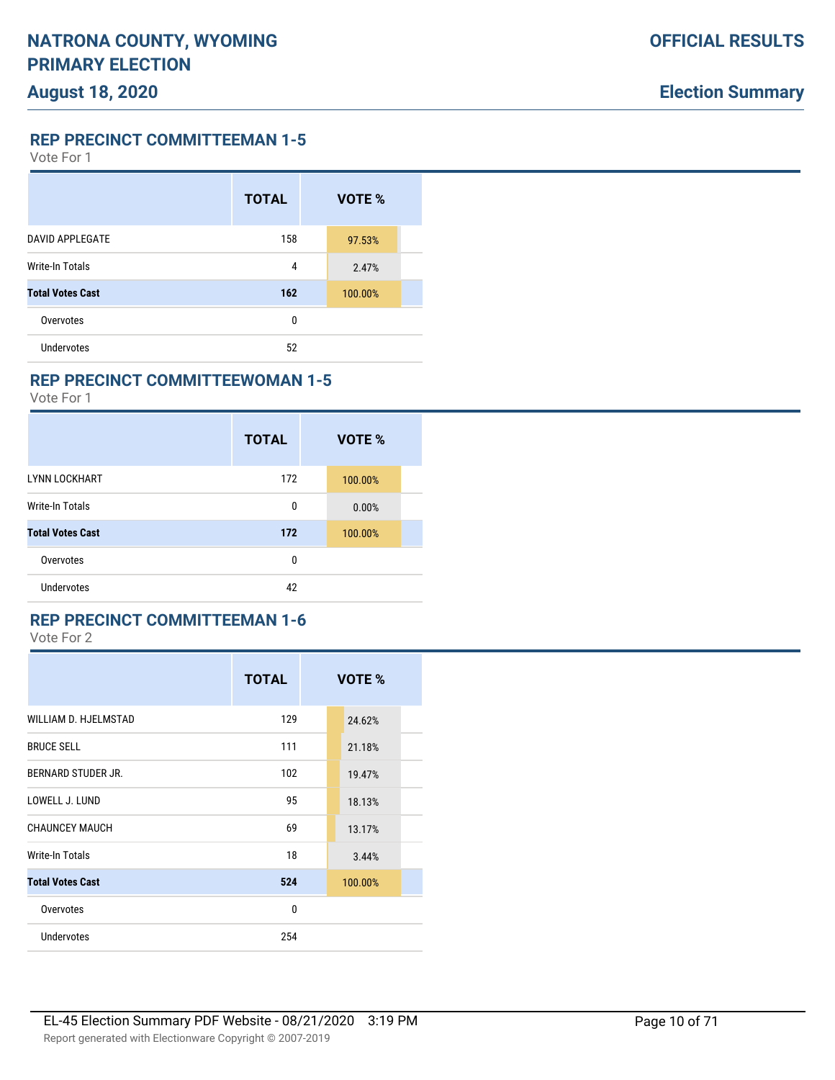Vote For 1

|                         | <b>TOTAL</b> | VOTE %  |  |
|-------------------------|--------------|---------|--|
| <b>DAVID APPLEGATE</b>  | 158          | 97.53%  |  |
| <b>Write-In Totals</b>  | 4            | 2.47%   |  |
| <b>Total Votes Cast</b> | 162          | 100.00% |  |
| Overvotes               | $\mathbf{0}$ |         |  |
| <b>Undervotes</b>       | 52           |         |  |

### **REP PRECINCT COMMITTEEWOMAN 1-5**

Vote For 1

|                         | <b>TOTAL</b> | VOTE %  |
|-------------------------|--------------|---------|
| <b>LYNN LOCKHART</b>    | 172          | 100.00% |
| Write-In Totals         | 0            | 0.00%   |
| <b>Total Votes Cast</b> | 172          | 100.00% |
| Overvotes               | 0            |         |
| Undervotes              | 42           |         |

#### **REP PRECINCT COMMITTEEMAN 1-6**

|                         | <b>TOTAL</b> | VOTE %  |  |
|-------------------------|--------------|---------|--|
| WILLIAM D. HJELMSTAD    | 129          | 24.62%  |  |
| <b>BRUCE SELL</b>       | 111          | 21.18%  |  |
| BERNARD STUDER JR.      | 102          | 19.47%  |  |
| LOWELL J. LUND          | 95           | 18.13%  |  |
| <b>CHAUNCEY MAUCH</b>   | 69           | 13.17%  |  |
| Write-In Totals         | 18           | 3.44%   |  |
| <b>Total Votes Cast</b> | 524          | 100.00% |  |
| Overvotes               | $\Omega$     |         |  |
| <b>Undervotes</b>       | 254          |         |  |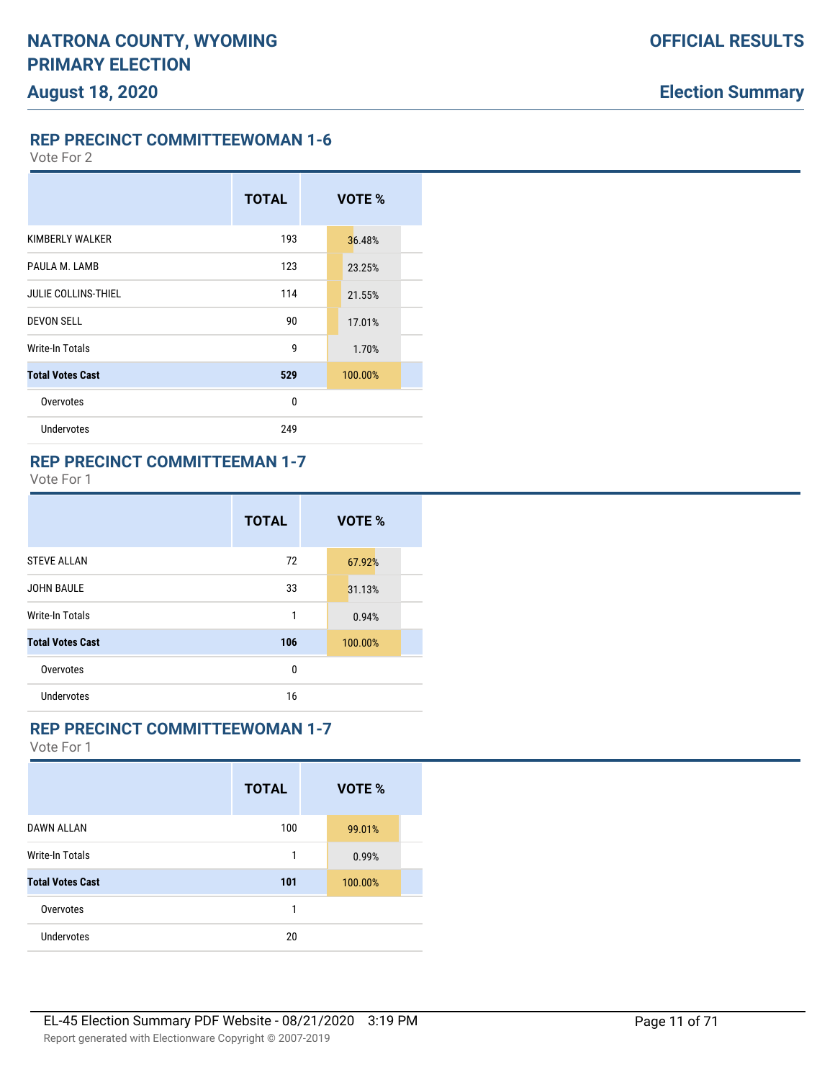**REP PRECINCT COMMITTEEWOMAN 1-6**

Vote For 2

# **TOTAL VOTE %** KIMBERLY WALKER 193 36.48% PAULA M. LAMB 123 23.25% JULIE COLLINS-THIEL **114** 21.55% **DEVON SELL 17.01%** 17.01% Write-In Totals 1.70% **Total Votes Cast 529** 100.00% Overvotes and the contract of the contract of the contract of the contract of the contract of the contract of the contract of the contract of the contract of the contract of the contract of the contract of the contract of Undervotes 249

### **REP PRECINCT COMMITTEEMAN 1-7**

Vote For 1

|                         | <b>TOTAL</b> | VOTE %  |
|-------------------------|--------------|---------|
| <b>STEVE ALLAN</b>      | 72           | 67.92%  |
| <b>JOHN BAULE</b>       | 33           | 31.13%  |
| <b>Write-In Totals</b>  | 1            | 0.94%   |
| <b>Total Votes Cast</b> | 106          | 100.00% |
| Overvotes               | 0            |         |
| Undervotes              | 16           |         |

### **REP PRECINCT COMMITTEEWOMAN 1-7**

|                         | <b>TOTAL</b> | VOTE %  |  |
|-------------------------|--------------|---------|--|
| <b>DAWN ALLAN</b>       | 100          | 99.01%  |  |
| <b>Write-In Totals</b>  | 1            | 0.99%   |  |
| <b>Total Votes Cast</b> | 101          | 100.00% |  |
| Overvotes               | 1            |         |  |
| Undervotes              | 20           |         |  |
|                         |              |         |  |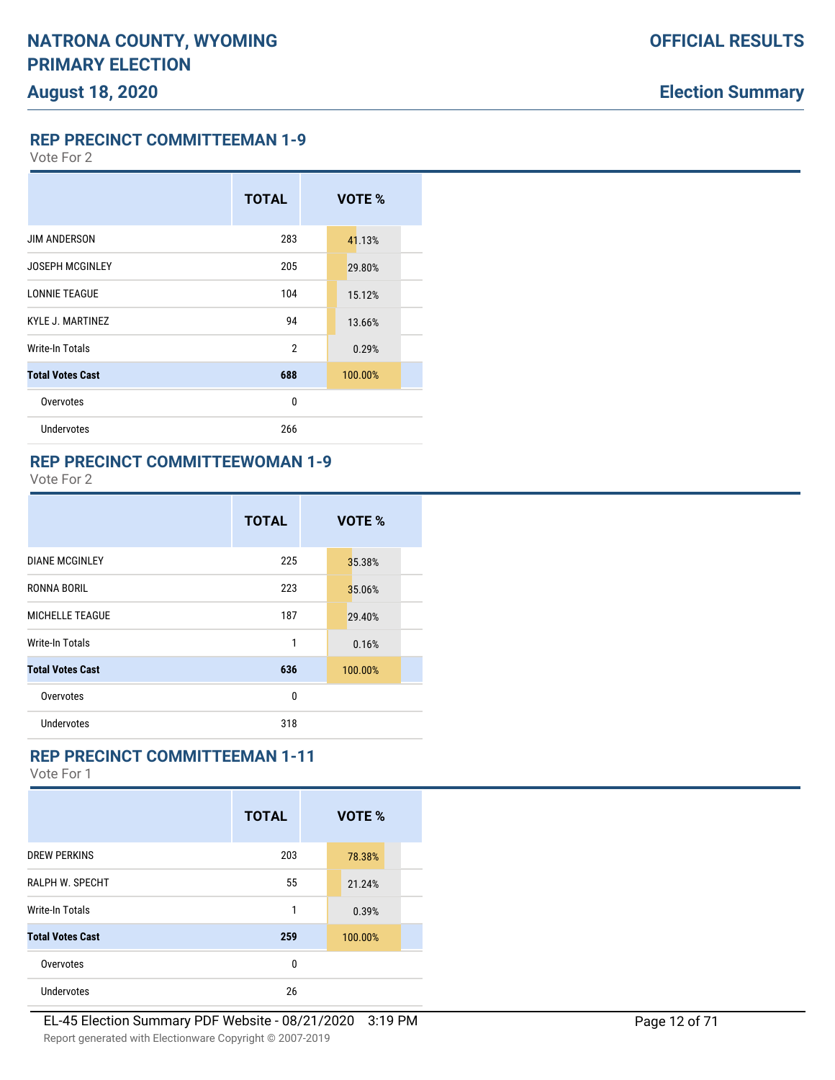**REP PRECINCT COMMITTEEMAN 1-9**

Vote For 2

# **TOTAL VOTE %** JIM ANDERSON 283 41.13% JOSEPH MCGINLEY 205 205 29.80% LONNIE TEAGUE 15.12% KYLE J. MARTINEZ 84 13.66% Write-In Totals 2 0.29% **Total Votes Cast 688** 100.00% Overvotes and the contract of the contract of the contract of the contract of the contract of the contract of the contract of the contract of the contract of the contract of the contract of the contract of the contract of Undervotes 266

#### **REP PRECINCT COMMITTEEWOMAN 1-9**

Vote For 2

|                         | <b>TOTAL</b> | VOTE %  |
|-------------------------|--------------|---------|
| <b>DIANE MCGINLEY</b>   | 225          | 35.38%  |
| RONNA BORIL             | 223          | 35.06%  |
| <b>MICHELLE TEAGUE</b>  | 187          | 29.40%  |
| Write-In Totals         | 1            | 0.16%   |
| <b>Total Votes Cast</b> | 636          | 100.00% |
| Overvotes               | 0            |         |
| Undervotes              | 318          |         |

### **REP PRECINCT COMMITTEEMAN 1-11**

|                         | <b>TOTAL</b> | VOTE %  |
|-------------------------|--------------|---------|
| <b>DREW PERKINS</b>     | 203          | 78.38%  |
| <b>RALPH W. SPECHT</b>  | 55           | 21.24%  |
| Write-In Totals         | 1            | 0.39%   |
| <b>Total Votes Cast</b> | 259          | 100.00% |
| Overvotes               | 0            |         |
| <b>Undervotes</b>       | 26           |         |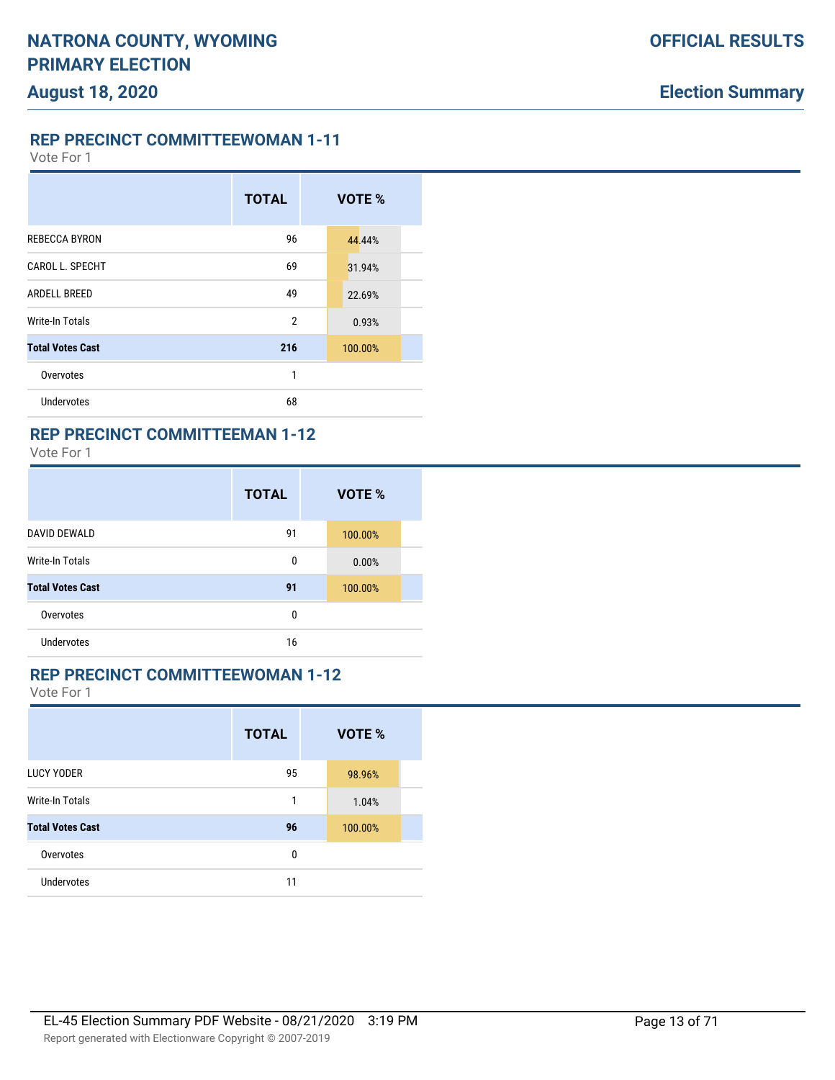**REP PRECINCT COMMITTEEWOMAN 1-11**

Vote For 1

|                         | <b>TOTAL</b>   | VOTE %  |
|-------------------------|----------------|---------|
| <b>REBECCA BYRON</b>    | 96             | 44.44%  |
| CAROL L. SPECHT         | 69             | 31.94%  |
| ARDELL BREED            | 49             | 22.69%  |
| Write-In Totals         | $\overline{2}$ | 0.93%   |
| <b>Total Votes Cast</b> | 216            | 100.00% |
| Overvotes               | 1              |         |
| Undervotes              | 68             |         |

### **REP PRECINCT COMMITTEEMAN 1-12**

Vote For 1

|                         | <b>TOTAL</b> | VOTE %  |  |
|-------------------------|--------------|---------|--|
| <b>DAVID DEWALD</b>     | 91           | 100.00% |  |
| <b>Write-In Totals</b>  | 0            | 0.00%   |  |
| <b>Total Votes Cast</b> | 91           | 100.00% |  |
| Overvotes               | 0            |         |  |
| <b>Undervotes</b>       | 16           |         |  |

# **REP PRECINCT COMMITTEEWOMAN 1-12**

|                         | <b>TOTAL</b> | VOTE %  |
|-------------------------|--------------|---------|
| <b>LUCY YODER</b>       | 95           | 98.96%  |
| <b>Write-In Totals</b>  | 1            | 1.04%   |
| <b>Total Votes Cast</b> | 96           | 100.00% |
| Overvotes               | 0            |         |
| <b>Undervotes</b>       | 11           |         |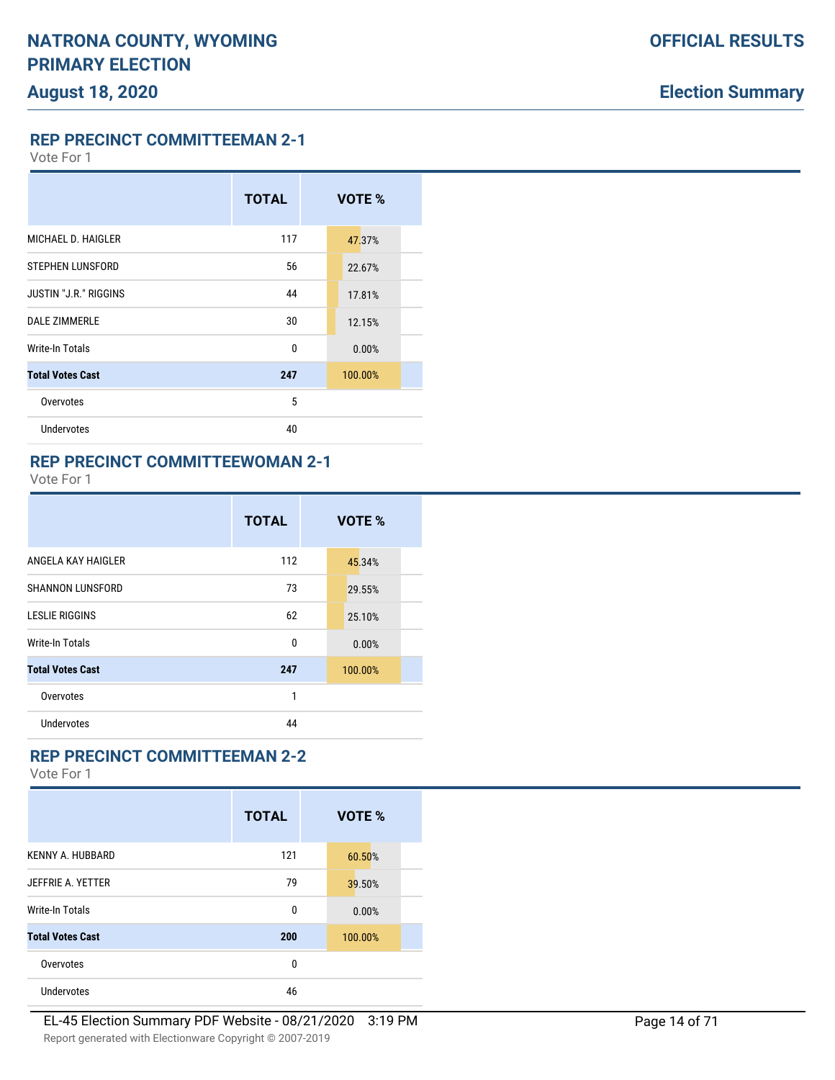**REP PRECINCT COMMITTEEMAN 2-1**

Vote For 1

# **TOTAL VOTE %** MICHAEL D. HAIGLER 117 47.37% STEPHEN LUNSFORD 56 22.67% **JUSTIN "J.R." RIGGINS 44** 17.81% DALE ZIMMERLE 30 30 12.15% Write-In Totals 0 0 0.00% **Total Votes Cast 247** 100.00% Overvotes 5 Undervotes 40

#### **REP PRECINCT COMMITTEEWOMAN 2-1**

Vote For 1

|                         | <b>TOTAL</b> | VOTE %  |  |
|-------------------------|--------------|---------|--|
| ANGELA KAY HAIGLER      | 112          | 45.34%  |  |
| <b>SHANNON LUNSFORD</b> | 73           | 29.55%  |  |
| <b>LESLIE RIGGINS</b>   | 62           | 25.10%  |  |
| Write-In Totals         | 0            | 0.00%   |  |
| <b>Total Votes Cast</b> | 247          | 100.00% |  |
| Overvotes               | 1            |         |  |
| Undervotes              | 44           |         |  |

### **REP PRECINCT COMMITTEEMAN 2-2**

|                         | <b>TOTAL</b> | VOTE %  |
|-------------------------|--------------|---------|
| <b>KENNY A. HUBBARD</b> | 121          | 60.50%  |
| JEFFRIE A. YETTER       | 79           | 39.50%  |
| <b>Write-In Totals</b>  | 0            | 0.00%   |
| <b>Total Votes Cast</b> | 200          | 100.00% |
| Overvotes               | 0            |         |
| Undervotes              | 46           |         |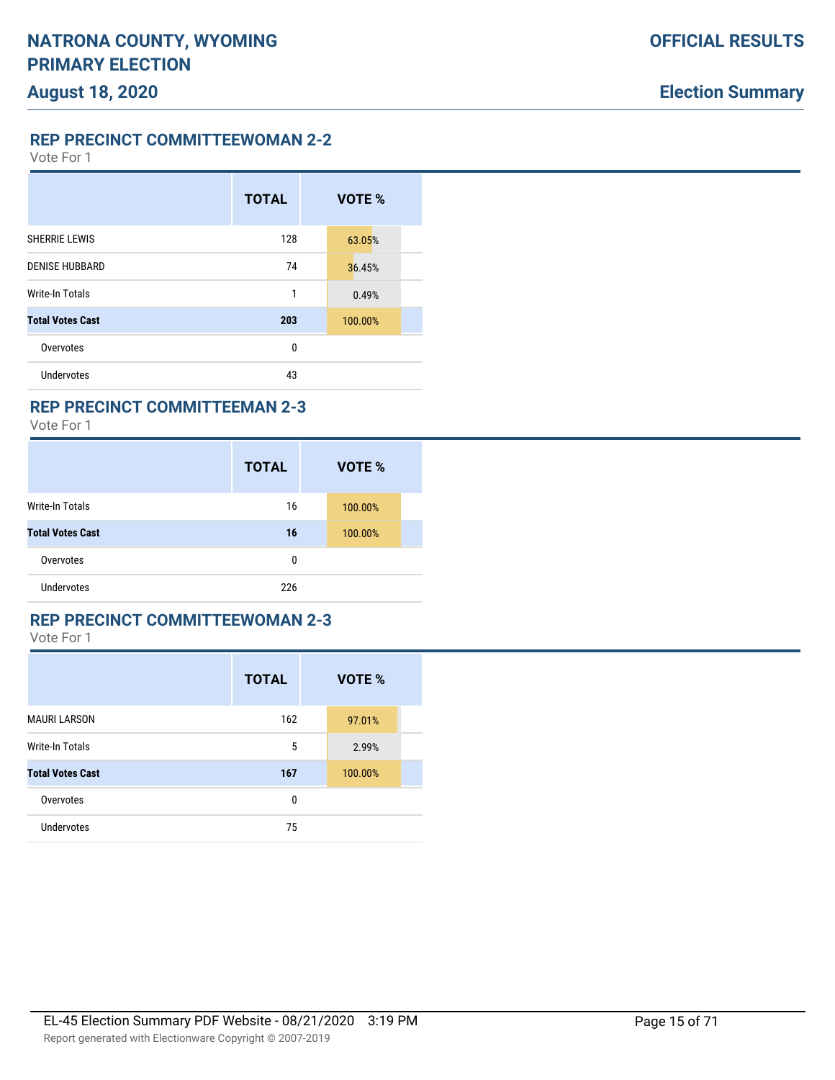**REP PRECINCT COMMITTEEWOMAN 2-2**

Vote For 1

|                         | <b>TOTAL</b> | VOTE %  |
|-------------------------|--------------|---------|
| <b>SHERRIE LEWIS</b>    | 128          | 63.05%  |
| <b>DENISE HUBBARD</b>   | 74           | 36.45%  |
| <b>Write-In Totals</b>  | 1            | 0.49%   |
| <b>Total Votes Cast</b> | 203          | 100.00% |
| Overvotes               | 0            |         |
| Undervotes              | 43           |         |

### **REP PRECINCT COMMITTEEMAN 2-3**

Vote For 1

|                         | <b>TOTAL</b> | <b>VOTE %</b> |
|-------------------------|--------------|---------------|
| Write-In Totals         | 16           | 100.00%       |
| <b>Total Votes Cast</b> | 16           | 100.00%       |
| Overvotes               | 0            |               |
| <b>Undervotes</b>       | 226          |               |

#### **REP PRECINCT COMMITTEEWOMAN 2-3**

|                         | <b>TOTAL</b> | VOTE %  |  |
|-------------------------|--------------|---------|--|
| <b>MAURI LARSON</b>     | 162          | 97.01%  |  |
| <b>Write-In Totals</b>  | 5            | 2.99%   |  |
| <b>Total Votes Cast</b> | 167          | 100.00% |  |
| Overvotes               | 0            |         |  |
| Undervotes              | 75           |         |  |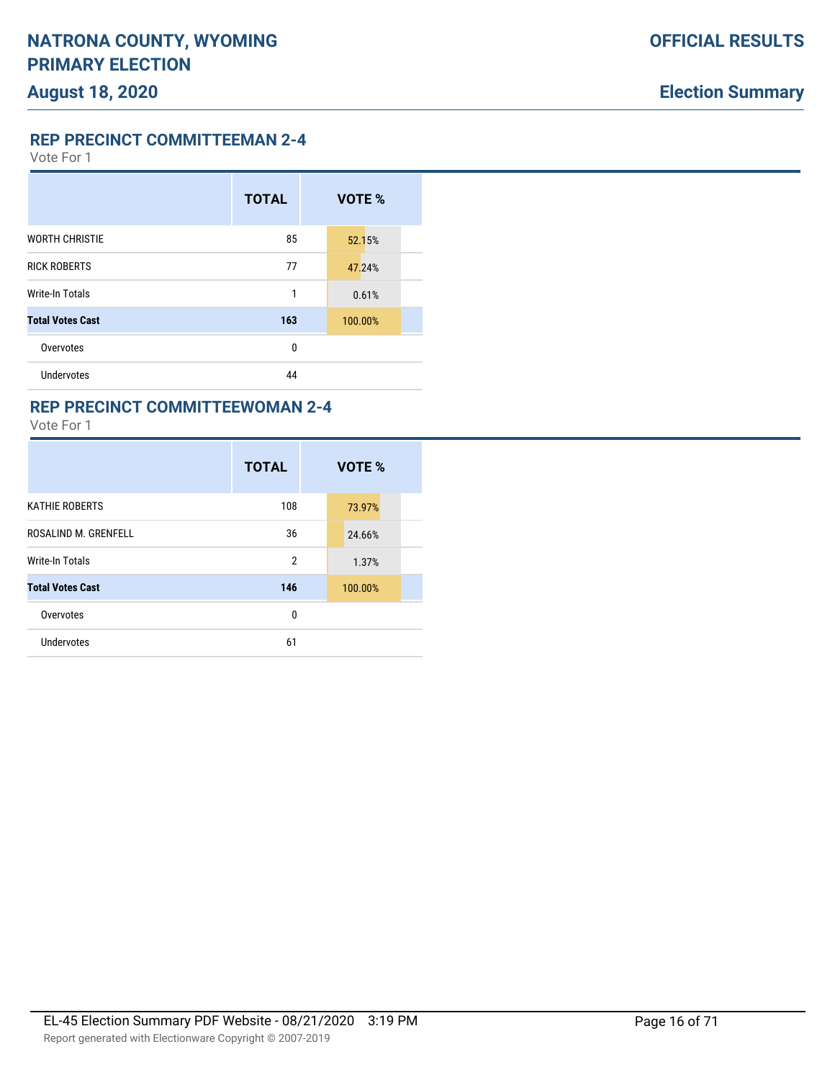**REP PRECINCT COMMITTEEMAN 2-4**

Vote For 1

|                         | <b>TOTAL</b> | VOTE %  |  |
|-------------------------|--------------|---------|--|
| <b>WORTH CHRISTIE</b>   | 85           | 52.15%  |  |
| <b>RICK ROBERTS</b>     | 77           | 47.24%  |  |
| <b>Write-In Totals</b>  | 1            | 0.61%   |  |
| <b>Total Votes Cast</b> | 163          | 100.00% |  |
| Overvotes               | 0            |         |  |
| <b>Undervotes</b>       | 44           |         |  |

### **REP PRECINCT COMMITTEEWOMAN 2-4**

|                         | <b>TOTAL</b>   | VOTE %  |  |
|-------------------------|----------------|---------|--|
| <b>KATHIE ROBERTS</b>   | 108            | 73.97%  |  |
| ROSALIND M. GRENFELL    | 36             | 24.66%  |  |
| <b>Write-In Totals</b>  | $\overline{2}$ | 1.37%   |  |
| <b>Total Votes Cast</b> | 146            | 100.00% |  |
| Overvotes               | 0              |         |  |
| Undervotes              | 61             |         |  |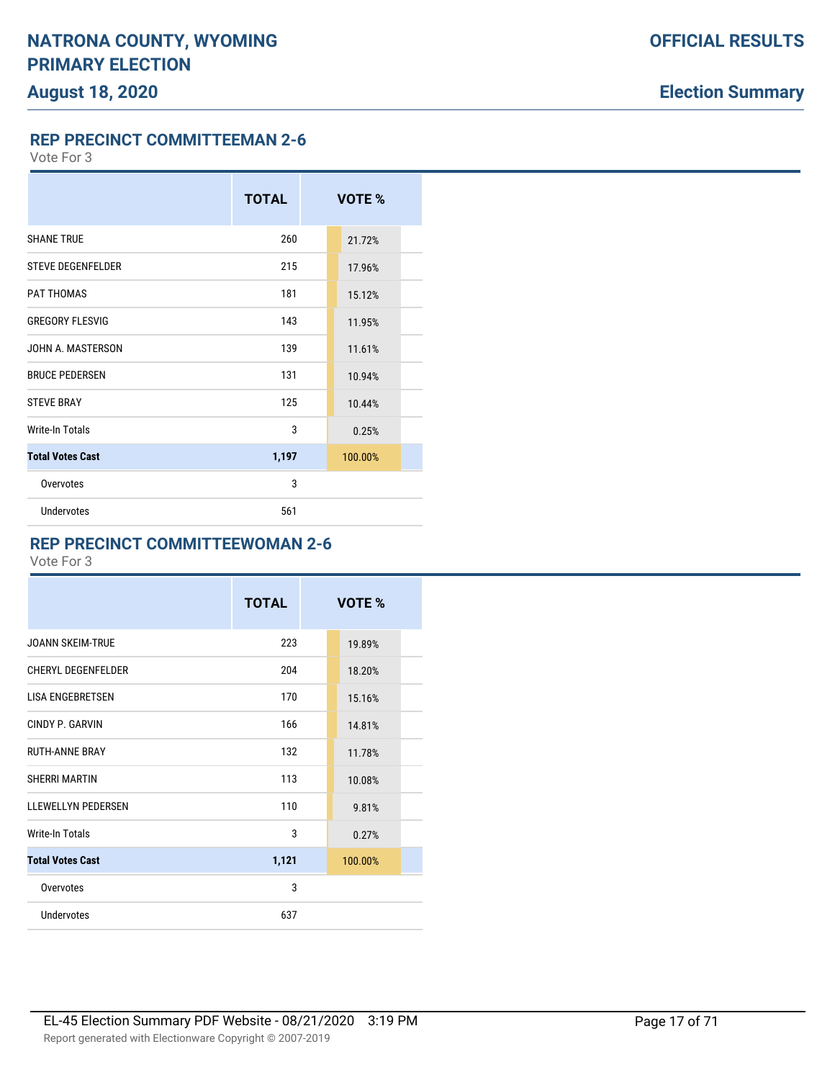**REP PRECINCT COMMITTEEMAN 2-6**

Vote For 3

|                          | <b>TOTAL</b> | VOTE %  |
|--------------------------|--------------|---------|
| <b>SHANE TRUE</b>        | 260          | 21.72%  |
| <b>STEVE DEGENFELDER</b> | 215          | 17.96%  |
| PAT THOMAS               | 181          | 15.12%  |
| <b>GREGORY FLESVIG</b>   | 143          | 11.95%  |
| JOHN A. MASTERSON        | 139          | 11.61%  |
| <b>BRUCE PEDERSEN</b>    | 131          | 10.94%  |
| <b>STEVE BRAY</b>        | 125          | 10.44%  |
| <b>Write-In Totals</b>   | 3            | 0.25%   |
| <b>Total Votes Cast</b>  | 1,197        | 100.00% |
| Overvotes                | 3            |         |
| <b>Undervotes</b>        | 561          |         |

### **REP PRECINCT COMMITTEEWOMAN 2-6**

|                           | <b>TOTAL</b> | VOTE %  |  |
|---------------------------|--------------|---------|--|
| JOANN SKEIM-TRUE          | 223          | 19.89%  |  |
| <b>CHERYL DEGENFELDER</b> | 204          | 18.20%  |  |
| LISA ENGEBRETSEN          | 170          | 15.16%  |  |
| CINDY P. GARVIN           | 166          | 14.81%  |  |
| <b>RUTH-ANNE BRAY</b>     | 132          | 11.78%  |  |
| SHERRI MARTIN             | 113          | 10.08%  |  |
| <b>LLEWELLYN PEDERSEN</b> | 110          | 9.81%   |  |
| Write-In Totals           | 3            | 0.27%   |  |
| <b>Total Votes Cast</b>   | 1,121        | 100.00% |  |
| Overvotes                 | 3            |         |  |
| Undervotes                | 637          |         |  |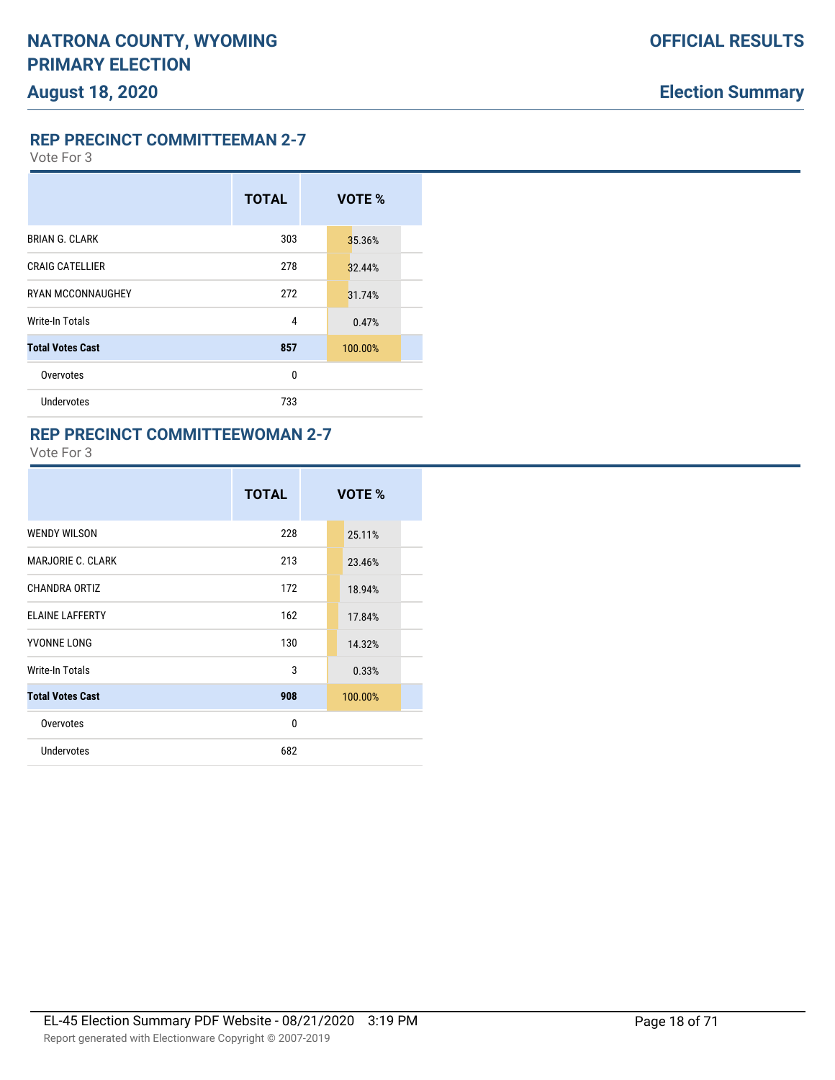**REP PRECINCT COMMITTEEMAN 2-7**

Vote For 3

|                          | <b>TOTAL</b> | VOTE %  |
|--------------------------|--------------|---------|
| <b>BRIAN G. CLARK</b>    | 303          | 35.36%  |
| <b>CRAIG CATELLIER</b>   | 278          | 32.44%  |
| <b>RYAN MCCONNAUGHEY</b> | 272          | 31.74%  |
| Write-In Totals          | 4            | 0.47%   |
| <b>Total Votes Cast</b>  | 857          | 100.00% |
| Overvotes                | 0            |         |
| <b>Undervotes</b>        | 733          |         |

### **REP PRECINCT COMMITTEEWOMAN 2-7**

|                          | <b>TOTAL</b> | VOTE %  |
|--------------------------|--------------|---------|
| <b>WENDY WILSON</b>      | 228          | 25.11%  |
| <b>MARJORIE C. CLARK</b> | 213          | 23.46%  |
| CHANDRA ORTIZ            | 172          | 18.94%  |
| <b>ELAINE LAFFERTY</b>   | 162          | 17.84%  |
| YVONNE LONG              | 130          | 14.32%  |
| Write-In Totals          | 3            | 0.33%   |
| <b>Total Votes Cast</b>  | 908          | 100.00% |
| Overvotes                | $\mathbf{0}$ |         |
| Undervotes               | 682          |         |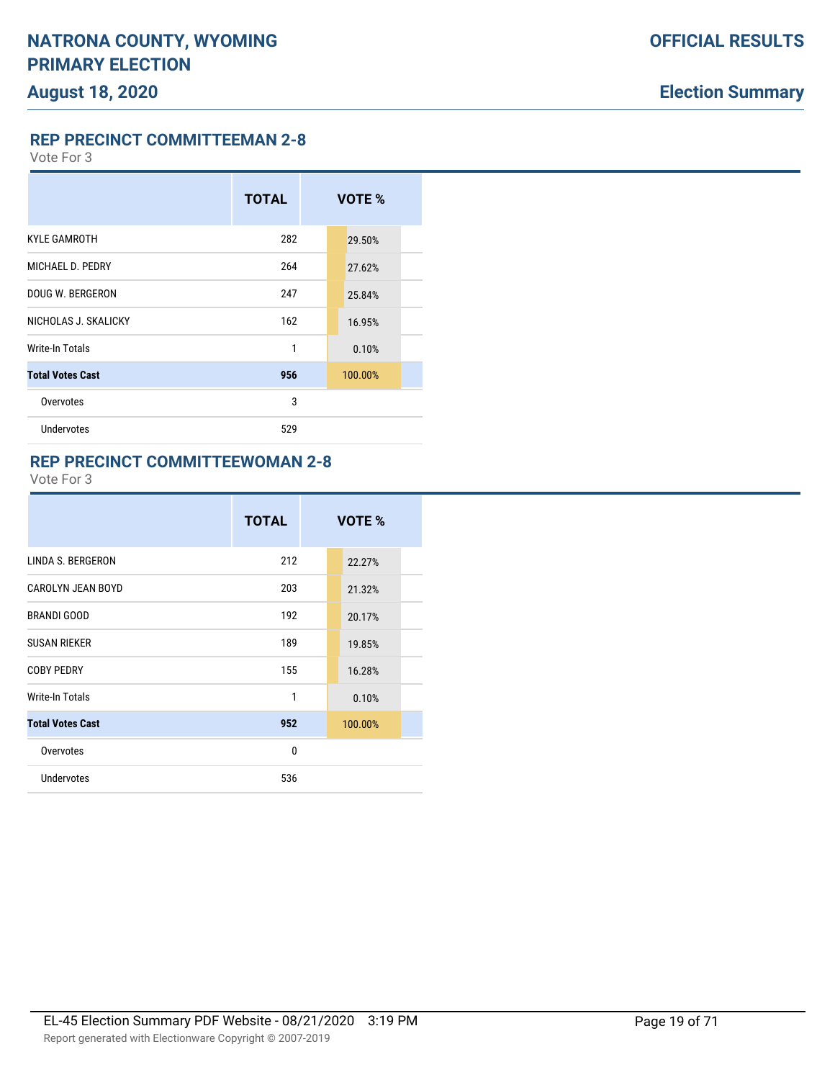**REP PRECINCT COMMITTEEMAN 2-8**

Vote For 3

# **TOTAL VOTE %** KYLE GAMROTH 282 29.50% MICHAEL D. PEDRY 264 27.62% DOUG W. BERGERON 247 25.84% NICHOLAS J. SKALICKY 162 16.95% Write-In Totals **1** 0.10% **Total Votes Cast 956** 100.00% Overvotes 3 Undervotes 529

#### **REP PRECINCT COMMITTEEWOMAN 2-8**

|                         | <b>TOTAL</b> | VOTE %  |  |
|-------------------------|--------------|---------|--|
| LINDA S. BERGERON       | 212          | 22.27%  |  |
| CAROLYN JEAN BOYD       | 203          | 21.32%  |  |
| <b>BRANDI GOOD</b>      | 192          | 20.17%  |  |
| <b>SUSAN RIEKER</b>     | 189          | 19.85%  |  |
| <b>COBY PEDRY</b>       | 155          | 16.28%  |  |
| Write-In Totals         | 1            | 0.10%   |  |
| <b>Total Votes Cast</b> | 952          | 100.00% |  |
| Overvotes               | $\mathbf{0}$ |         |  |
| <b>Undervotes</b>       | 536          |         |  |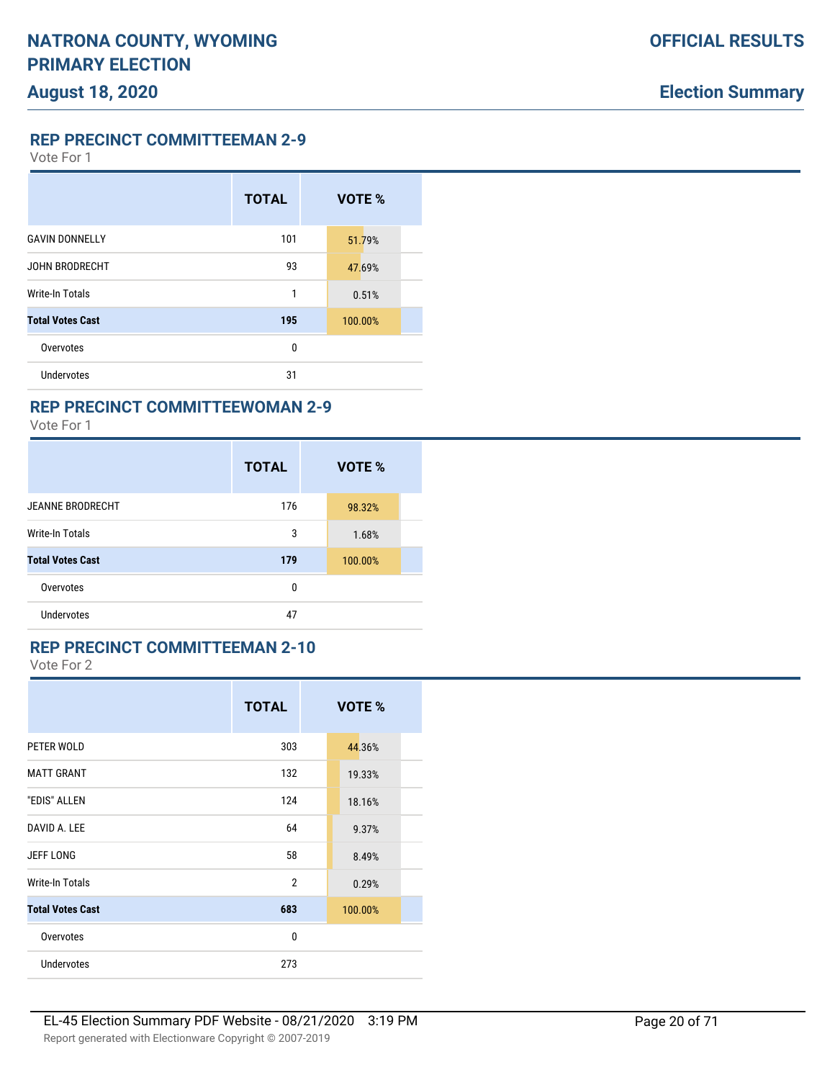**REP PRECINCT COMMITTEEMAN 2-9**

Vote For 1

|                         | <b>TOTAL</b> | VOTE %  |
|-------------------------|--------------|---------|
| <b>GAVIN DONNELLY</b>   | 101          | 51.79%  |
| JOHN BRODRECHT          | 93           | 47.69%  |
| Write-In Totals         | 1            | 0.51%   |
| <b>Total Votes Cast</b> | 195          | 100.00% |
| Overvotes               | 0            |         |
| Undervotes              | 31           |         |

## **REP PRECINCT COMMITTEEWOMAN 2-9**

Vote For 1

|                         | <b>TOTAL</b> | VOTE %  |  |
|-------------------------|--------------|---------|--|
| <b>JEANNE BRODRECHT</b> | 176          | 98.32%  |  |
| Write-In Totals         | 3            | 1.68%   |  |
| <b>Total Votes Cast</b> | 179          | 100.00% |  |
| Overvotes               | 0            |         |  |
| <b>Undervotes</b>       | 47           |         |  |

## **REP PRECINCT COMMITTEEMAN 2-10**

|                         | <b>TOTAL</b>   | <b>VOTE %</b> |  |
|-------------------------|----------------|---------------|--|
| PETER WOLD              | 303            | 44.36%        |  |
| <b>MATT GRANT</b>       | 132            | 19.33%        |  |
| "EDIS" ALLEN            | 124            | 18.16%        |  |
| DAVID A. LEE            | 64             | 9.37%         |  |
| <b>JEFF LONG</b>        | 58             | 8.49%         |  |
| Write-In Totals         | $\overline{2}$ | 0.29%         |  |
| <b>Total Votes Cast</b> | 683            | 100.00%       |  |
| Overvotes               | 0              |               |  |
| <b>Undervotes</b>       | 273            |               |  |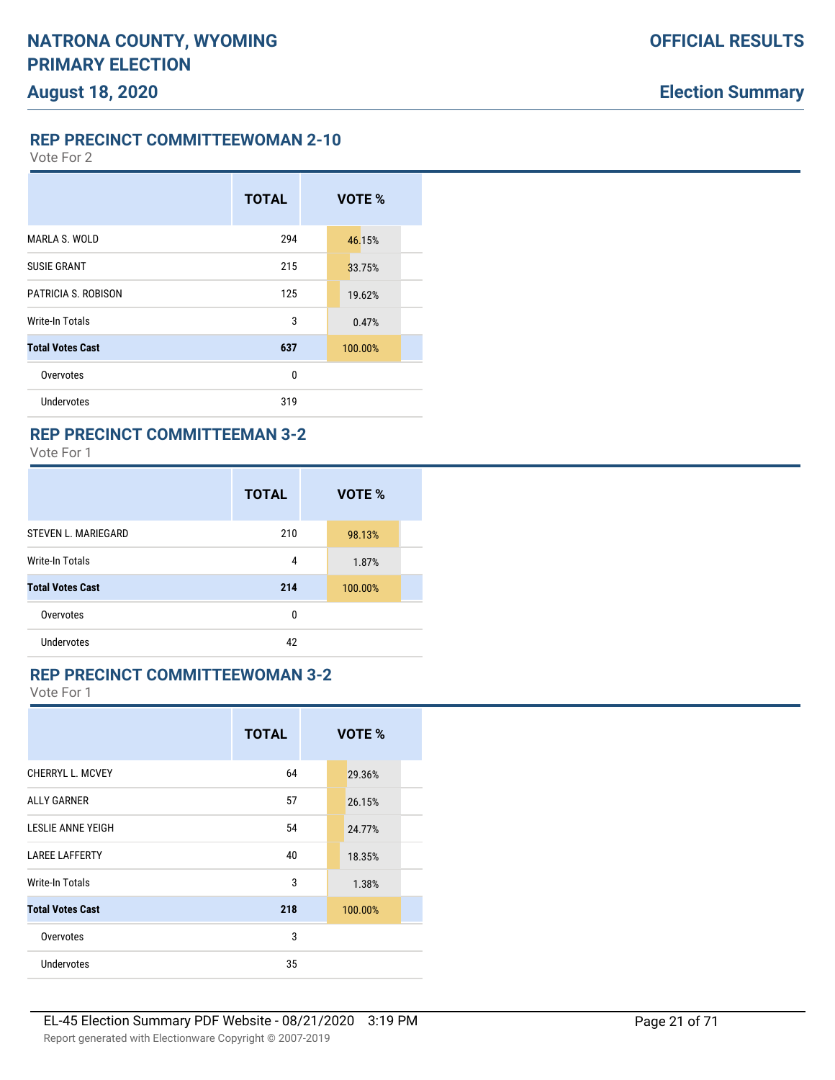**REP PRECINCT COMMITTEEWOMAN 2-10**

Vote For 2

|                         | <b>TOTAL</b> | VOTE %  |
|-------------------------|--------------|---------|
| MARLA S. WOLD           | 294          | 46.15%  |
| <b>SUSIE GRANT</b>      | 215          | 33.75%  |
| PATRICIA S. ROBISON     | 125          | 19.62%  |
| Write-In Totals         | 3            | 0.47%   |
| <b>Total Votes Cast</b> | 637          | 100.00% |
| Overvotes               | 0            |         |
| <b>Undervotes</b>       | 319          |         |

### **REP PRECINCT COMMITTEEMAN 3-2**

Vote For 1

|                            | <b>TOTAL</b> | VOTE %  |  |
|----------------------------|--------------|---------|--|
| <b>STEVEN L. MARIEGARD</b> | 210          | 98.13%  |  |
| Write-In Totals            | 4            | 1.87%   |  |
| <b>Total Votes Cast</b>    | 214          | 100.00% |  |
| Overvotes                  | 0            |         |  |
| <b>Undervotes</b>          | 42           |         |  |

### **REP PRECINCT COMMITTEEWOMAN 3-2**

|                         | <b>TOTAL</b> | VOTE %  |  |
|-------------------------|--------------|---------|--|
| CHERRYL L. MCVEY        | 64           | 29.36%  |  |
| <b>ALLY GARNER</b>      | 57           | 26.15%  |  |
| LESLIE ANNE YEIGH       | 54           | 24.77%  |  |
| <b>LAREE LAFFERTY</b>   | 40           | 18.35%  |  |
| Write-In Totals         | 3            | 1.38%   |  |
| <b>Total Votes Cast</b> | 218          | 100.00% |  |
| Overvotes               | 3            |         |  |
| Undervotes              | 35           |         |  |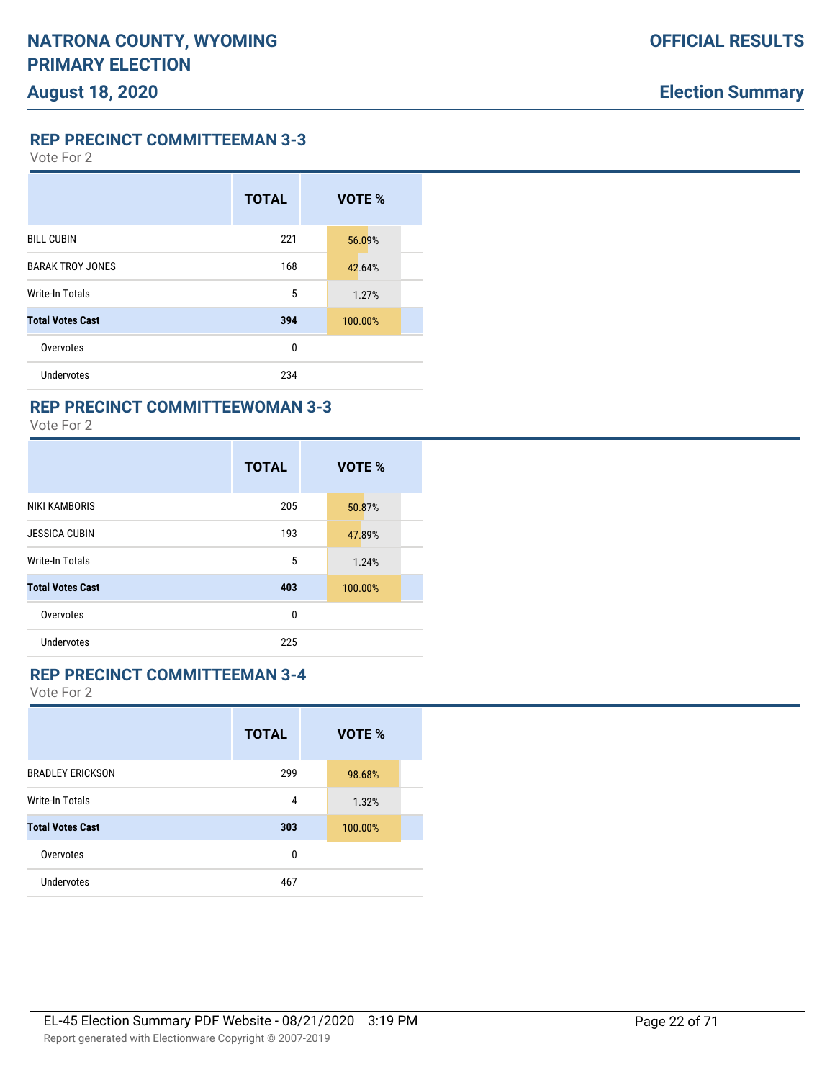**REP PRECINCT COMMITTEEMAN 3-3**

Vote For 2

|                         | <b>TOTAL</b> | VOTE %  |
|-------------------------|--------------|---------|
| <b>BILL CUBIN</b>       | 221          | 56.09%  |
| <b>BARAK TROY JONES</b> | 168          | 42.64%  |
| <b>Write-In Totals</b>  | 5            | 1.27%   |
| <b>Total Votes Cast</b> | 394          | 100.00% |
| Overvotes               | 0            |         |
| <b>Undervotes</b>       | 234          |         |

## **REP PRECINCT COMMITTEEWOMAN 3-3**

Vote For 2

|                         | <b>TOTAL</b> | VOTE %  |
|-------------------------|--------------|---------|
| <b>NIKI KAMBORIS</b>    | 205          | 50.87%  |
| <b>JESSICA CUBIN</b>    | 193          | 47.89%  |
| <b>Write-In Totals</b>  | 5            | 1.24%   |
| <b>Total Votes Cast</b> | 403          | 100.00% |
| Overvotes               | 0            |         |
| Undervotes              | 225          |         |

### **REP PRECINCT COMMITTEEMAN 3-4**

|                         | <b>TOTAL</b> | VOTE %  |  |
|-------------------------|--------------|---------|--|
| <b>BRADLEY ERICKSON</b> | 299          | 98.68%  |  |
| <b>Write-In Totals</b>  | 4            | 1.32%   |  |
| <b>Total Votes Cast</b> | 303          | 100.00% |  |
| Overvotes               | 0            |         |  |
| Undervotes              | 467          |         |  |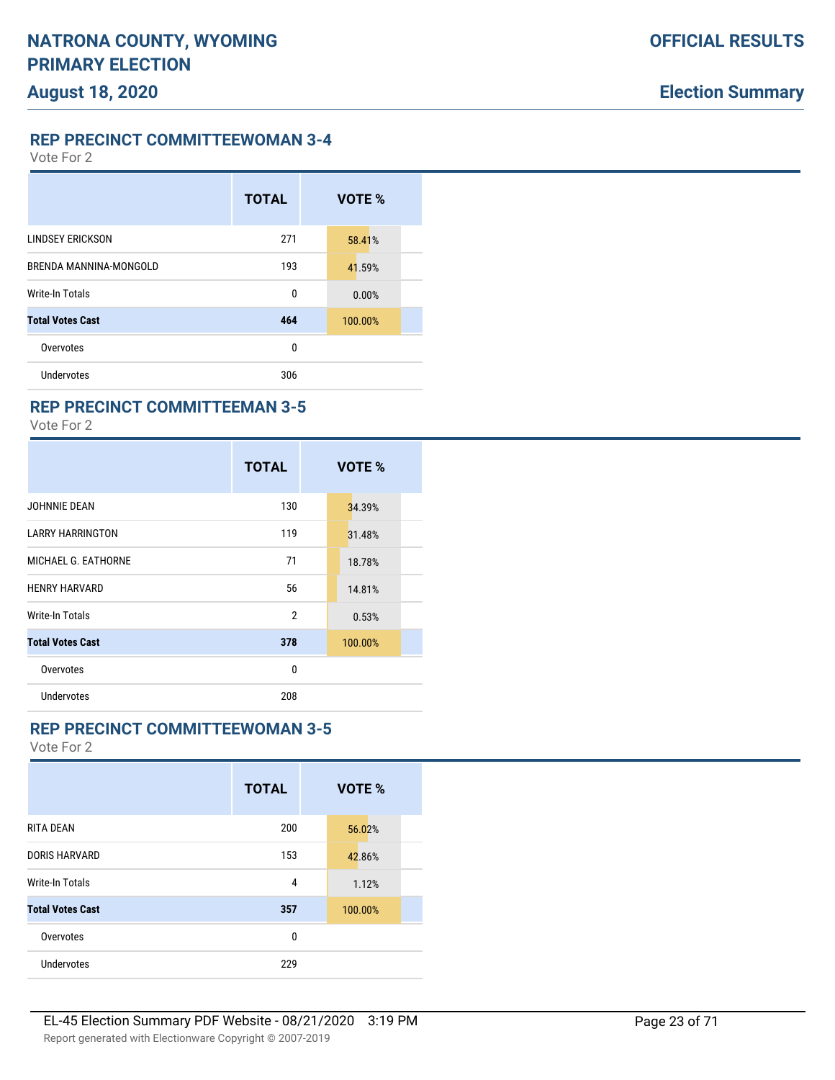**REP PRECINCT COMMITTEEWOMAN 3-4**

Vote For 2

|                         | <b>TOTAL</b> | VOTE %  |
|-------------------------|--------------|---------|
| <b>LINDSEY ERICKSON</b> | 271          | 58.41%  |
| BRENDA MANNINA-MONGOLD  | 193          | 41.59%  |
| Write-In Totals         | 0            | 0.00%   |
| <b>Total Votes Cast</b> | 464          | 100.00% |
| Overvotes               | 0            |         |
| Undervotes              | 306          |         |

### **REP PRECINCT COMMITTEEMAN 3-5**

Vote For 2

|                         | <b>TOTAL</b>   | VOTE %  |
|-------------------------|----------------|---------|
| JOHNNIE DEAN            | 130            | 34.39%  |
| <b>LARRY HARRINGTON</b> | 119            | 31.48%  |
| MICHAEL G. EATHORNE     | 71             | 18.78%  |
| <b>HENRY HARVARD</b>    | 56             | 14.81%  |
| Write-In Totals         | $\overline{2}$ | 0.53%   |
| <b>Total Votes Cast</b> | 378            | 100.00% |
| Overvotes               | 0              |         |
| Undervotes              | 208            |         |

## **REP PRECINCT COMMITTEEWOMAN 3-5**

|                         | <b>TOTAL</b> | VOTE %  |
|-------------------------|--------------|---------|
| <b>RITA DEAN</b>        | 200          | 56.02%  |
| <b>DORIS HARVARD</b>    | 153          | 42.86%  |
| <b>Write-In Totals</b>  | 4            | 1.12%   |
| <b>Total Votes Cast</b> | 357          | 100.00% |
| Overvotes               | 0            |         |
| Undervotes              | 229          |         |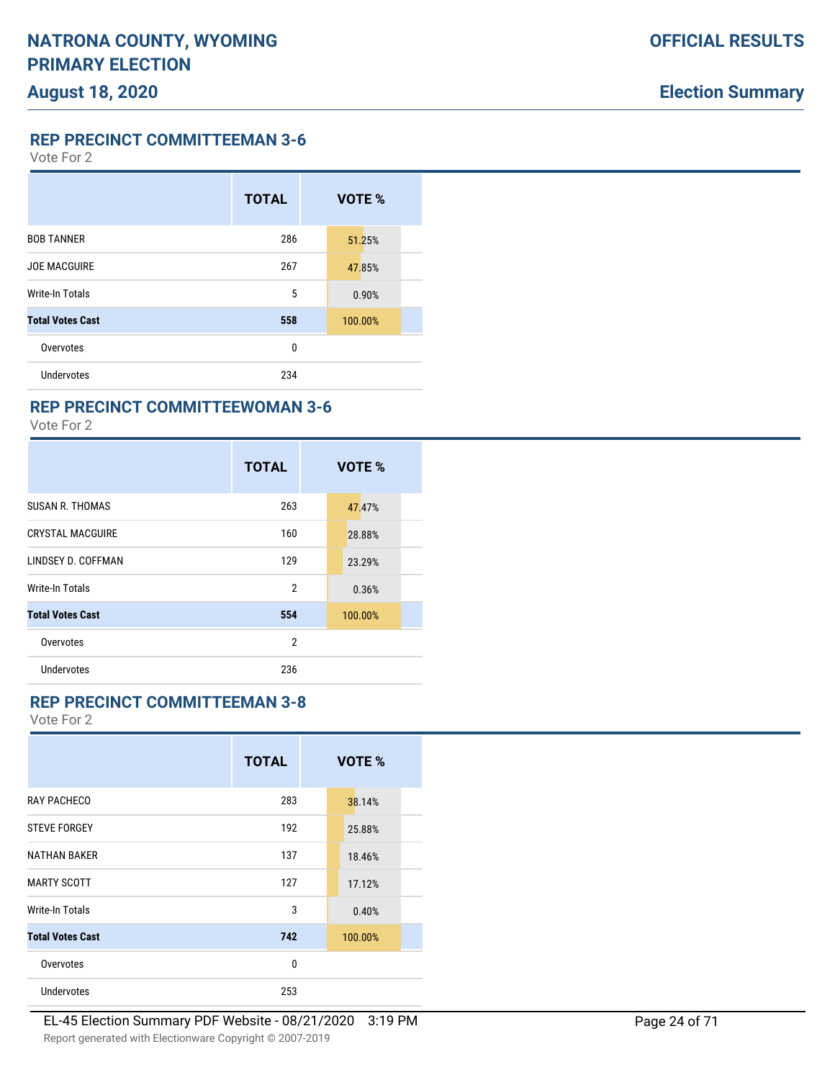**REP PRECINCT COMMITTEEMAN 3-6**

Vote For 2

|                         | <b>TOTAL</b> | VOTE %  |
|-------------------------|--------------|---------|
| <b>BOB TANNER</b>       | 286          | 51.25%  |
| <b>JOE MACGUIRE</b>     | 267          | 47.85%  |
| Write-In Totals         | 5            | 0.90%   |
| <b>Total Votes Cast</b> | 558          | 100.00% |
| Overvotes               | 0            |         |
| Undervotes              | 234          |         |

### **REP PRECINCT COMMITTEEWOMAN 3-6**

Vote For 2

|                         | <b>TOTAL</b>   | VOTE %  |
|-------------------------|----------------|---------|
| <b>SUSAN R. THOMAS</b>  | 263            | 47.47%  |
| <b>CRYSTAL MACGUIRE</b> | 160            | 28.88%  |
| LINDSEY D. COFFMAN      | 129            | 23.29%  |
| Write-In Totals         | $\overline{2}$ | 0.36%   |
| <b>Total Votes Cast</b> | 554            | 100.00% |
| Overvotes               | 2              |         |
| <b>Undervotes</b>       | 236            |         |

### **REP PRECINCT COMMITTEEMAN 3-8**

|                         | <b>TOTAL</b> | <b>VOTE %</b> |
|-------------------------|--------------|---------------|
| RAY PACHECO             | 283          | 38.14%        |
| <b>STEVE FORGEY</b>     | 192          | 25.88%        |
| <b>NATHAN BAKER</b>     | 137          | 18.46%        |
| <b>MARTY SCOTT</b>      | 127          | 17.12%        |
| Write-In Totals         | 3            | 0.40%         |
| <b>Total Votes Cast</b> | 742          | 100.00%       |
| Overvotes               | 0            |               |
| <b>Undervotes</b>       | 253          |               |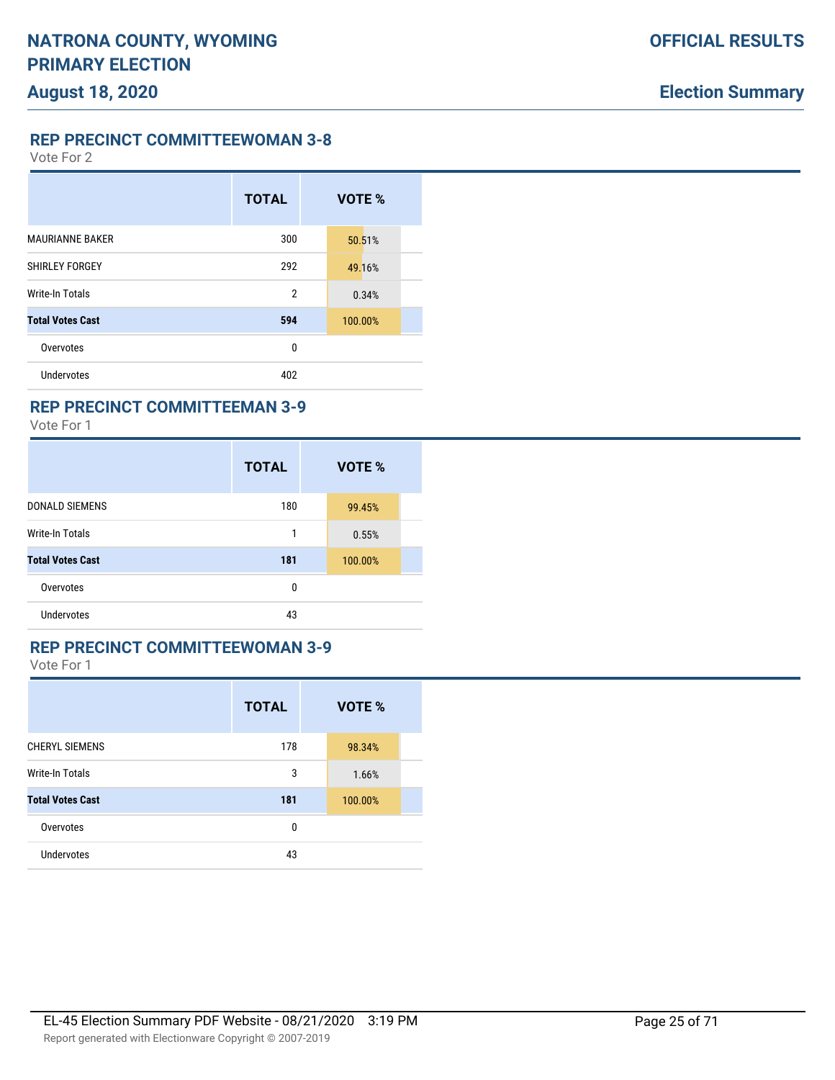Vote For 2

|                         | <b>TOTAL</b>   | VOTE %  |
|-------------------------|----------------|---------|
| <b>MAURIANNE BAKER</b>  | 300            | 50.51%  |
| SHIRLEY FORGEY          | 292            | 49.16%  |
| Write-In Totals         | $\overline{2}$ | 0.34%   |
| <b>Total Votes Cast</b> | 594            | 100.00% |
| Overvotes               | 0              |         |
| <b>Undervotes</b>       | 402            |         |

### **REP PRECINCT COMMITTEEMAN 3-9**

Vote For 1

|                         | <b>TOTAL</b> | VOTE %  |  |
|-------------------------|--------------|---------|--|
| <b>DONALD SIEMENS</b>   | 180          | 99.45%  |  |
| <b>Write-In Totals</b>  | 1            | 0.55%   |  |
| <b>Total Votes Cast</b> | 181          | 100.00% |  |
| Overvotes               | 0            |         |  |
| <b>Undervotes</b>       | 43           |         |  |

### **REP PRECINCT COMMITTEEWOMAN 3-9**

|                         | <b>TOTAL</b> | VOTE %  |  |
|-------------------------|--------------|---------|--|
| <b>CHERYL SIEMENS</b>   | 178          | 98.34%  |  |
| Write-In Totals         | 3            | 1.66%   |  |
| <b>Total Votes Cast</b> | 181          | 100.00% |  |
| Overvotes               | 0            |         |  |
| <b>Undervotes</b>       | 43           |         |  |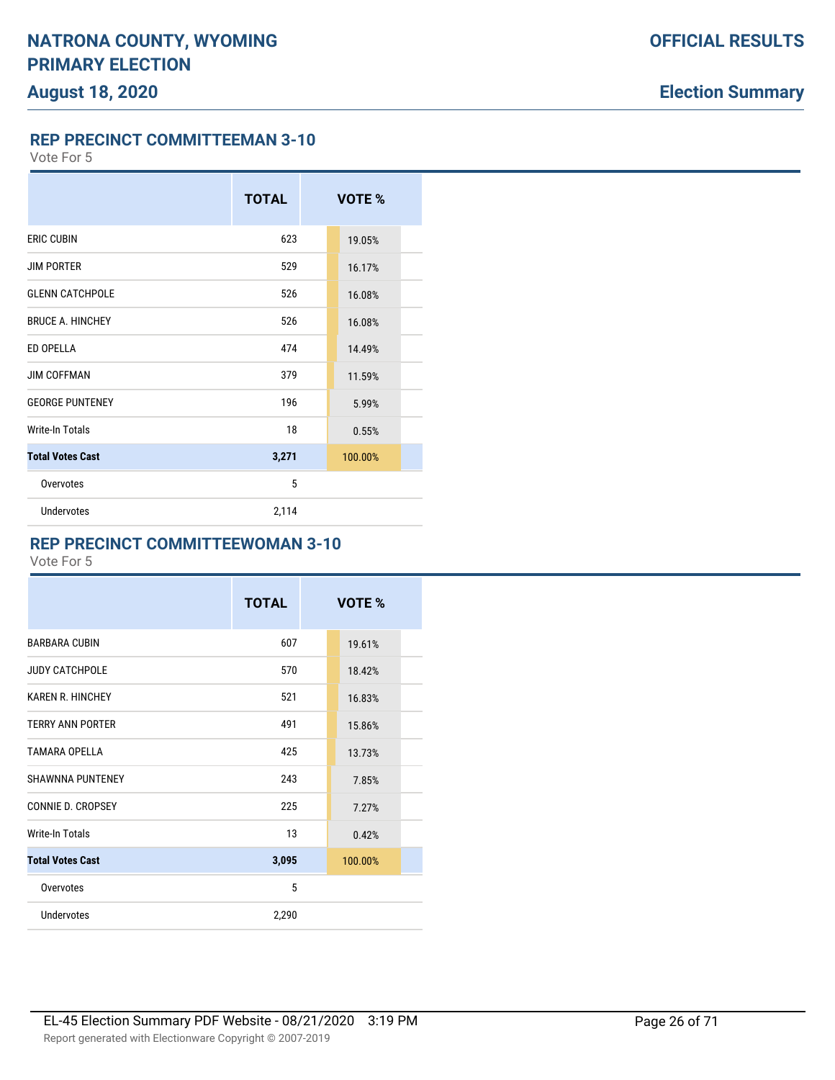**REP PRECINCT COMMITTEEMAN 3-10**

Vote For 5

|                         | <b>TOTAL</b> | VOTE %  |  |
|-------------------------|--------------|---------|--|
| <b>ERIC CUBIN</b>       | 623          | 19.05%  |  |
| <b>JIM PORTER</b>       | 529          | 16.17%  |  |
| <b>GLENN CATCHPOLE</b>  | 526          | 16.08%  |  |
| <b>BRUCE A. HINCHEY</b> | 526          | 16.08%  |  |
| ED OPELLA               | 474          | 14.49%  |  |
| <b>JIM COFFMAN</b>      | 379          | 11.59%  |  |
| <b>GEORGE PUNTENEY</b>  | 196          | 5.99%   |  |
| <b>Write-In Totals</b>  | 18           | 0.55%   |  |
| <b>Total Votes Cast</b> | 3,271        | 100.00% |  |
| Overvotes               | 5            |         |  |
| <b>Undervotes</b>       | 2,114        |         |  |

### **REP PRECINCT COMMITTEEWOMAN 3-10**

|                         | <b>TOTAL</b> | VOTE %  |  |
|-------------------------|--------------|---------|--|
| <b>BARBARA CUBIN</b>    | 607          | 19.61%  |  |
| <b>JUDY CATCHPOLE</b>   | 570          | 18.42%  |  |
| <b>KAREN R. HINCHEY</b> | 521          | 16.83%  |  |
| <b>TERRY ANN PORTER</b> | 491          | 15.86%  |  |
| TAMARA OPFIIA           | 425          | 13.73%  |  |
| <b>SHAWNNA PUNTENEY</b> | 243          | 7.85%   |  |
| CONNIE D. CROPSEY       | 225          | 7.27%   |  |
| Write-In Totals         | 13           | 0.42%   |  |
| <b>Total Votes Cast</b> | 3,095        | 100.00% |  |
| Overvotes               | 5            |         |  |
| Undervotes              | 2,290        |         |  |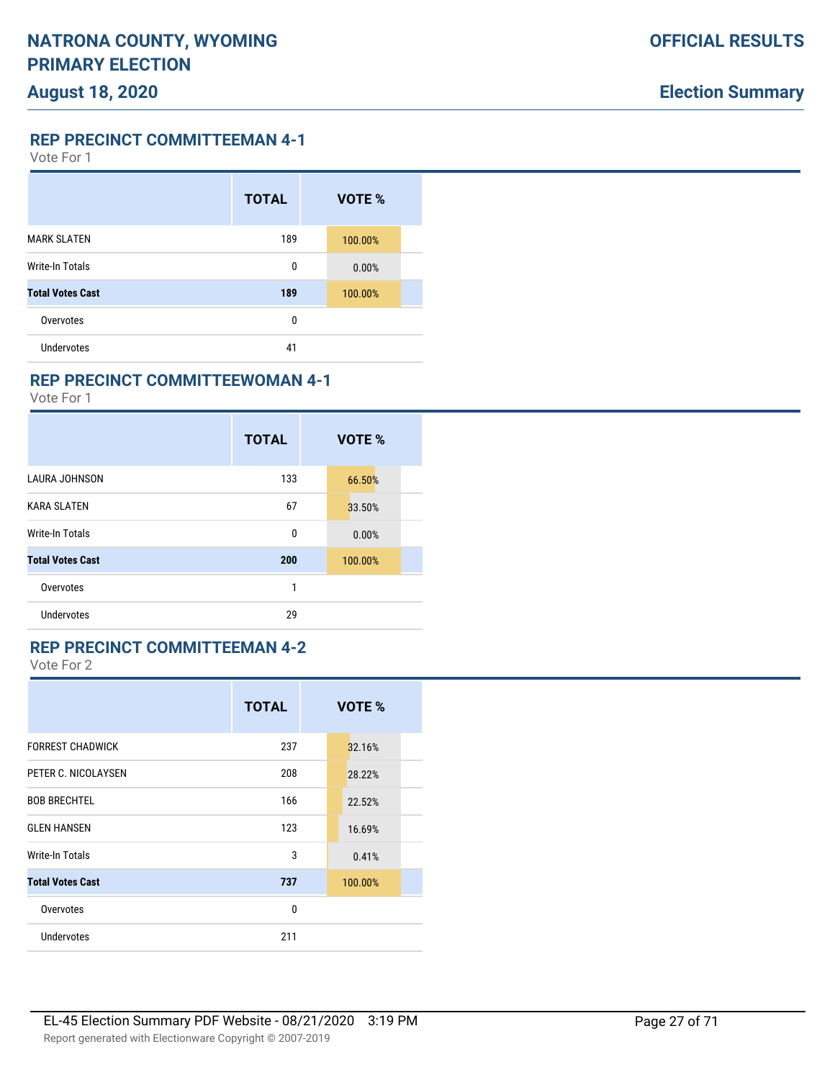**REP PRECINCT COMMITTEEMAN 4-1**

Vote For 1

|                         | <b>TOTAL</b> | VOTE %  |  |
|-------------------------|--------------|---------|--|
| <b>MARK SLATEN</b>      | 189          | 100.00% |  |
| <b>Write-In Totals</b>  | 0            | 0.00%   |  |
| <b>Total Votes Cast</b> | 189          | 100.00% |  |
| Overvotes               | 0            |         |  |
| Undervotes              | 41           |         |  |

### **REP PRECINCT COMMITTEEWOMAN 4-1**

Vote For 1

|                         | <b>TOTAL</b> | VOTE %  |
|-------------------------|--------------|---------|
| <b>LAURA JOHNSON</b>    | 133          | 66.50%  |
| <b>KARA SLATEN</b>      | 67           | 33.50%  |
| <b>Write-In Totals</b>  | 0            | 0.00%   |
| <b>Total Votes Cast</b> | 200          | 100.00% |
| Overvotes               | 1            |         |
| <b>Undervotes</b>       | 29           |         |

# **REP PRECINCT COMMITTEEMAN 4-2**

|                         | <b>TOTAL</b> | VOTE %  |
|-------------------------|--------------|---------|
| <b>FORREST CHADWICK</b> | 237          | 32.16%  |
| PETER C. NICOLAYSEN     | 208          | 28.22%  |
| <b>BOB BRECHTEL</b>     | 166          | 22.52%  |
| <b>GLEN HANSEN</b>      | 123          | 16.69%  |
| Write-In Totals         | 3            | 0.41%   |
| <b>Total Votes Cast</b> | 737          | 100.00% |
| Overvotes               | $\mathbf{0}$ |         |
| Undervotes              | 211          |         |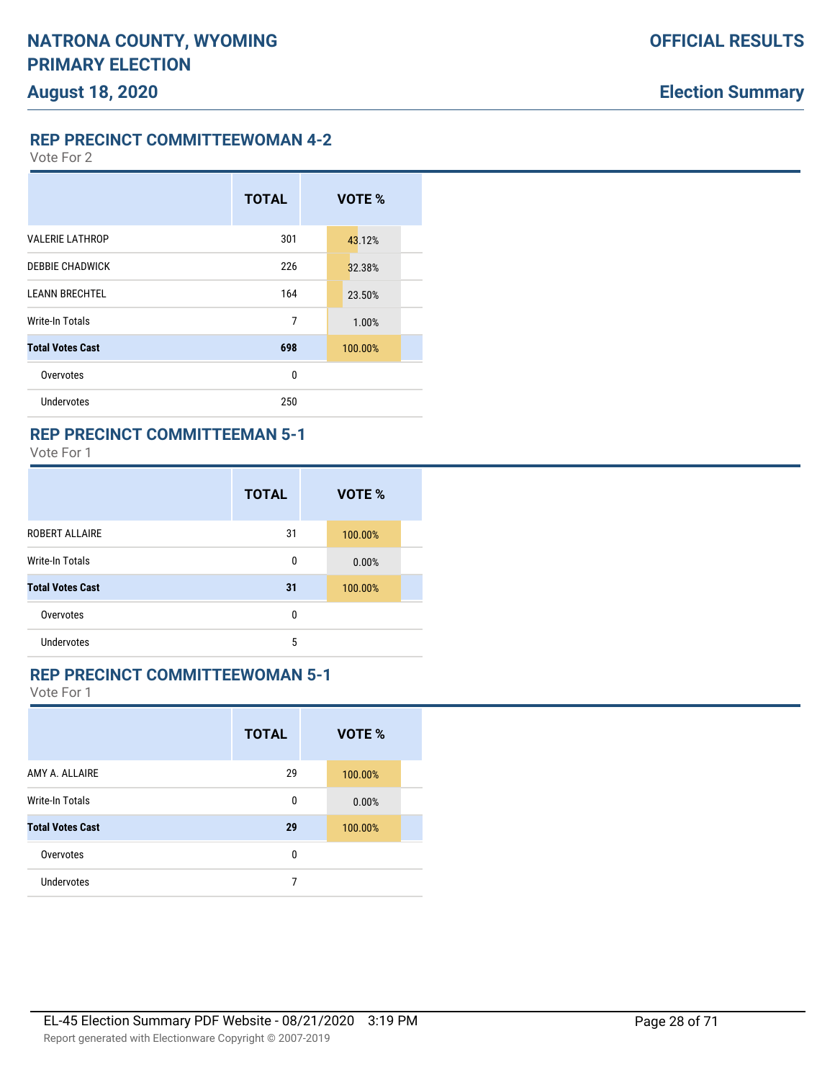**REP PRECINCT COMMITTEEWOMAN 4-2**

Vote For 2

|                         | <b>TOTAL</b> | VOTE %  |
|-------------------------|--------------|---------|
| <b>VALERIE LATHROP</b>  | 301          | 43.12%  |
| <b>DEBBIE CHADWICK</b>  | 226          | 32.38%  |
| <b>LEANN BRECHTEL</b>   | 164          | 23.50%  |
| Write-In Totals         | 7            | 1.00%   |
| <b>Total Votes Cast</b> | 698          | 100.00% |
| Overvotes               | 0            |         |
| <b>Undervotes</b>       | 250          |         |

### **REP PRECINCT COMMITTEEMAN 5-1**

Vote For 1

|                         | <b>TOTAL</b> | VOTE %  |  |
|-------------------------|--------------|---------|--|
| ROBERT ALLAIRE          | 31           | 100.00% |  |
| <b>Write-In Totals</b>  | 0            | 0.00%   |  |
| <b>Total Votes Cast</b> | 31           | 100.00% |  |
| Overvotes               | 0            |         |  |
| <b>Undervotes</b>       | 5            |         |  |

### **REP PRECINCT COMMITTEEWOMAN 5-1**

|                         | <b>TOTAL</b> | VOTE %  |  |
|-------------------------|--------------|---------|--|
| AMY A. ALLAIRE          | 29           | 100.00% |  |
| <b>Write-In Totals</b>  | 0            | 0.00%   |  |
| <b>Total Votes Cast</b> | 29           | 100.00% |  |
| Overvotes               | 0            |         |  |
| Undervotes              | 7            |         |  |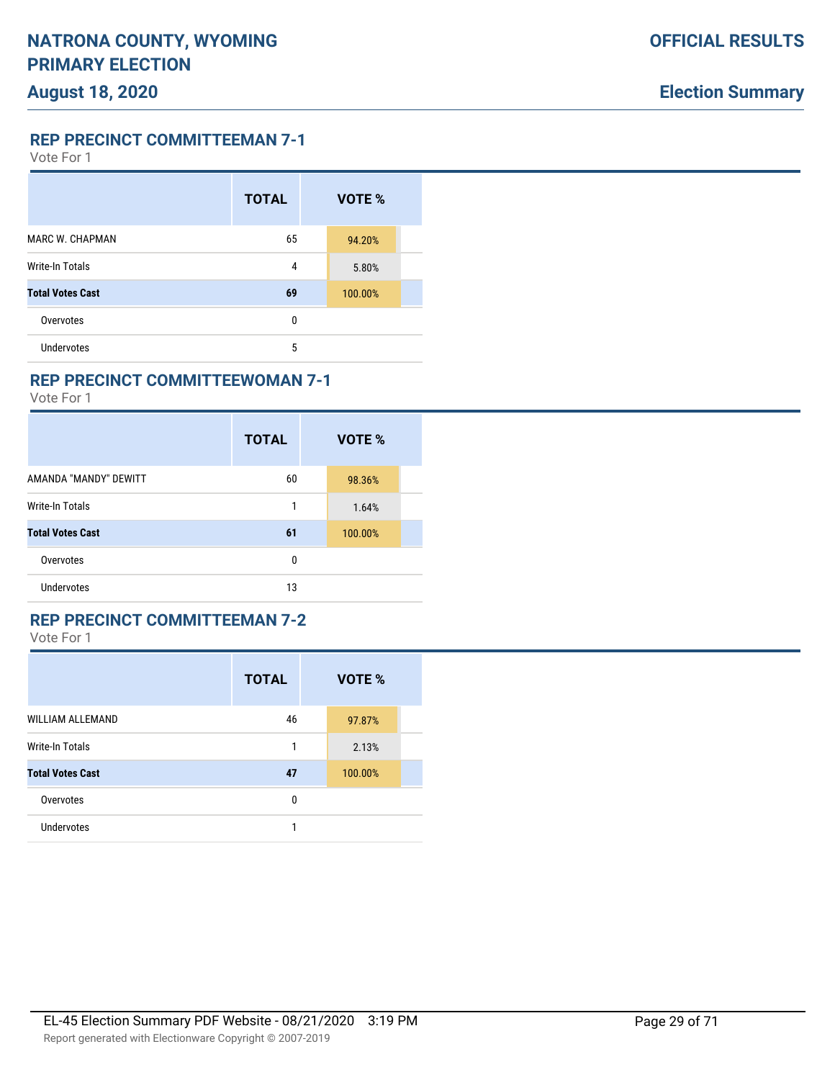**REP PRECINCT COMMITTEEMAN 7-1**

Vote For 1

|                         | <b>TOTAL</b> | VOTE %  |  |
|-------------------------|--------------|---------|--|
| <b>MARC W. CHAPMAN</b>  | 65           | 94.20%  |  |
| <b>Write-In Totals</b>  | 4            | 5.80%   |  |
| <b>Total Votes Cast</b> | 69           | 100.00% |  |
| Overvotes               | 0            |         |  |
| <b>Undervotes</b>       | 5            |         |  |

### **REP PRECINCT COMMITTEEWOMAN 7-1**

Vote For 1

|                         | <b>TOTAL</b> | VOTE %  |
|-------------------------|--------------|---------|
| AMANDA "MANDY" DEWITT   | 60           | 98.36%  |
| Write-In Totals         | 1            | 1.64%   |
| <b>Total Votes Cast</b> | 61           | 100.00% |
| Overvotes               | 0            |         |
| Undervotes              | 13           |         |

### **REP PRECINCT COMMITTEEMAN 7-2**

|                         | <b>TOTAL</b> | VOTE %  |  |
|-------------------------|--------------|---------|--|
| <b>WILLIAM ALLEMAND</b> | 46           | 97.87%  |  |
| <b>Write-In Totals</b>  | 1            | 2.13%   |  |
| <b>Total Votes Cast</b> | 47           | 100.00% |  |
| Overvotes               | 0            |         |  |
| <b>Undervotes</b>       |              |         |  |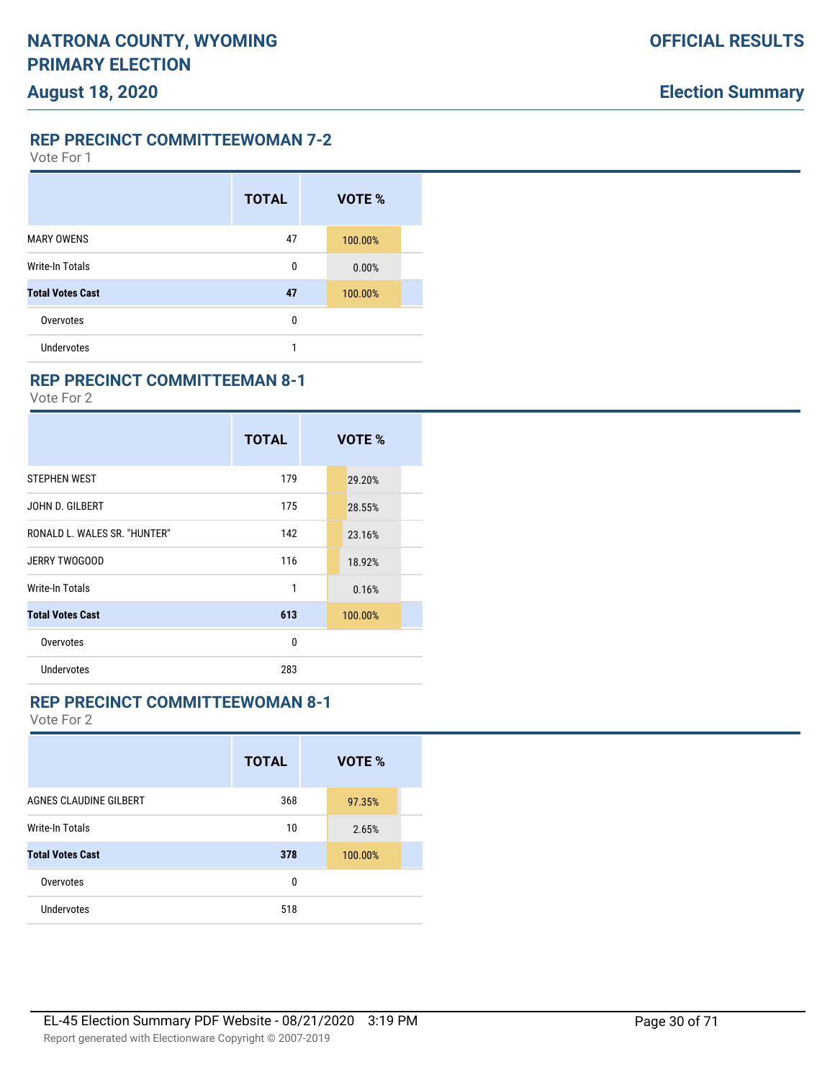**REP PRECINCT COMMITTEEWOMAN 7-2**

Vote For 1

|                         | <b>TOTAL</b> | VOTE %  |  |
|-------------------------|--------------|---------|--|
| <b>MARY OWENS</b>       | 47           | 100.00% |  |
| Write-In Totals         | 0            | 0.00%   |  |
| <b>Total Votes Cast</b> | 47           | 100.00% |  |
| Overvotes               | 0            |         |  |
| Undervotes              | 1            |         |  |

### **REP PRECINCT COMMITTEEMAN 8-1**

Vote For 2

|                              | <b>TOTAL</b> | VOTE %  |  |
|------------------------------|--------------|---------|--|
| <b>STEPHEN WEST</b>          | 179          | 29.20%  |  |
| JOHN D. GILBERT              | 175          | 28.55%  |  |
| RONALD L. WALES SR. "HUNTER" | 142          | 23.16%  |  |
| JERRY TWOGOOD                | 116          | 18.92%  |  |
| Write-In Totals              | 1            | 0.16%   |  |
| <b>Total Votes Cast</b>      | 613          | 100.00% |  |
| Overvotes                    | 0            |         |  |
| Undervotes                   | 283          |         |  |

### **REP PRECINCT COMMITTEEWOMAN 8-1**

|                         | <b>TOTAL</b> | VOTE %  |  |
|-------------------------|--------------|---------|--|
| AGNES CLAUDINE GILBERT  | 368          | 97.35%  |  |
| Write-In Totals         | 10           | 2.65%   |  |
| <b>Total Votes Cast</b> | 378          | 100.00% |  |
| Overvotes               | 0            |         |  |
| <b>Undervotes</b>       | 518          |         |  |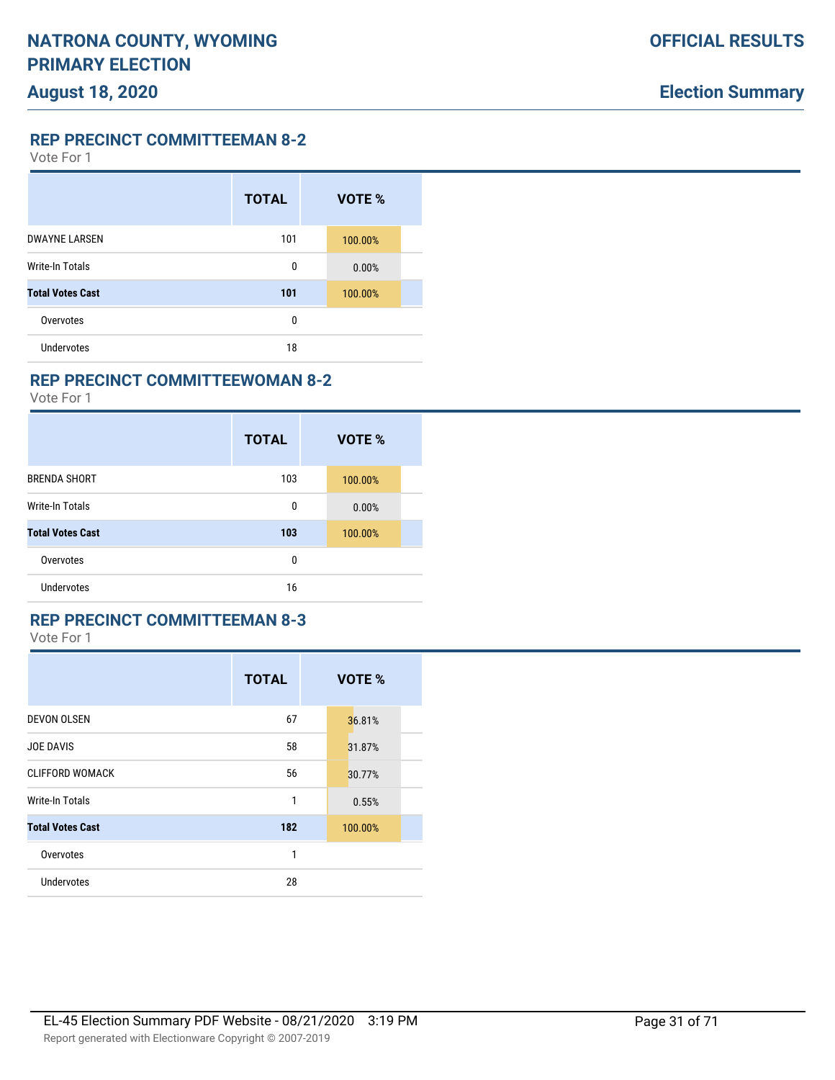**REP PRECINCT COMMITTEEMAN 8-2**

Vote For 1

|                         | <b>TOTAL</b> | VOTE %  |  |
|-------------------------|--------------|---------|--|
| <b>DWAYNE LARSEN</b>    | 101          | 100.00% |  |
| Write-In Totals         | 0            | 0.00%   |  |
| <b>Total Votes Cast</b> | 101          | 100.00% |  |
| Overvotes               | 0            |         |  |
| Undervotes              | 18           |         |  |

### **REP PRECINCT COMMITTEEWOMAN 8-2**

Vote For 1

|                         | <b>TOTAL</b> | VOTE %  |
|-------------------------|--------------|---------|
| <b>BRENDA SHORT</b>     | 103          | 100.00% |
| Write-In Totals         | 0            | 0.00%   |
| <b>Total Votes Cast</b> | 103          | 100.00% |
| Overvotes               | 0            |         |
| Undervotes              | 16           |         |

#### **REP PRECINCT COMMITTEEMAN 8-3**

|                         | <b>TOTAL</b> | VOTE %  |
|-------------------------|--------------|---------|
| <b>DEVON OLSEN</b>      | 67           | 36.81%  |
| <b>JOE DAVIS</b>        | 58           | 31.87%  |
| <b>CLIFFORD WOMACK</b>  | 56           | 30.77%  |
| Write-In Totals         | 1            | 0.55%   |
| <b>Total Votes Cast</b> | 182          | 100.00% |
| Overvotes               | 1            |         |
| <b>Undervotes</b>       | 28           |         |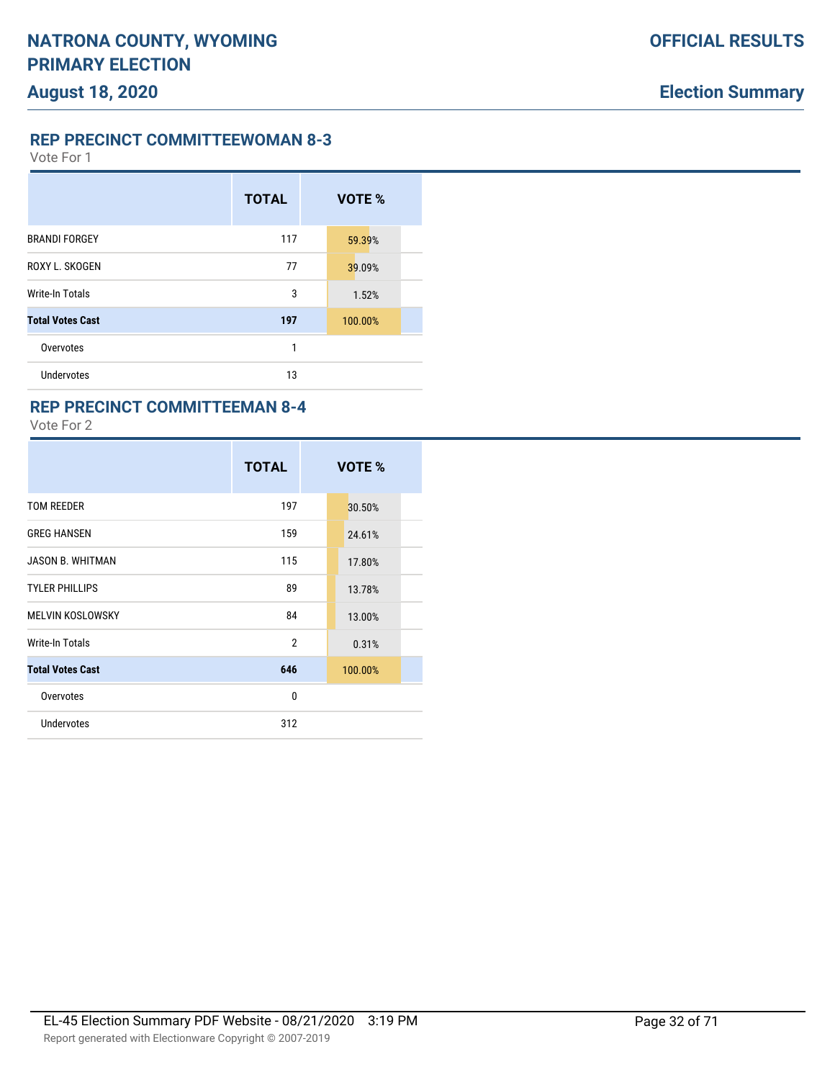**REP PRECINCT COMMITTEEWOMAN 8-3**

Vote For 1

|                         | <b>TOTAL</b> | VOTE %  |  |
|-------------------------|--------------|---------|--|
| <b>BRANDI FORGEY</b>    | 117          | 59.39%  |  |
| ROXY L. SKOGEN          | 77           | 39.09%  |  |
| <b>Write-In Totals</b>  | 3            | 1.52%   |  |
| <b>Total Votes Cast</b> | 197          | 100.00% |  |
| Overvotes               | 1            |         |  |
| Undervotes              | 13           |         |  |

### **REP PRECINCT COMMITTEEMAN 8-4**

|                         | <b>TOTAL</b>   | VOTE %  |
|-------------------------|----------------|---------|
| <b>TOM REEDER</b>       | 197            | 30.50%  |
| <b>GREG HANSEN</b>      | 159            | 24.61%  |
| <b>JASON B. WHITMAN</b> | 115            | 17.80%  |
| <b>TYLER PHILLIPS</b>   | 89             | 13.78%  |
| MELVIN KOSLOWSKY        | 84             | 13.00%  |
| Write-In Totals         | $\mathfrak{p}$ | 0.31%   |
| <b>Total Votes Cast</b> | 646            | 100.00% |
| Overvotes               | $\mathbf{0}$   |         |
| <b>Undervotes</b>       | 312            |         |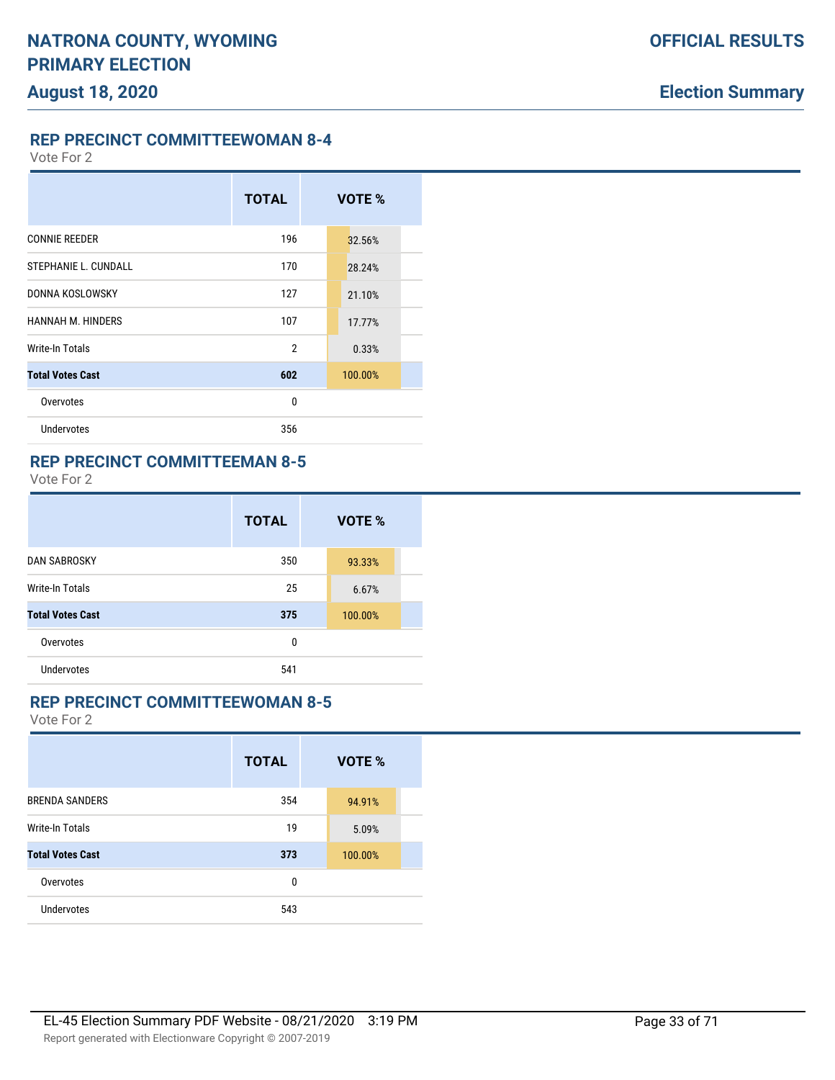**REP PRECINCT COMMITTEEWOMAN 8-4**

Vote For 2

# **TOTAL VOTE %** CONNIE REEDER 196 32.56% STEPHANIE L. CUNDALL 170 28.24% DONNA KOSLOWSKY 127 21.10% HANNAH M. HINDERS 107 17.77% Write-In Totals 2 0.33% **Total Votes Cast 602** 100.00% Overvotes and the contract of the contract of the contract of the contract of the contract of the contract of the contract of the contract of the contract of the contract of the contract of the contract of the contract of Undervotes 356

#### **REP PRECINCT COMMITTEEMAN 8-5**

Vote For 2

|                         | <b>TOTAL</b> | VOTE %  |
|-------------------------|--------------|---------|
| <b>DAN SABROSKY</b>     | 350          | 93.33%  |
| Write-In Totals         | 25           | 6.67%   |
| <b>Total Votes Cast</b> | 375          | 100.00% |
| Overvotes               | 0            |         |
| Undervotes              | 541          |         |

#### **REP PRECINCT COMMITTEEWOMAN 8-5**

|                         | <b>TOTAL</b> | VOTE %  |  |
|-------------------------|--------------|---------|--|
| <b>BRENDA SANDERS</b>   | 354          | 94.91%  |  |
| Write-In Totals         | 19           | 5.09%   |  |
| <b>Total Votes Cast</b> | 373          | 100.00% |  |
| Overvotes               | 0            |         |  |
| <b>Undervotes</b>       | 543          |         |  |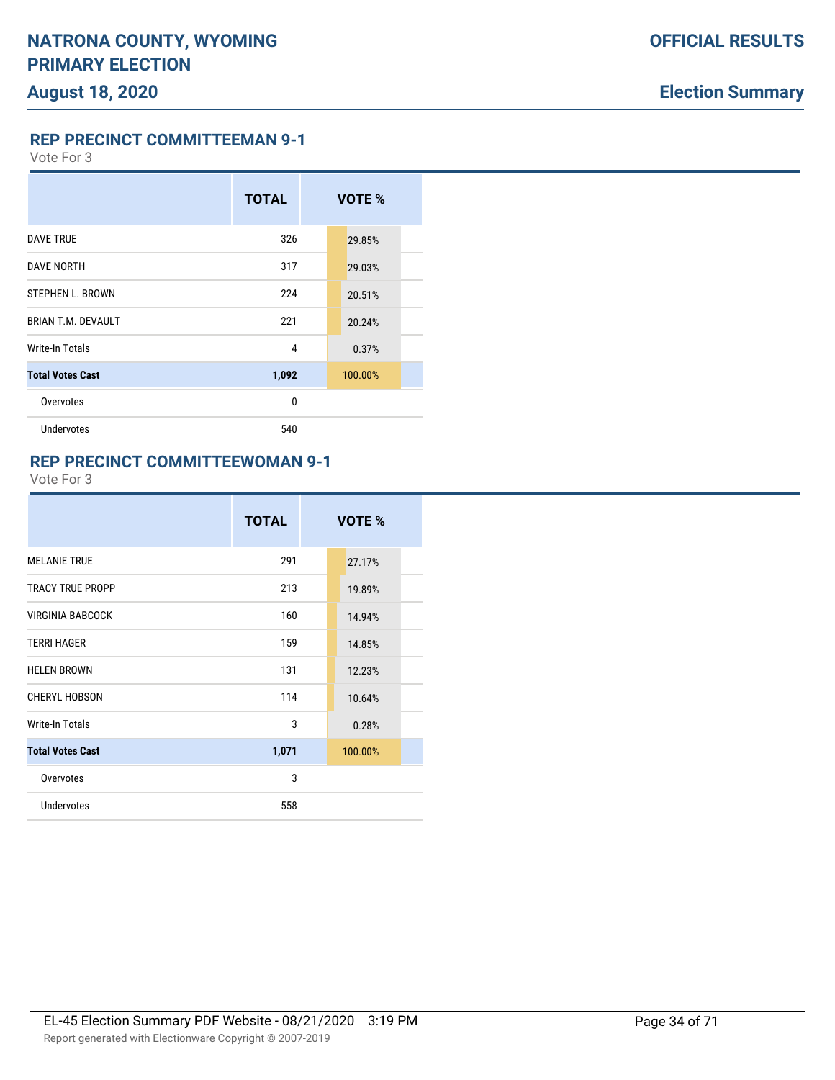**REP PRECINCT COMMITTEEMAN 9-1**

Vote For 3

# **TOTAL VOTE %** DAVE TRUE 29.85% **DAVE NORTH 29.03%** 317 29.03% STEPHEN L. BROWN 224 20.51% **BRIAN T.M. DEVAULT** 221 221 20.24% Write-In Totals 0.37% **Total Votes Cast 1,092** 100.00% Overvotes and the contract of the contract of the contract of the contract of the contract of the contract of the contract of the contract of the contract of the contract of the contract of the contract of the contract of Undervotes 540

#### **REP PRECINCT COMMITTEEWOMAN 9-1**

|                         | <b>TOTAL</b> | VOTE %  |
|-------------------------|--------------|---------|
| <b>MELANIE TRUE</b>     | 291          | 27.17%  |
| <b>TRACY TRUE PROPP</b> | 213          | 19.89%  |
| <b>VIRGINIA BABCOCK</b> | 160          | 14.94%  |
| <b>TERRI HAGER</b>      | 159          | 14.85%  |
| <b>HELEN BROWN</b>      | 131          | 12.23%  |
| <b>CHERYL HOBSON</b>    | 114          | 10.64%  |
| <b>Write-In Totals</b>  | 3            | 0.28%   |
| <b>Total Votes Cast</b> | 1,071        | 100.00% |
| Overvotes               | 3            |         |
| <b>Undervotes</b>       | 558          |         |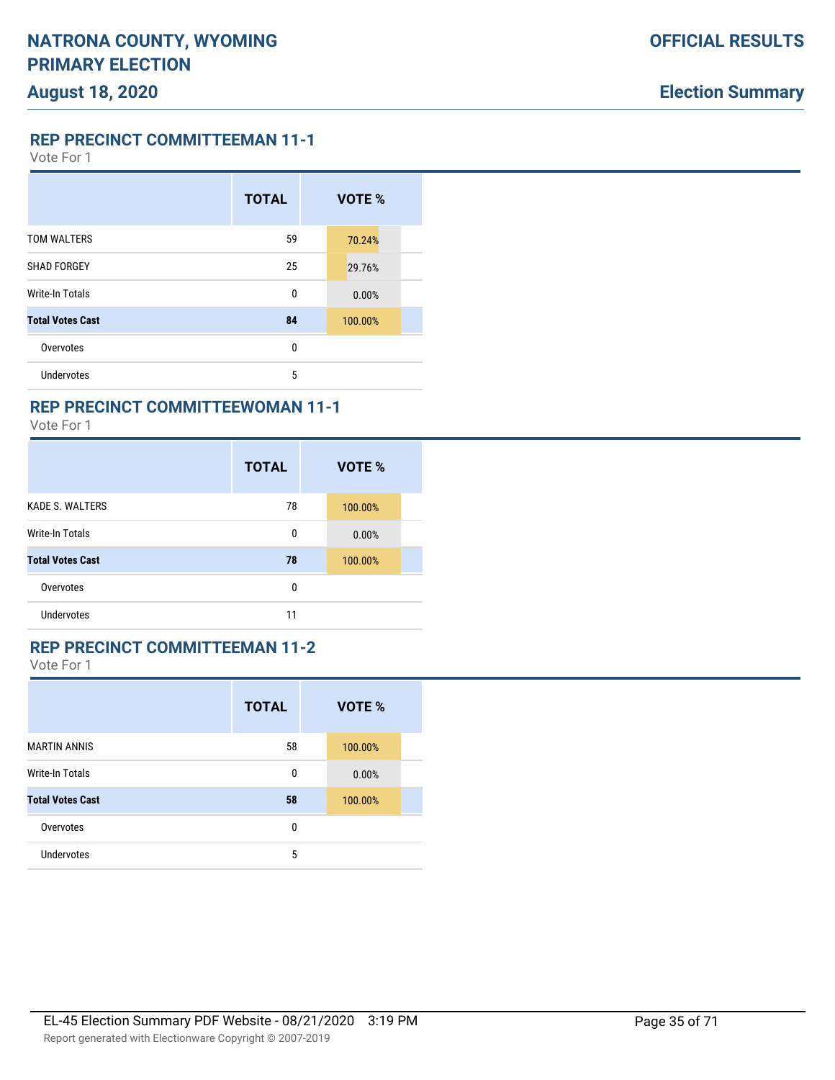Vote For 1

|                         | <b>TOTAL</b> | VOTE %  |
|-------------------------|--------------|---------|
| <b>TOM WALTERS</b>      | 59           | 70.24%  |
| <b>SHAD FORGEY</b>      | 25           | 29.76%  |
| <b>Write-In Totals</b>  | 0            | 0.00%   |
| <b>Total Votes Cast</b> | 84           | 100.00% |
| Overvotes               | 0            |         |
| Undervotes              | 5            |         |

# **REP PRECINCT COMMITTEEWOMAN 11-1**

Vote For 1

|                         | <b>TOTAL</b> | VOTE %  |
|-------------------------|--------------|---------|
| <b>KADE S. WALTERS</b>  | 78           | 100.00% |
| <b>Write-In Totals</b>  | 0            | 0.00%   |
| <b>Total Votes Cast</b> | 78           | 100.00% |
| Overvotes               | 0            |         |
| Undervotes              | 11           |         |

## **REP PRECINCT COMMITTEEMAN 11-2**

|                         | <b>TOTAL</b> | VOTE %  |  |
|-------------------------|--------------|---------|--|
| <b>MARTIN ANNIS</b>     | 58           | 100.00% |  |
| <b>Write-In Totals</b>  | 0            | 0.00%   |  |
| <b>Total Votes Cast</b> | 58           | 100.00% |  |
| Overvotes               | 0            |         |  |
| Undervotes              | 5            |         |  |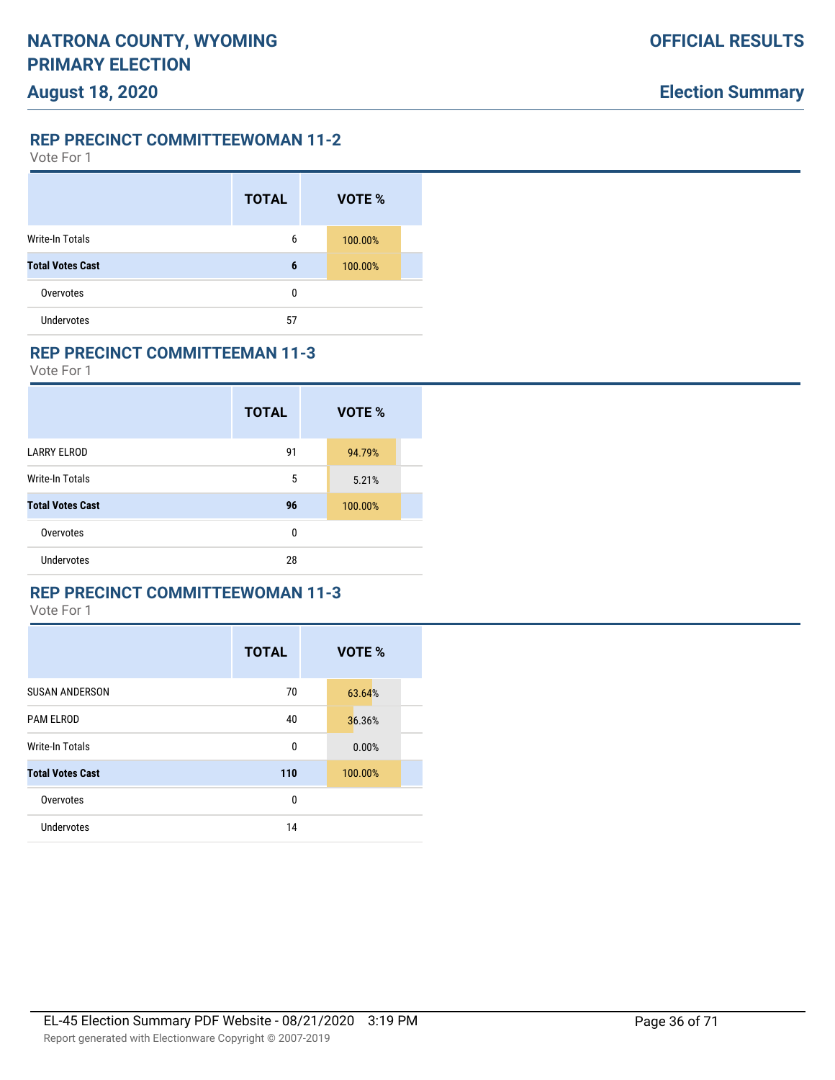### **REP PRECINCT COMMITTEEWOMAN 11-2**

Vote For 1

|                         | <b>TOTAL</b> | VOTE %  |  |
|-------------------------|--------------|---------|--|
| Write-In Totals         | 6            | 100.00% |  |
| <b>Total Votes Cast</b> | 6            | 100.00% |  |
| Overvotes               | 0            |         |  |
| <b>Undervotes</b>       | 57           |         |  |

#### **REP PRECINCT COMMITTEEMAN 11-3**

Vote For 1

|                         | <b>TOTAL</b> | VOTE %  |  |
|-------------------------|--------------|---------|--|
| <b>LARRY ELROD</b>      | 91           | 94.79%  |  |
| Write-In Totals         | 5            | 5.21%   |  |
| <b>Total Votes Cast</b> | 96           | 100.00% |  |
| Overvotes               | 0            |         |  |
| Undervotes              | 28           |         |  |

### **REP PRECINCT COMMITTEEWOMAN 11-3**

|                         | <b>TOTAL</b> | VOTE %  |
|-------------------------|--------------|---------|
| <b>SUSAN ANDERSON</b>   | 70           | 63.64%  |
| <b>PAM ELROD</b>        | 40           | 36.36%  |
| <b>Write-In Totals</b>  | 0            | 0.00%   |
| <b>Total Votes Cast</b> | 110          | 100.00% |
| Overvotes               | 0            |         |
| Undervotes              | 14           |         |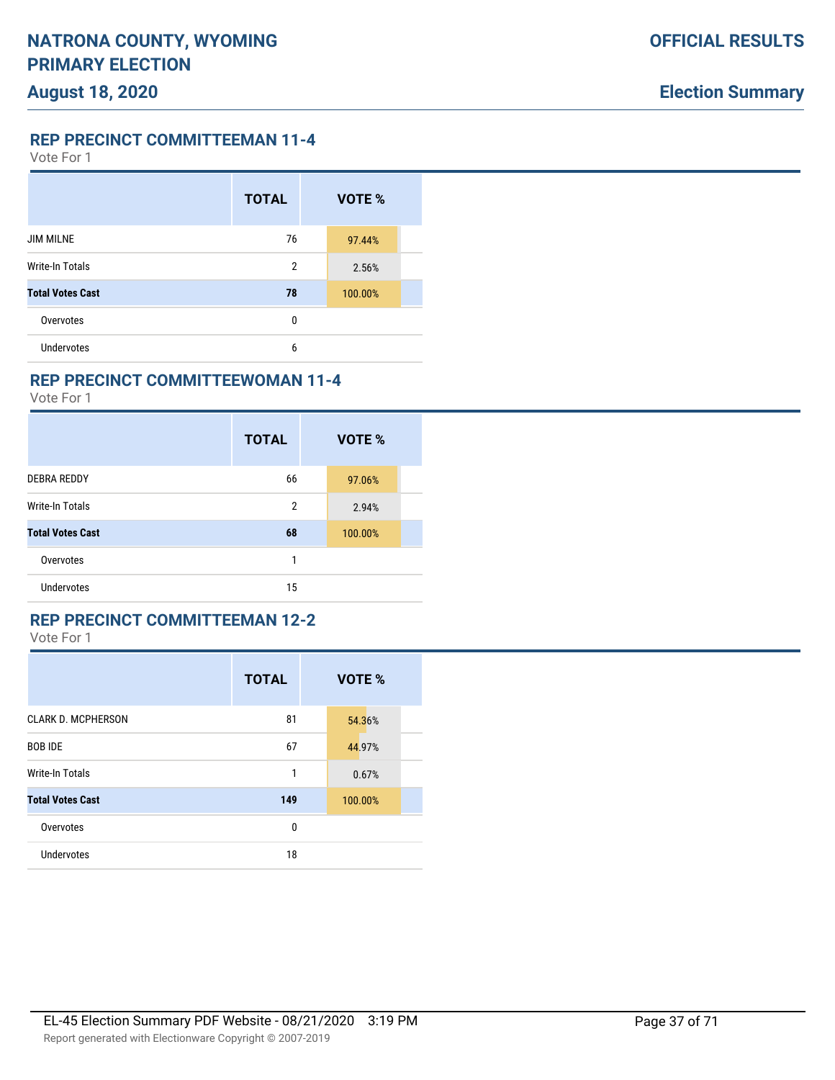Vote For 1

|                         | <b>TOTAL</b>   | VOTE %  |  |
|-------------------------|----------------|---------|--|
| <b>JIM MILNE</b>        | 76             | 97.44%  |  |
| <b>Write-In Totals</b>  | $\overline{2}$ | 2.56%   |  |
| <b>Total Votes Cast</b> | 78             | 100.00% |  |
| Overvotes               | 0              |         |  |
| <b>Undervotes</b>       | 6              |         |  |

#### **REP PRECINCT COMMITTEEWOMAN 11-4**

Vote For 1

|                         | <b>TOTAL</b>   | VOTE %  |
|-------------------------|----------------|---------|
| <b>DEBRA REDDY</b>      | 66             | 97.06%  |
| <b>Write-In Totals</b>  | $\overline{2}$ | 2.94%   |
| <b>Total Votes Cast</b> | 68             | 100.00% |
| Overvotes               | 1              |         |
| Undervotes              | 15             |         |

#### **REP PRECINCT COMMITTEEMAN 12-2**

|                           | <b>TOTAL</b> | VOTE %  |
|---------------------------|--------------|---------|
| <b>CLARK D. MCPHERSON</b> | 81           | 54.36%  |
| <b>BOB IDE</b>            | 67           | 44.97%  |
| Write-In Totals           | 1            | 0.67%   |
| <b>Total Votes Cast</b>   | 149          | 100.00% |
| Overvotes                 | 0            |         |
| <b>Undervotes</b>         | 18           |         |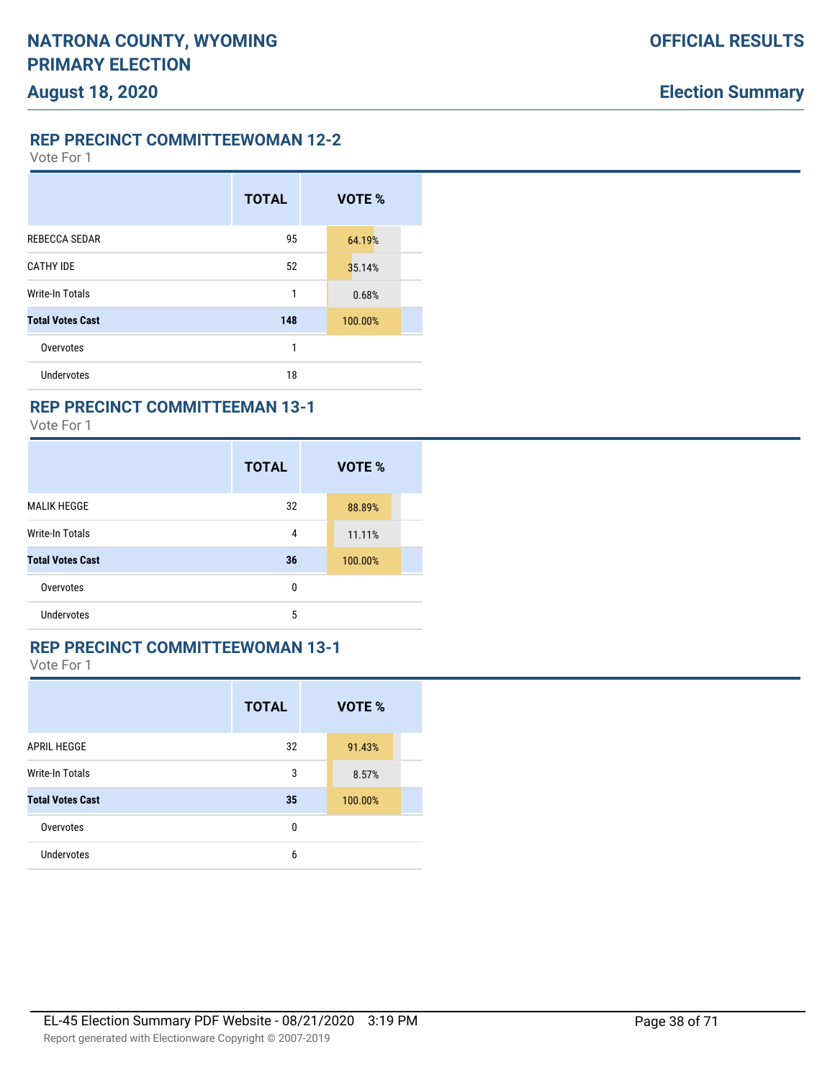**REP PRECINCT COMMITTEEWOMAN 12-2**

Vote For 1

|                         | <b>TOTAL</b> | VOTE %  |  |
|-------------------------|--------------|---------|--|
| <b>REBECCA SEDAR</b>    | 95           | 64.19%  |  |
| <b>CATHY IDE</b>        | 52           | 35.14%  |  |
| <b>Write-In Totals</b>  | 1            | 0.68%   |  |
| <b>Total Votes Cast</b> | 148          | 100.00% |  |
| Overvotes               | 1            |         |  |
| <b>Undervotes</b>       | 18           |         |  |

### **REP PRECINCT COMMITTEEMAN 13-1**

Vote For 1

|                         | <b>TOTAL</b> | VOTE %  |
|-------------------------|--------------|---------|
| <b>MALIK HEGGE</b>      | 32           | 88.89%  |
| <b>Write-In Totals</b>  | 4            | 11.11%  |
| <b>Total Votes Cast</b> | 36           | 100.00% |
| Overvotes               | 0            |         |
| <b>Undervotes</b>       | 5            |         |

### **REP PRECINCT COMMITTEEWOMAN 13-1**

|                         | <b>TOTAL</b> | VOTE %  |  |
|-------------------------|--------------|---------|--|
| <b>APRIL HEGGE</b>      | 32           | 91.43%  |  |
| Write-In Totals         | 3            | 8.57%   |  |
| <b>Total Votes Cast</b> | 35           | 100.00% |  |
| Overvotes               | 0            |         |  |
| <b>Undervotes</b>       | 6            |         |  |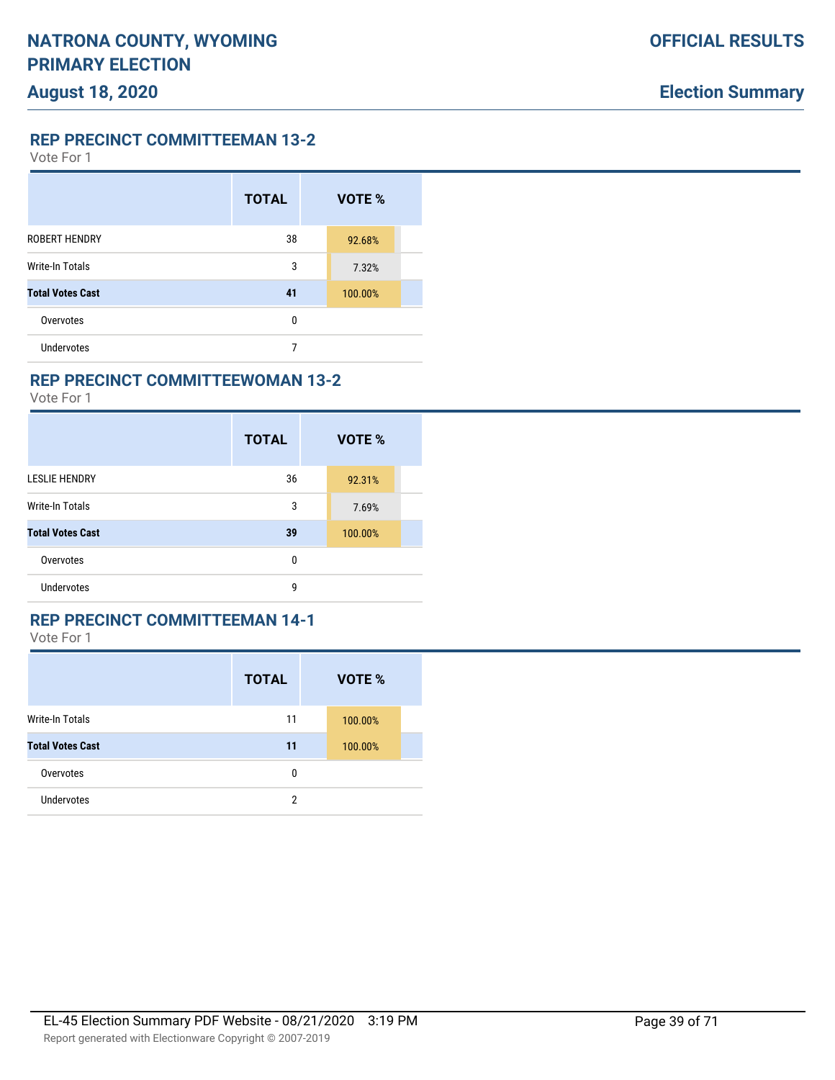Vote For 1

|                         | <b>TOTAL</b> | VOTE %  |  |
|-------------------------|--------------|---------|--|
| <b>ROBERT HENDRY</b>    | 38           | 92.68%  |  |
| Write-In Totals         | 3            | 7.32%   |  |
| <b>Total Votes Cast</b> | 41           | 100.00% |  |
| Overvotes               | 0            |         |  |
| <b>Undervotes</b>       | 7            |         |  |

#### **REP PRECINCT COMMITTEEWOMAN 13-2**

Vote For 1

|                         | <b>TOTAL</b> | VOTE %  |
|-------------------------|--------------|---------|
| <b>LESLIE HENDRY</b>    | 36           | 92.31%  |
| <b>Write-In Totals</b>  | 3            | 7.69%   |
| <b>Total Votes Cast</b> | 39           | 100.00% |
| Overvotes               | 0            |         |
| <b>Undervotes</b>       | 9            |         |

#### **REP PRECINCT COMMITTEEMAN 14-1**

|                         | <b>TOTAL</b> | <b>VOTE %</b> |  |
|-------------------------|--------------|---------------|--|
| <b>Write-In Totals</b>  | 11           | 100.00%       |  |
| <b>Total Votes Cast</b> | 11           | 100.00%       |  |
| Overvotes               | 0            |               |  |
| <b>Undervotes</b>       | 2            |               |  |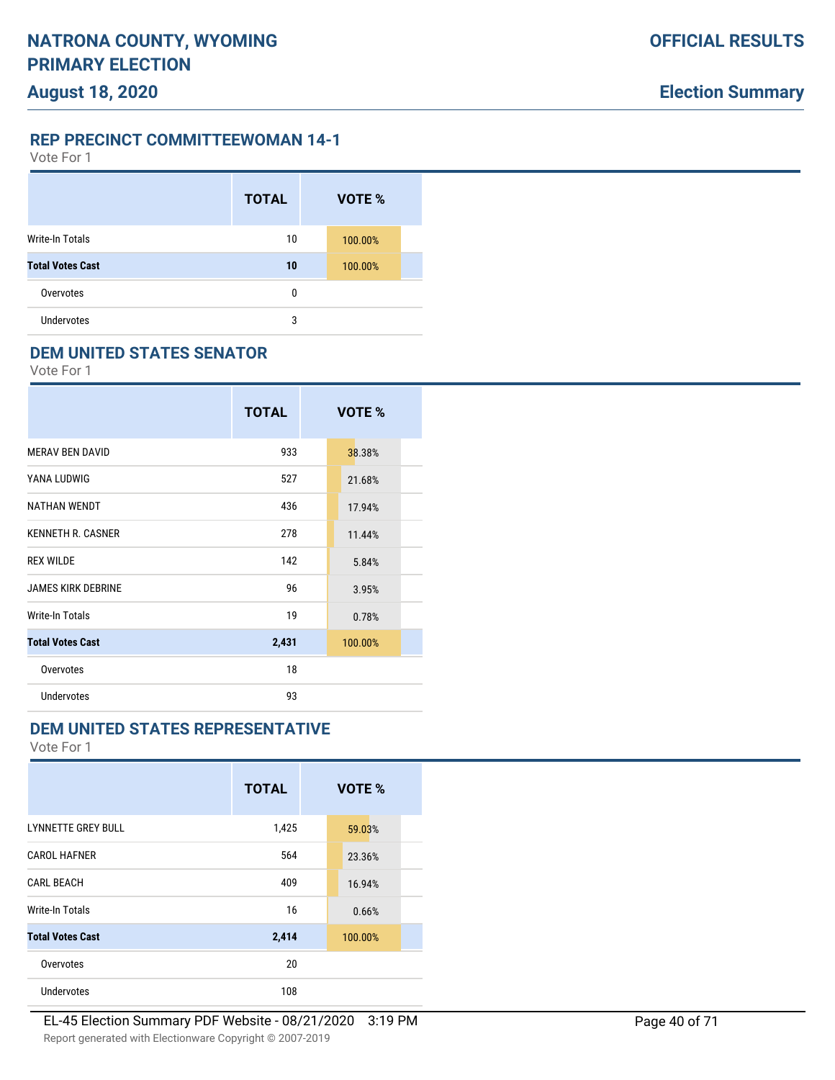### **REP PRECINCT COMMITTEEWOMAN 14-1**

Vote For 1

|                         | <b>TOTAL</b> | VOTE %  |  |
|-------------------------|--------------|---------|--|
| Write-In Totals         | 10           | 100.00% |  |
| <b>Total Votes Cast</b> | 10           | 100.00% |  |
| Overvotes               | 0            |         |  |
| <b>Undervotes</b>       | 3            |         |  |

### **DEM UNITED STATES SENATOR**

Vote For 1

|                           | <b>TOTAL</b> | VOTE %  |
|---------------------------|--------------|---------|
| <b>MERAV BEN DAVID</b>    | 933          | 38.38%  |
| YANA LUDWIG               | 527          | 21.68%  |
| <b>NATHAN WENDT</b>       | 436          | 17.94%  |
| <b>KENNETH R. CASNER</b>  | 278          | 11.44%  |
| <b>REX WILDE</b>          | 142          | 5.84%   |
| <b>JAMES KIRK DEBRINE</b> | 96           | 3.95%   |
| Write-In Totals           | 19           | 0.78%   |
| <b>Total Votes Cast</b>   | 2,431        | 100.00% |
| Overvotes                 | 18           |         |
| <b>Undervotes</b>         | 93           |         |

## **DEM UNITED STATES REPRESENTATIVE**

|                           | <b>TOTAL</b> | VOTE %  |
|---------------------------|--------------|---------|
| <b>LYNNETTE GREY BULL</b> | 1,425        | 59.03%  |
| <b>CAROL HAFNER</b>       | 564          | 23.36%  |
| <b>CARL BEACH</b>         | 409          | 16.94%  |
| Write-In Totals           | 16           | 0.66%   |
| <b>Total Votes Cast</b>   | 2,414        | 100.00% |
| Overvotes                 | 20           |         |
| <b>Undervotes</b>         | 108          |         |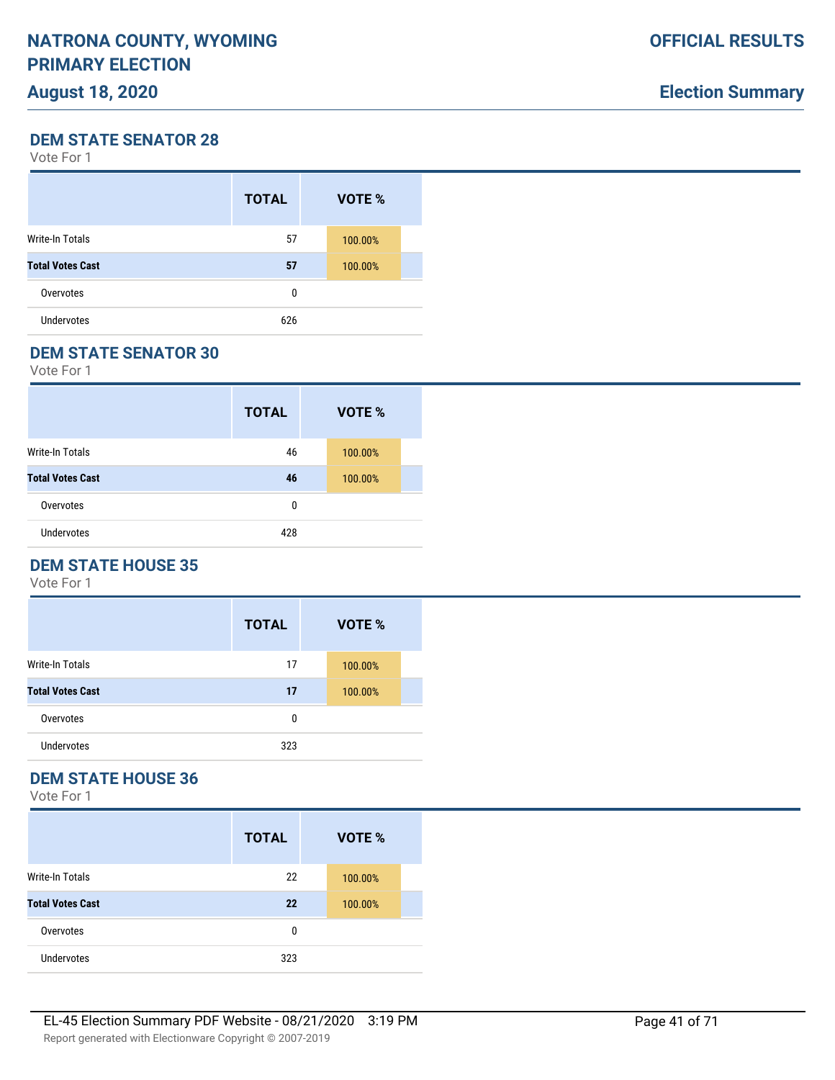# **Election Summary**

**DEM STATE SENATOR 28**

Vote For 1

|                         | <b>TOTAL</b> | VOTE %  |  |
|-------------------------|--------------|---------|--|
| Write-In Totals         | 57           | 100.00% |  |
| <b>Total Votes Cast</b> | 57           | 100.00% |  |
| Overvotes               | 0            |         |  |
| <b>Undervotes</b>       | 626          |         |  |

#### **DEM STATE SENATOR 30**

Vote For 1

|                         | <b>TOTAL</b> | VOTE %  |  |
|-------------------------|--------------|---------|--|
| <b>Write-In Totals</b>  | 46           | 100.00% |  |
| <b>Total Votes Cast</b> | 46           | 100.00% |  |
| Overvotes               | 0            |         |  |
| <b>Undervotes</b>       | 428          |         |  |

## **DEM STATE HOUSE 35**

Vote For 1

|                         | <b>TOTAL</b> | VOTE %  |  |
|-------------------------|--------------|---------|--|
| <b>Write-In Totals</b>  | 17           | 100.00% |  |
| <b>Total Votes Cast</b> | 17           | 100.00% |  |
| Overvotes               | 0            |         |  |
| Undervotes              | 323          |         |  |

# **DEM STATE HOUSE 36**

|                         | <b>TOTAL</b> | <b>VOTE %</b> |  |
|-------------------------|--------------|---------------|--|
| Write-In Totals         | 22           | 100.00%       |  |
| <b>Total Votes Cast</b> | 22           | 100.00%       |  |
| Overvotes               | 0            |               |  |
| <b>Undervotes</b>       | 323          |               |  |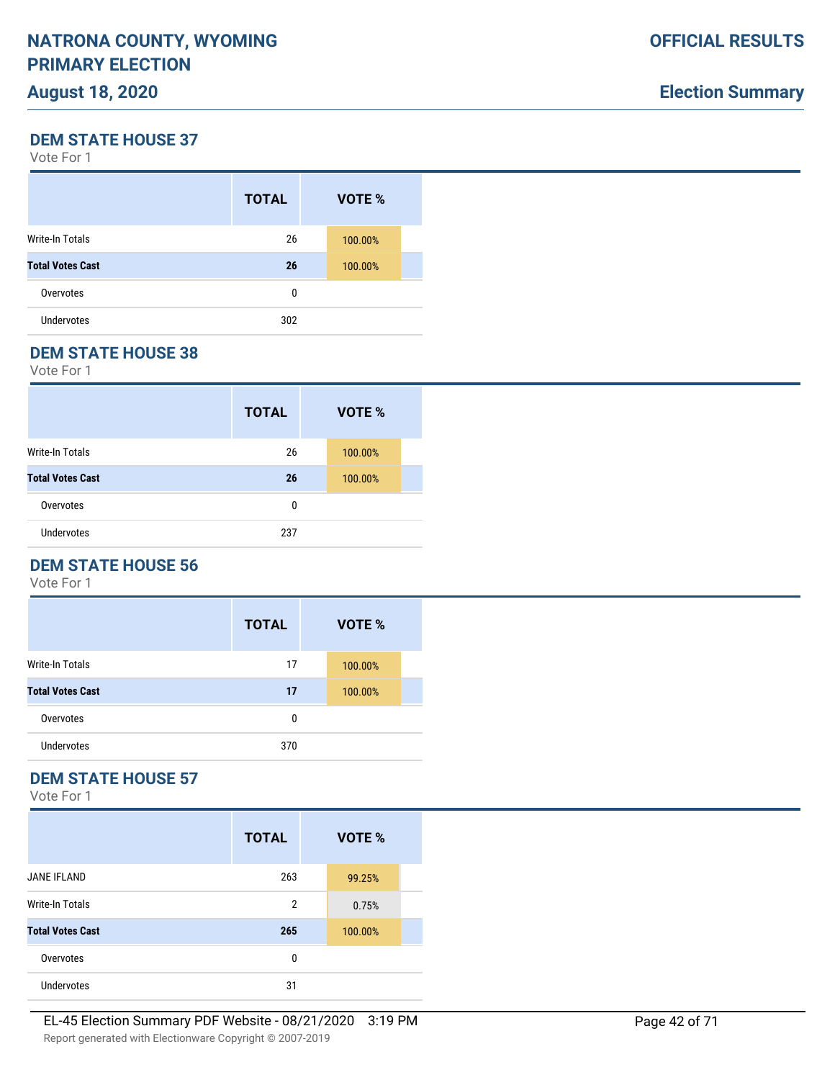# **Election Summary**

**DEM STATE HOUSE 37**

Vote For 1

|                         | <b>TOTAL</b> | <b>VOTE %</b> |  |
|-------------------------|--------------|---------------|--|
| Write-In Totals         | 26           | 100.00%       |  |
| <b>Total Votes Cast</b> | 26           | 100.00%       |  |
| Overvotes               | 0            |               |  |
| <b>Undervotes</b>       | 302          |               |  |
|                         |              |               |  |

#### **DEM STATE HOUSE 38**

Vote For 1

|                         | <b>TOTAL</b> | VOTE %  |  |
|-------------------------|--------------|---------|--|
| <b>Write-In Totals</b>  | 26           | 100.00% |  |
| <b>Total Votes Cast</b> | 26           | 100.00% |  |
| Overvotes               | 0            |         |  |
| <b>Undervotes</b>       | 237          |         |  |

# **DEM STATE HOUSE 56**

Vote For 1

|                         | <b>TOTAL</b> | VOTE %  |
|-------------------------|--------------|---------|
| <b>Write-In Totals</b>  | 17           | 100.00% |
| <b>Total Votes Cast</b> | 17           | 100.00% |
| Overvotes               | 0            |         |
| Undervotes              | 370          |         |

# **DEM STATE HOUSE 57**

|                         | <b>TOTAL</b>   | VOTE %  |  |
|-------------------------|----------------|---------|--|
| <b>JANE IFLAND</b>      | 263            | 99.25%  |  |
| Write-In Totals         | $\overline{2}$ | 0.75%   |  |
| <b>Total Votes Cast</b> | 265            | 100.00% |  |
| Overvotes               | 0              |         |  |
| <b>Undervotes</b>       | 31             |         |  |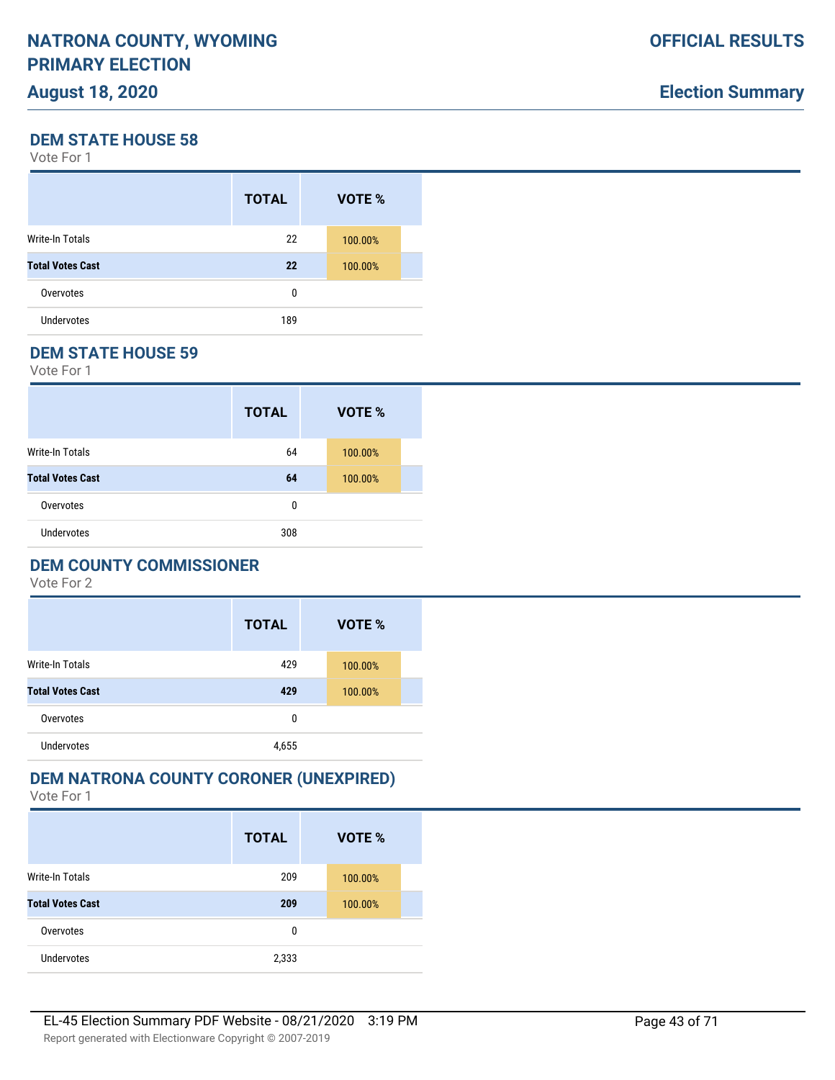# **Election Summary**

**DEM STATE HOUSE 58**

Vote For 1

|                         | <b>TOTAL</b> | VOTE %  |  |
|-------------------------|--------------|---------|--|
| Write-In Totals         | 22           | 100.00% |  |
| <b>Total Votes Cast</b> | 22           | 100.00% |  |
| Overvotes               | 0            |         |  |
| Undervotes              | 189          |         |  |

#### **DEM STATE HOUSE 59**

Vote For 1

|                         | <b>TOTAL</b> | VOTE %  |  |
|-------------------------|--------------|---------|--|
| <b>Write-In Totals</b>  | 64           | 100.00% |  |
| <b>Total Votes Cast</b> | 64           | 100.00% |  |
| Overvotes               | 0            |         |  |
| <b>Undervotes</b>       | 308          |         |  |

### **DEM COUNTY COMMISSIONER**

Vote For 2

|                         | <b>TOTAL</b> | VOTE %  |  |
|-------------------------|--------------|---------|--|
| <b>Write-In Totals</b>  | 429          | 100.00% |  |
| <b>Total Votes Cast</b> | 429          | 100.00% |  |
| Overvotes               | 0            |         |  |
| Undervotes              | 4,655        |         |  |

# **DEM NATRONA COUNTY CORONER (UNEXPIRED)**

|                         | <b>TOTAL</b> | VOTE %  |  |
|-------------------------|--------------|---------|--|
| Write-In Totals         | 209          | 100.00% |  |
| <b>Total Votes Cast</b> | 209          | 100.00% |  |
| Overvotes               | 0            |         |  |
| <b>Undervotes</b>       | 2,333        |         |  |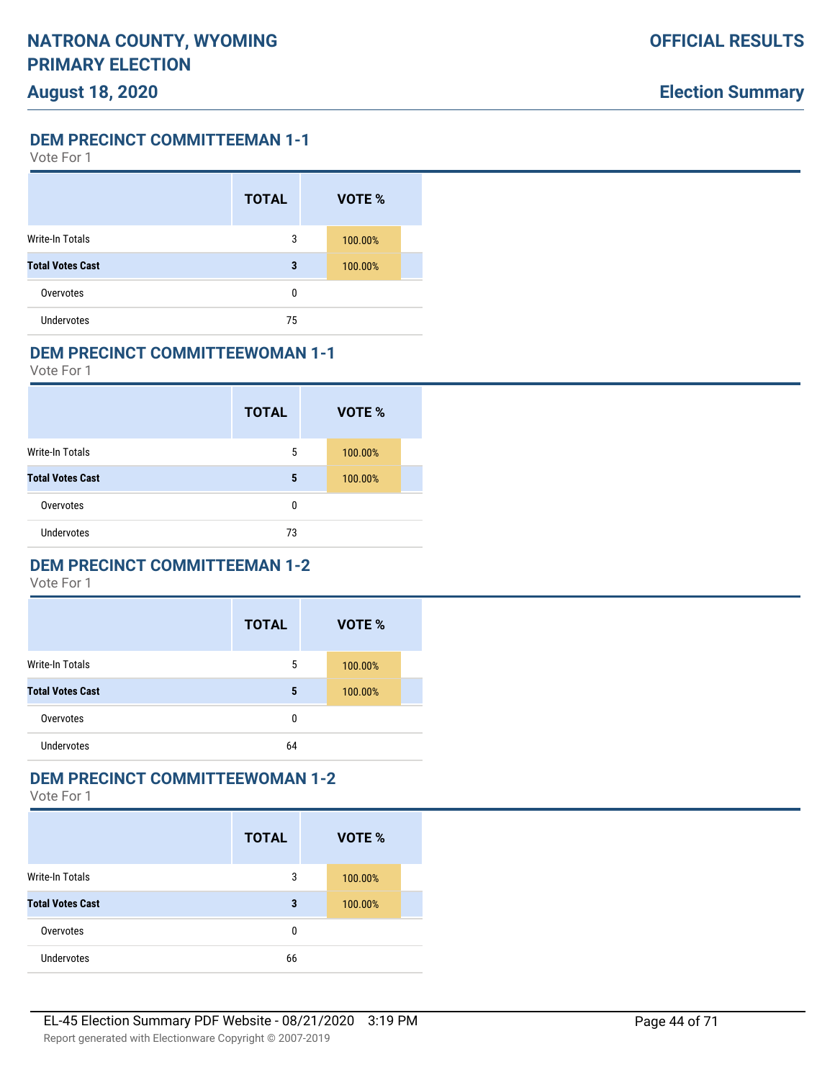Vote For 1

|                         | <b>TOTAL</b> | VOTE %  |  |
|-------------------------|--------------|---------|--|
| <b>Write-In Totals</b>  | 3            | 100.00% |  |
| <b>Total Votes Cast</b> | 3            | 100.00% |  |
| Overvotes               | $\Omega$     |         |  |
| <b>Undervotes</b>       | 75           |         |  |

#### **DEM PRECINCT COMMITTEEWOMAN 1-1**

Vote For 1

|                         | <b>TOTAL</b> | <b>VOTE %</b> |
|-------------------------|--------------|---------------|
| <b>Write-In Totals</b>  | 5            | 100.00%       |
| <b>Total Votes Cast</b> | 5            | 100.00%       |
| Overvotes               | 0            |               |
| <b>Undervotes</b>       | 73           |               |

### **DEM PRECINCT COMMITTEEMAN 1-2**

Vote For 1

|                         | <b>TOTAL</b> | VOTE %  |
|-------------------------|--------------|---------|
| <b>Write-In Totals</b>  | 5            | 100.00% |
| <b>Total Votes Cast</b> | 5            | 100.00% |
| Overvotes               | 0            |         |
| <b>Undervotes</b>       | 64           |         |

### **DEM PRECINCT COMMITTEEWOMAN 1-2**

|                         | <b>TOTAL</b> | <b>VOTE %</b> |
|-------------------------|--------------|---------------|
| Write-In Totals         | 3            | 100.00%       |
| <b>Total Votes Cast</b> | 3            | 100.00%       |
| Overvotes               | 0            |               |
| <b>Undervotes</b>       | 66           |               |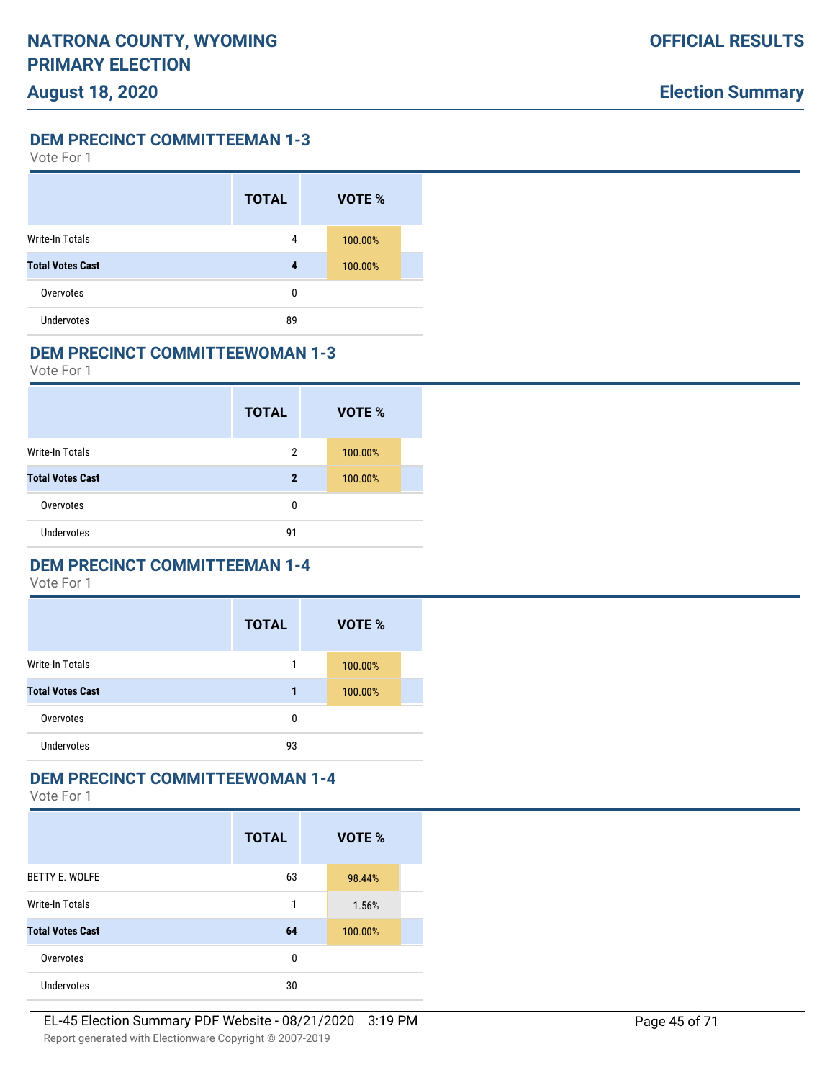Vote For 1

|                         | <b>TOTAL</b> | VOTE %  |  |
|-------------------------|--------------|---------|--|
| <b>Write-In Totals</b>  | 4            | 100.00% |  |
| <b>Total Votes Cast</b> | 4            | 100.00% |  |
| Overvotes               | $\Omega$     |         |  |
| <b>Undervotes</b>       | 89           |         |  |

#### **DEM PRECINCT COMMITTEEWOMAN 1-3**

Vote For 1

|                         | <b>TOTAL</b> | VOTE %  |  |
|-------------------------|--------------|---------|--|
| <b>Write-In Totals</b>  | 2            | 100.00% |  |
| <b>Total Votes Cast</b> | $\mathbf 2$  | 100.00% |  |
| Overvotes               | 0            |         |  |
| <b>Undervotes</b>       | 91           |         |  |

### **DEM PRECINCT COMMITTEEMAN 1-4**

Vote For 1

|                         | <b>TOTAL</b> | VOTE %  |
|-------------------------|--------------|---------|
| <b>Write-In Totals</b>  | 1            | 100.00% |
| <b>Total Votes Cast</b> | 1            | 100.00% |
| Overvotes               | 0            |         |
| <b>Undervotes</b>       | 93           |         |

### **DEM PRECINCT COMMITTEEWOMAN 1-4**

|                         | <b>TOTAL</b> | VOTE %  |  |
|-------------------------|--------------|---------|--|
| <b>BETTY E. WOLFE</b>   | 63           | 98.44%  |  |
| Write-In Totals         | 1            | 1.56%   |  |
| <b>Total Votes Cast</b> | 64           | 100.00% |  |
| Overvotes               | 0            |         |  |
| <b>Undervotes</b>       | 30           |         |  |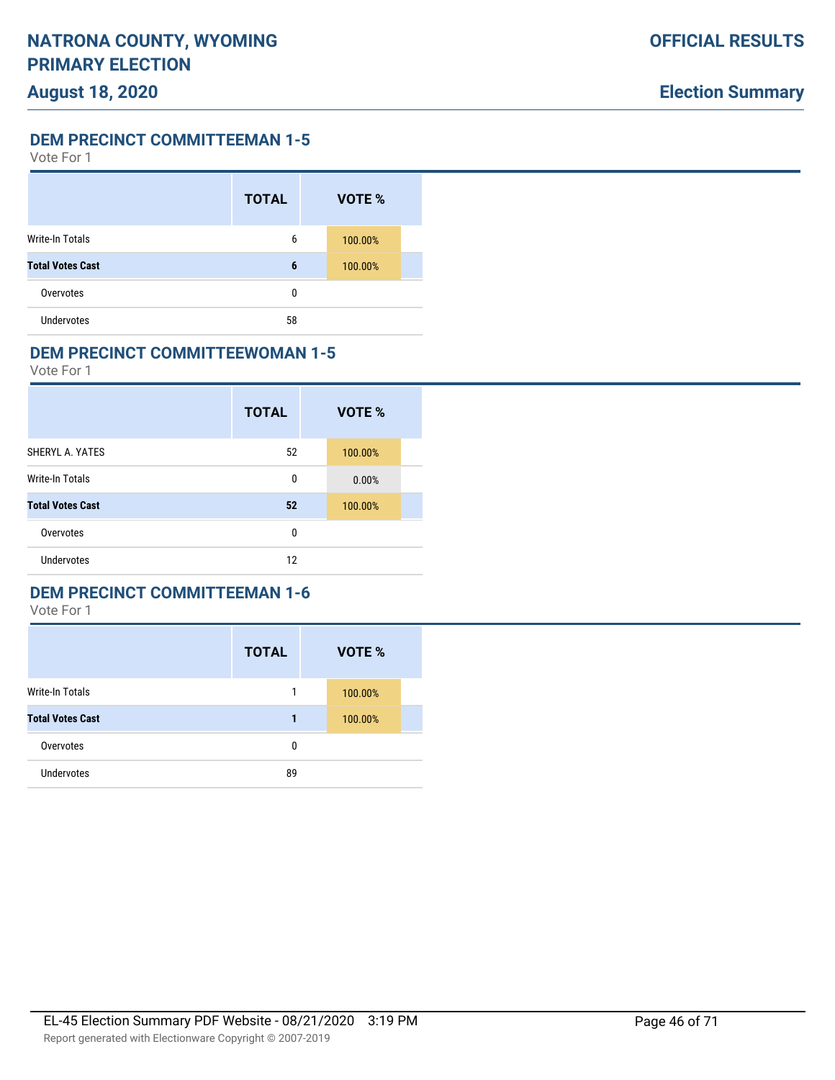Vote For 1

|                         | <b>TOTAL</b> | VOTE %  |  |
|-------------------------|--------------|---------|--|
| Write-In Totals         | 6            | 100.00% |  |
| <b>Total Votes Cast</b> | 6            | 100.00% |  |
| Overvotes               | 0            |         |  |
| <b>Undervotes</b>       | 58           |         |  |

#### **DEM PRECINCT COMMITTEEWOMAN 1-5**

Vote For 1

|                         | <b>TOTAL</b> | VOTE %  |  |
|-------------------------|--------------|---------|--|
| SHERYL A. YATES         | 52           | 100.00% |  |
| Write-In Totals         | 0            | 0.00%   |  |
| <b>Total Votes Cast</b> | 52           | 100.00% |  |
| Overvotes               | 0            |         |  |
| <b>Undervotes</b>       | 12           |         |  |

### **DEM PRECINCT COMMITTEEMAN 1-6**

|                         | <b>TOTAL</b> | VOTE %  |
|-------------------------|--------------|---------|
| Write-In Totals         | 1            | 100.00% |
| <b>Total Votes Cast</b> | 1            | 100.00% |
| Overvotes               | 0            |         |
| <b>Undervotes</b>       | 89           |         |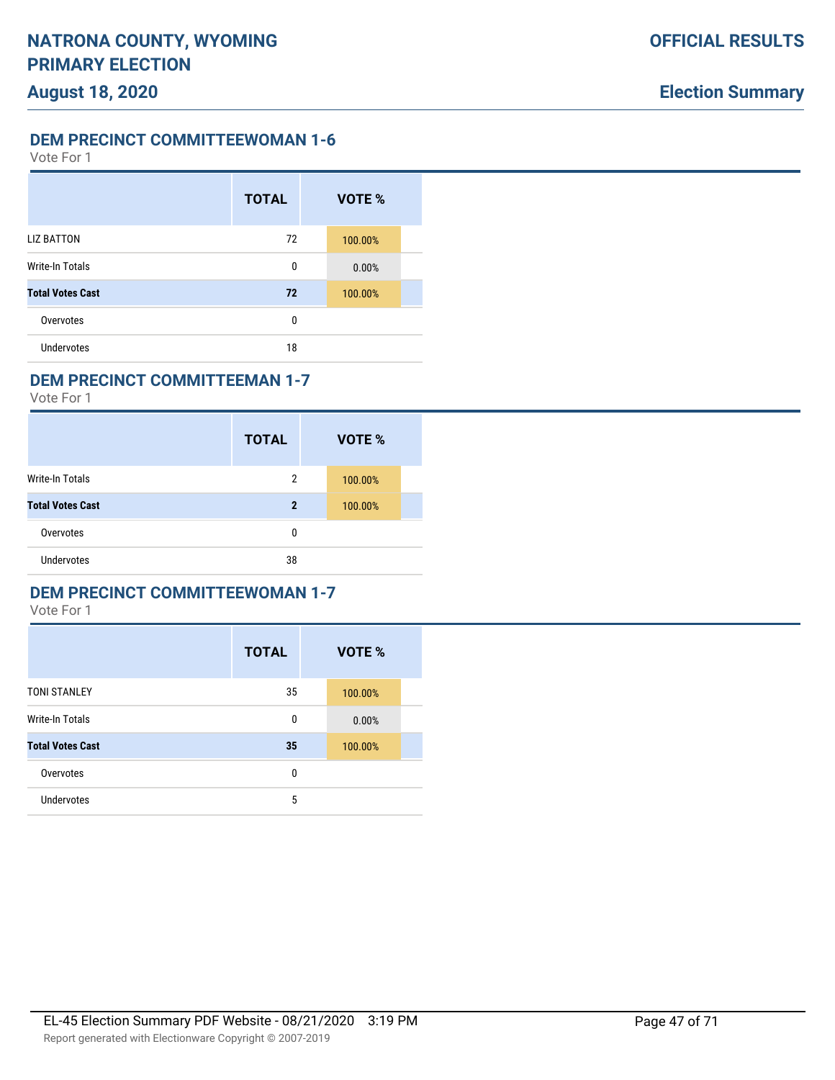Vote For 1

|                         | <b>TOTAL</b> | VOTE %  |  |
|-------------------------|--------------|---------|--|
| <b>LIZ BATTON</b>       | 72           | 100.00% |  |
| <b>Write-In Totals</b>  | 0            | 0.00%   |  |
| <b>Total Votes Cast</b> | 72           | 100.00% |  |
| Overvotes               | 0            |         |  |
| Undervotes              | 18           |         |  |

### **DEM PRECINCT COMMITTEEMAN 1-7**

Vote For 1

|                         | <b>TOTAL</b> | VOTE %  |  |
|-------------------------|--------------|---------|--|
| <b>Write-In Totals</b>  | 2            | 100.00% |  |
| <b>Total Votes Cast</b> | $\mathbf{2}$ | 100.00% |  |
| Overvotes               | 0            |         |  |
| <b>Undervotes</b>       | 38           |         |  |

#### **DEM PRECINCT COMMITTEEWOMAN 1-7**

|                         | <b>TOTAL</b> | VOTE %  |  |
|-------------------------|--------------|---------|--|
| <b>TONI STANLEY</b>     | 35           | 100.00% |  |
| <b>Write-In Totals</b>  | 0            | 0.00%   |  |
| <b>Total Votes Cast</b> | 35           | 100.00% |  |
| Overvotes               | 0            |         |  |
| <b>Undervotes</b>       | 5            |         |  |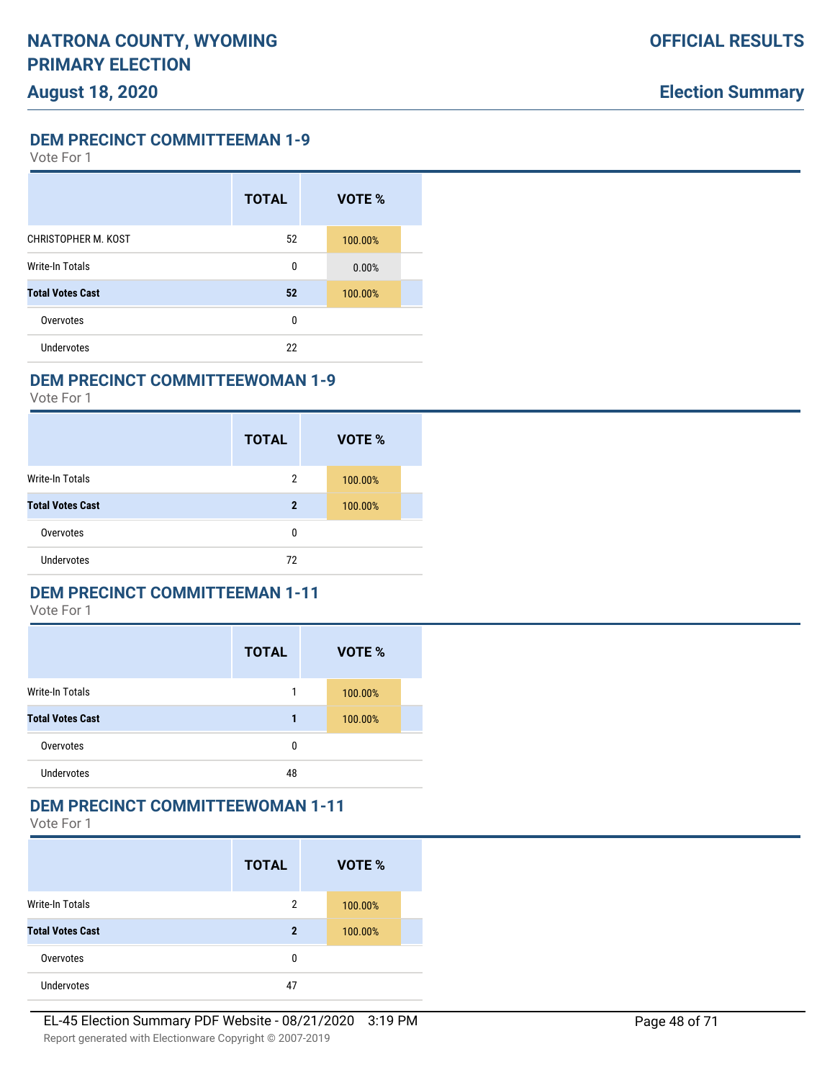Vote For 1

|                         | <b>TOTAL</b> | VOTE %  |  |
|-------------------------|--------------|---------|--|
| CHRISTOPHER M. KOST     | 52           | 100.00% |  |
| <b>Write-In Totals</b>  | 0            | 0.00%   |  |
| <b>Total Votes Cast</b> | 52           | 100.00% |  |
| Overvotes               | 0            |         |  |
| Undervotes              | 22           |         |  |

### **DEM PRECINCT COMMITTEEWOMAN 1-9**

Vote For 1

|                         | <b>TOTAL</b> | <b>VOTE %</b> |  |
|-------------------------|--------------|---------------|--|
| <b>Write-In Totals</b>  | 2            | 100.00%       |  |
| <b>Total Votes Cast</b> | 2            | 100.00%       |  |
| Overvotes               | 0            |               |  |
| <b>Undervotes</b>       | 72           |               |  |

### **DEM PRECINCT COMMITTEEMAN 1-11**

Vote For 1

|                         | <b>TOTAL</b> | VOTE %  |  |
|-------------------------|--------------|---------|--|
| Write-In Totals         | 1            | 100.00% |  |
| <b>Total Votes Cast</b> | 1            | 100.00% |  |
| Overvotes               | 0            |         |  |
| <b>Undervotes</b>       | 48           |         |  |

### **DEM PRECINCT COMMITTEEWOMAN 1-11**

|                         | <b>TOTAL</b> | VOTE %  |
|-------------------------|--------------|---------|
| Write-In Totals         | 2            | 100.00% |
| <b>Total Votes Cast</b> | $\mathbf{2}$ | 100.00% |
| Overvotes               | 0            |         |
| <b>Undervotes</b>       | 47           |         |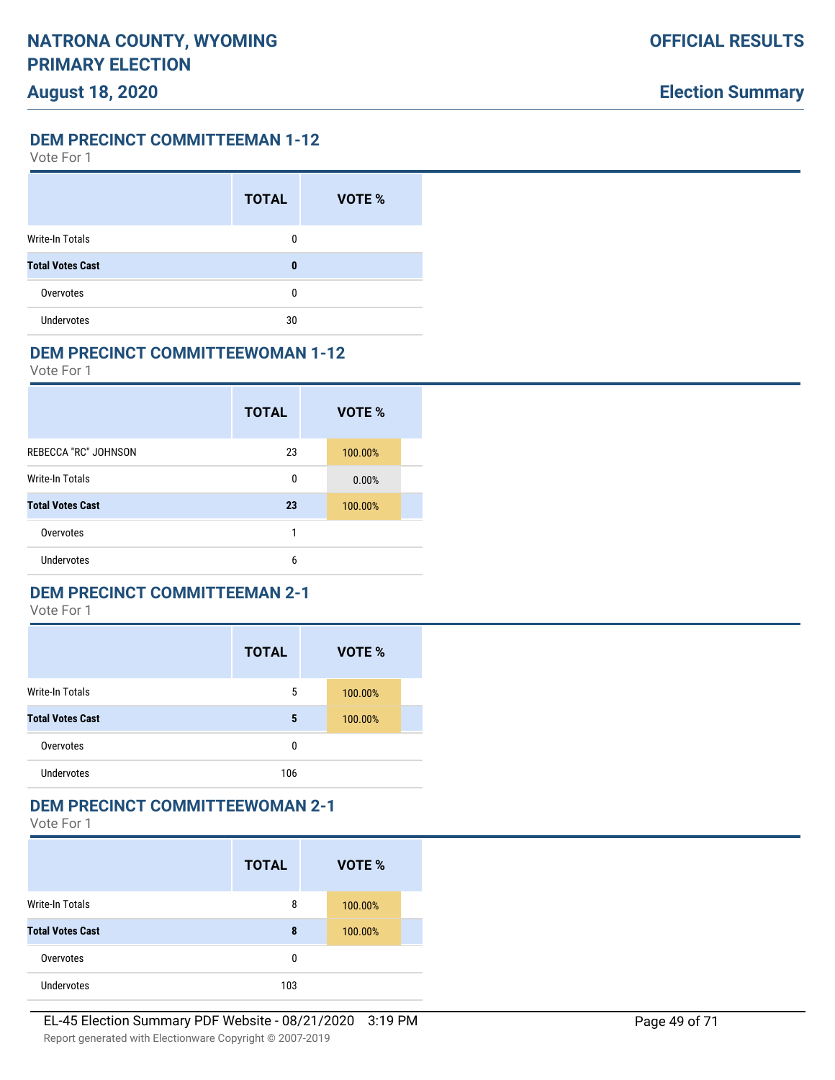Vote For 1

|                         | <b>TOTAL</b> | <b>VOTE %</b> |
|-------------------------|--------------|---------------|
| Write-In Totals         | 0            |               |
| <b>Total Votes Cast</b> | 0            |               |
| Overvotes               | 0            |               |
| <b>Undervotes</b>       | 30           |               |

#### **DEM PRECINCT COMMITTEEWOMAN 1-12**

Vote For 1

|                             | <b>TOTAL</b> | VOTE %  |
|-----------------------------|--------------|---------|
| <b>REBECCA "RC" JOHNSON</b> | 23           | 100.00% |
| <b>Write-In Totals</b>      | 0            | 0.00%   |
| <b>Total Votes Cast</b>     | 23           | 100.00% |
| Overvotes                   | 1            |         |
| <b>Undervotes</b>           | 6            |         |

### **DEM PRECINCT COMMITTEEMAN 2-1**

Vote For 1

|                         | <b>TOTAL</b> | VOTE %  |
|-------------------------|--------------|---------|
| <b>Write-In Totals</b>  | 5            | 100.00% |
| <b>Total Votes Cast</b> | 5            | 100.00% |
| Overvotes               | 0            |         |
| Undervotes              | 106          |         |

### **DEM PRECINCT COMMITTEEWOMAN 2-1**

|                         | <b>TOTAL</b> | VOTE %  |  |
|-------------------------|--------------|---------|--|
| <b>Write-In Totals</b>  | 8            | 100.00% |  |
| <b>Total Votes Cast</b> | 8            | 100.00% |  |
| Overvotes               | 0            |         |  |
| <b>Undervotes</b>       | 103          |         |  |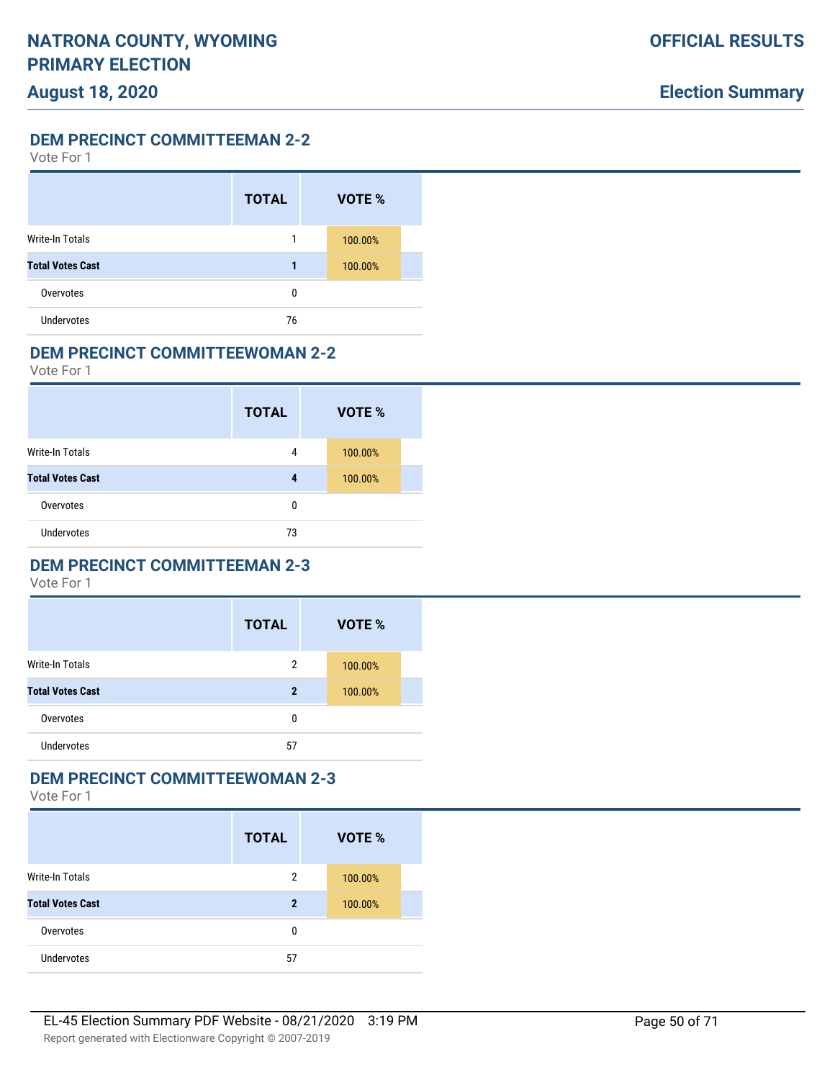Vote For 1

|                         | <b>TOTAL</b> | VOTE %  |  |
|-------------------------|--------------|---------|--|
| <b>Write-In Totals</b>  | 1            | 100.00% |  |
| <b>Total Votes Cast</b> | 1            | 100.00% |  |
| Overvotes               | 0            |         |  |
| <b>Undervotes</b>       | 76           |         |  |

#### **DEM PRECINCT COMMITTEEWOMAN 2-2**

Vote For 1

|                         | <b>TOTAL</b> | VOTE %  |  |
|-------------------------|--------------|---------|--|
| Write-In Totals         | 4            | 100.00% |  |
| <b>Total Votes Cast</b> | 4            | 100.00% |  |
| Overvotes               | 0            |         |  |
| Undervotes              | 73           |         |  |

### **DEM PRECINCT COMMITTEEMAN 2-3**

Vote For 1

|                         | <b>TOTAL</b> | VOTE %  |
|-------------------------|--------------|---------|
| <b>Write-In Totals</b>  | 2            | 100.00% |
| <b>Total Votes Cast</b> | $\mathbf 2$  | 100.00% |
| Overvotes               | 0            |         |
| <b>Undervotes</b>       | 57           |         |

# **DEM PRECINCT COMMITTEEWOMAN 2-3**

|                         | <b>TOTAL</b>   | VOTE %  |
|-------------------------|----------------|---------|
| <b>Write-In Totals</b>  | $\overline{2}$ | 100.00% |
| <b>Total Votes Cast</b> | $\mathbf 2$    | 100.00% |
| Overvotes               | 0              |         |
| <b>Undervotes</b>       | 57             |         |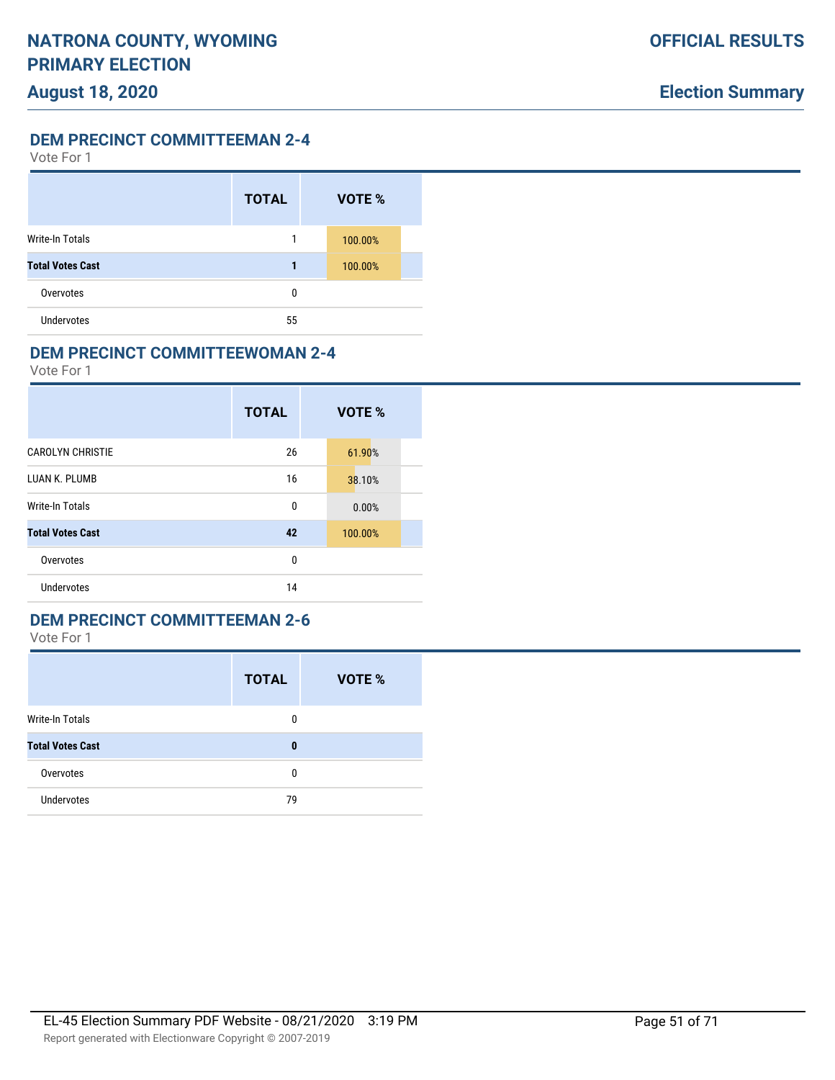Vote For 1

|                         | <b>TOTAL</b> | VOTE %  |  |
|-------------------------|--------------|---------|--|
| Write-In Totals         | 1            | 100.00% |  |
| <b>Total Votes Cast</b> | 1            | 100.00% |  |
| Overvotes               | 0            |         |  |
| <b>Undervotes</b>       | 55           |         |  |

#### **DEM PRECINCT COMMITTEEWOMAN 2-4**

Vote For 1

|                         | <b>TOTAL</b> | VOTE %  |
|-------------------------|--------------|---------|
| <b>CAROLYN CHRISTIE</b> | 26           | 61.90%  |
| LUAN K. PLUMB           | 16           | 38.10%  |
| Write-In Totals         | 0            | 0.00%   |
| <b>Total Votes Cast</b> | 42           | 100.00% |
| Overvotes               | 0            |         |
| <b>Undervotes</b>       | 14           |         |

#### **DEM PRECINCT COMMITTEEMAN 2-6**

|                         | <b>TOTAL</b> | <b>VOTE %</b> |
|-------------------------|--------------|---------------|
| Write-In Totals         | 0            |               |
| <b>Total Votes Cast</b> | 0            |               |
| Overvotes               | 0            |               |
| <b>Undervotes</b>       | 79           |               |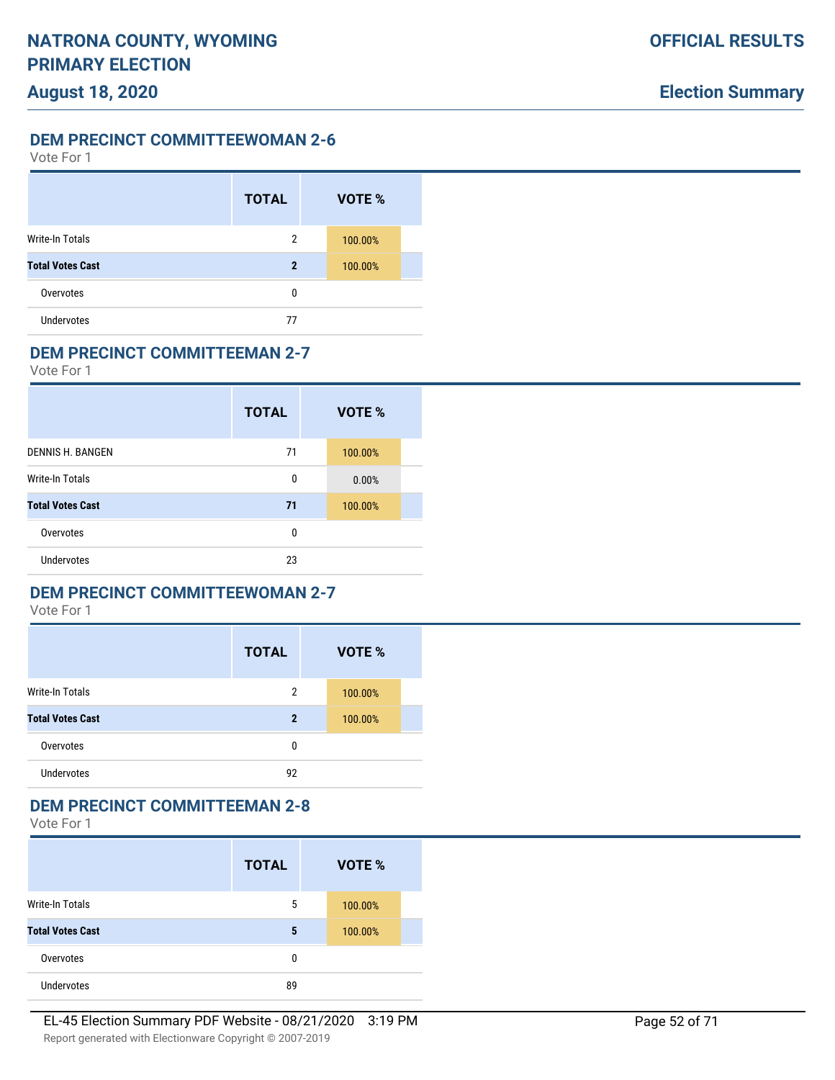Vote For 1

|                         | <b>TOTAL</b> | VOTE %  |  |
|-------------------------|--------------|---------|--|
| Write-In Totals         | 2            | 100.00% |  |
| <b>Total Votes Cast</b> | $\mathbf 2$  | 100.00% |  |
| Overvotes               | 0            |         |  |
| <b>Undervotes</b>       | 77           |         |  |

#### **DEM PRECINCT COMMITTEEMAN 2-7**

Vote For 1

|                         | <b>TOTAL</b> | VOTE %  |
|-------------------------|--------------|---------|
| DENNIS H. BANGEN        | 71           | 100.00% |
| <b>Write-In Totals</b>  | 0            | 0.00%   |
| <b>Total Votes Cast</b> | 71           | 100.00% |
| Overvotes               | 0            |         |
| Undervotes              | 23           |         |

### **DEM PRECINCT COMMITTEEWOMAN 2-7**

Vote For 1

|                         | <b>TOTAL</b>   | VOTE %  |
|-------------------------|----------------|---------|
| <b>Write-In Totals</b>  | $\overline{2}$ | 100.00% |
| <b>Total Votes Cast</b> | $\mathbf 2$    | 100.00% |
| Overvotes               | 0              |         |
| <b>Undervotes</b>       | 92             |         |

### **DEM PRECINCT COMMITTEEMAN 2-8**

|                         | <b>TOTAL</b> | VOTE %  |
|-------------------------|--------------|---------|
| <b>Write-In Totals</b>  | 5            | 100.00% |
| <b>Total Votes Cast</b> | 5            | 100.00% |
| Overvotes               | 0            |         |
| <b>Undervotes</b>       | 89           |         |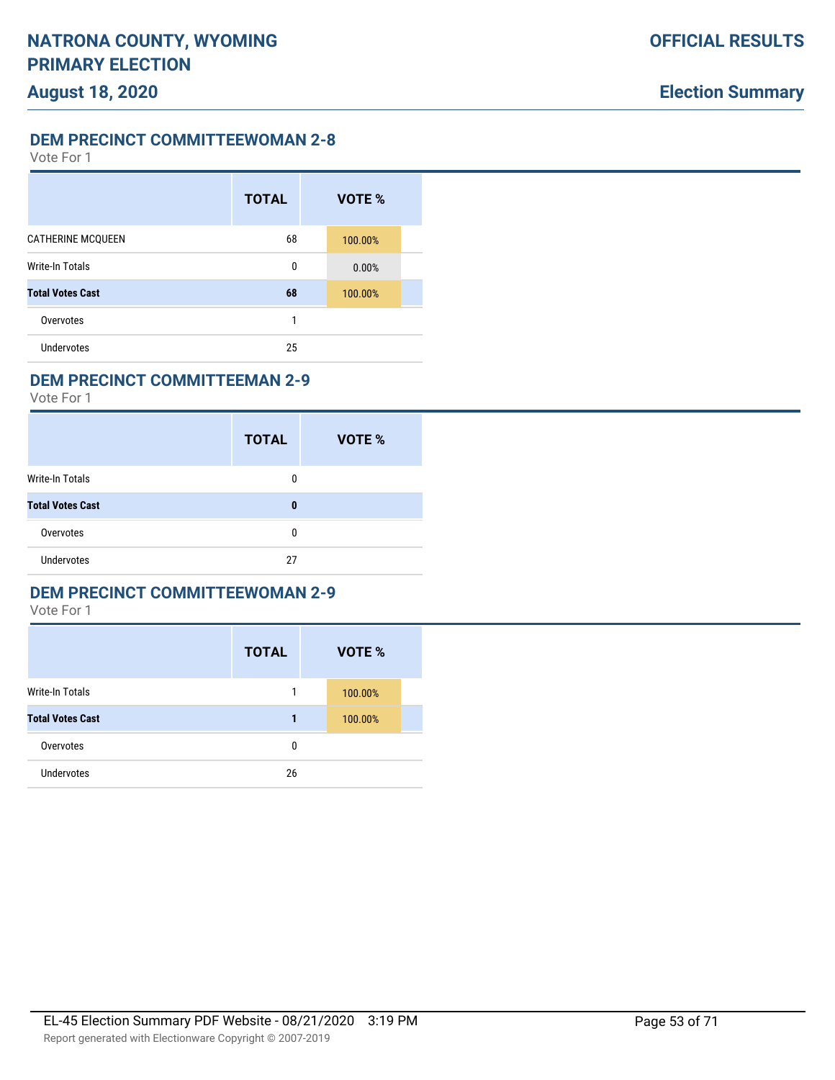Vote For 1

|                          | <b>TOTAL</b> | VOTE %  |  |
|--------------------------|--------------|---------|--|
| <b>CATHERINE MCQUEEN</b> | 68           | 100.00% |  |
| <b>Write-In Totals</b>   | 0            | 0.00%   |  |
| <b>Total Votes Cast</b>  | 68           | 100.00% |  |
| Overvotes                | 1            |         |  |
| Undervotes               | 25           |         |  |

### **DEM PRECINCT COMMITTEEMAN 2-9**

Vote For 1

|                         | <b>TOTAL</b> | VOTE % |
|-------------------------|--------------|--------|
| <b>Write-In Totals</b>  | 0            |        |
| <b>Total Votes Cast</b> | 0            |        |
| Overvotes               | 0            |        |
| <b>Undervotes</b>       | 27           |        |

### **DEM PRECINCT COMMITTEEWOMAN 2-9**

|                         | <b>TOTAL</b> | VOTE %  |
|-------------------------|--------------|---------|
| <b>Write-In Totals</b>  | 1            | 100.00% |
| <b>Total Votes Cast</b> | 1            | 100.00% |
| Overvotes               | 0            |         |
| <b>Undervotes</b>       | 26           |         |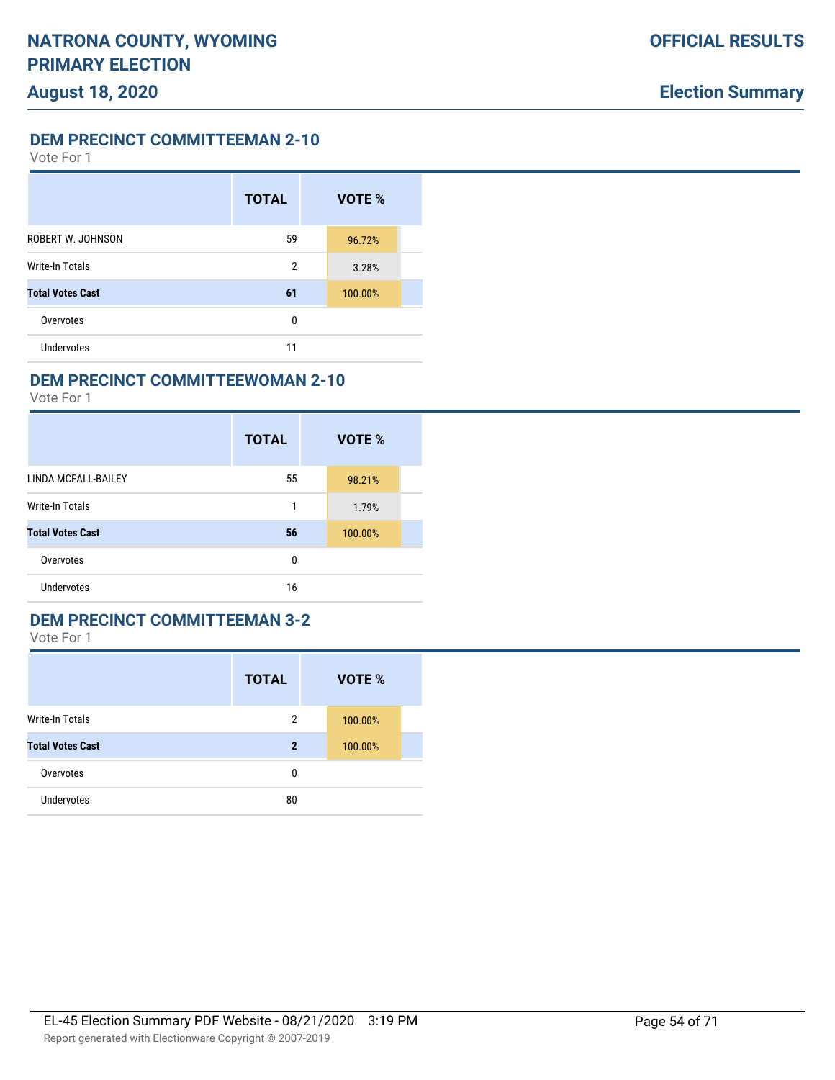Vote For 1

|                          | <b>TOTAL</b>   | VOTE %  |  |
|--------------------------|----------------|---------|--|
| <b>ROBERT W. JOHNSON</b> | 59             | 96.72%  |  |
| <b>Write-In Totals</b>   | $\overline{2}$ | 3.28%   |  |
| <b>Total Votes Cast</b>  | 61             | 100.00% |  |
| Overvotes                | 0              |         |  |
| <b>Undervotes</b>        | 11             |         |  |

### **DEM PRECINCT COMMITTEEWOMAN 2-10**

Vote For 1

|                         | <b>TOTAL</b> | VOTE %  |
|-------------------------|--------------|---------|
| LINDA MCFALL-BAILEY     | 55           | 98.21%  |
| Write-In Totals         | 1            | 1.79%   |
| <b>Total Votes Cast</b> | 56           | 100.00% |
| Overvotes               | 0            |         |
| Undervotes              | 16           |         |

#### **DEM PRECINCT COMMITTEEMAN 3-2**

|                         | <b>TOTAL</b>   | <b>VOTE %</b> |
|-------------------------|----------------|---------------|
| <b>Write-In Totals</b>  | $\overline{2}$ | 100.00%       |
| <b>Total Votes Cast</b> | $\mathbf{2}$   | 100.00%       |
| Overvotes               | 0              |               |
| <b>Undervotes</b>       | 80             |               |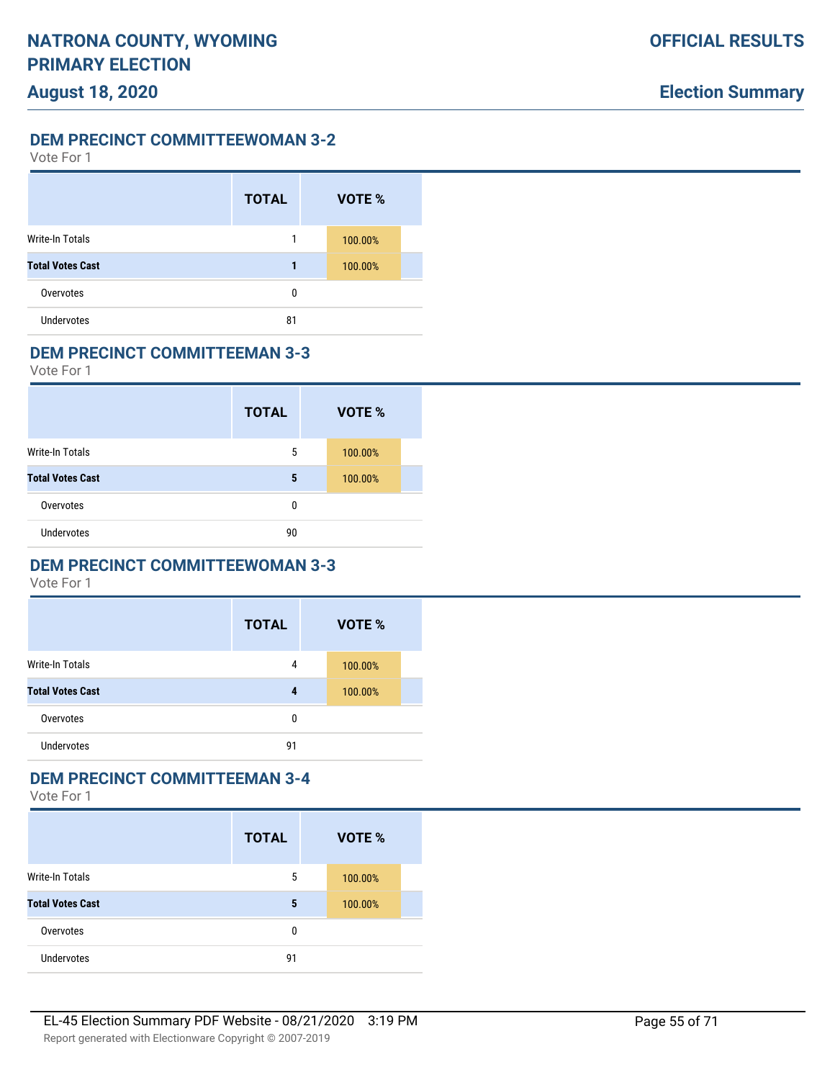Vote For 1

|                         | <b>TOTAL</b> | VOTE %  |  |
|-------------------------|--------------|---------|--|
| Write-In Totals         |              | 100.00% |  |
| <b>Total Votes Cast</b> |              | 100.00% |  |
| Overvotes               | 0            |         |  |
| <b>Undervotes</b>       | 81           |         |  |

#### **DEM PRECINCT COMMITTEEMAN 3-3**

Vote For 1

|                         | <b>TOTAL</b> | VOTE %  |  |
|-------------------------|--------------|---------|--|
| Write-In Totals         | 5            | 100.00% |  |
| <b>Total Votes Cast</b> | 5            | 100.00% |  |
| Overvotes               | 0            |         |  |
| <b>Undervotes</b>       | 90           |         |  |

# **DEM PRECINCT COMMITTEEWOMAN 3-3**

Vote For 1

|                         | <b>TOTAL</b> | VOTE %  |  |
|-------------------------|--------------|---------|--|
| <b>Write-In Totals</b>  | 4            | 100.00% |  |
| <b>Total Votes Cast</b> | 4            | 100.00% |  |
| Overvotes               | 0            |         |  |
| <b>Undervotes</b>       | 91           |         |  |

### **DEM PRECINCT COMMITTEEMAN 3-4**

|                         | <b>TOTAL</b> | VOTE %  |
|-------------------------|--------------|---------|
| Write-In Totals         | 5            | 100.00% |
| <b>Total Votes Cast</b> | 5            | 100.00% |
| Overvotes               | 0            |         |
| <b>Undervotes</b>       | 91           |         |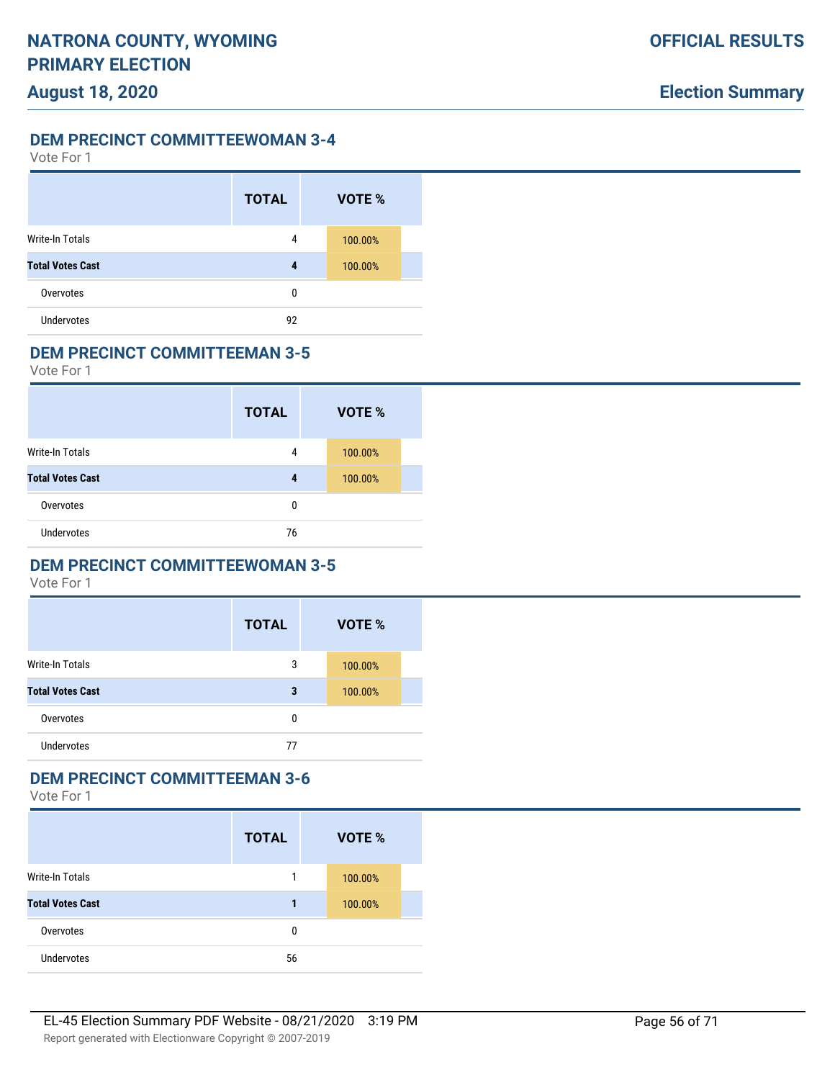Vote For 1

|                         | <b>TOTAL</b> | VOTE %  |  |
|-------------------------|--------------|---------|--|
| Write-In Totals         | 4            | 100.00% |  |
| <b>Total Votes Cast</b> | 4            | 100.00% |  |
| Overvotes               | 0            |         |  |
| <b>Undervotes</b>       | 92           |         |  |

#### **DEM PRECINCT COMMITTEEMAN 3-5**

Vote For 1

|                         | <b>TOTAL</b> | VOTE %  |
|-------------------------|--------------|---------|
| Write-In Totals         | 4            | 100.00% |
| <b>Total Votes Cast</b> | 4            | 100.00% |
| Overvotes               | 0            |         |
| <b>Undervotes</b>       | 76           |         |

# **DEM PRECINCT COMMITTEEWOMAN 3-5**

Vote For 1

|                         | <b>TOTAL</b> | VOTE %  |
|-------------------------|--------------|---------|
| <b>Write-In Totals</b>  | 3            | 100.00% |
| <b>Total Votes Cast</b> | 3            | 100.00% |
| Overvotes               | 0            |         |
| <b>Undervotes</b>       | 77           |         |

### **DEM PRECINCT COMMITTEEMAN 3-6**

|                         | <b>TOTAL</b> | VOTE %  |
|-------------------------|--------------|---------|
| <b>Write-In Totals</b>  |              | 100.00% |
| <b>Total Votes Cast</b> | 1            | 100.00% |
| Overvotes               | 0            |         |
| <b>Undervotes</b>       | 56           |         |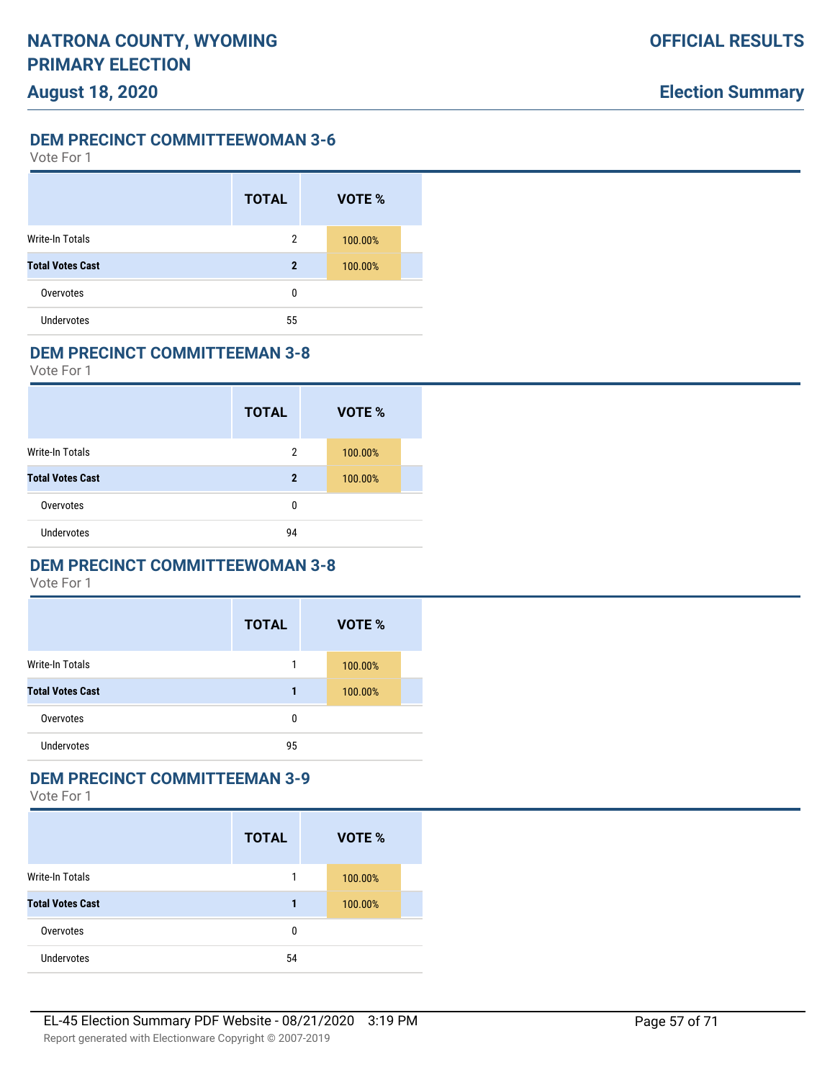Vote For 1

|                         | <b>TOTAL</b> | VOTE %  |  |
|-------------------------|--------------|---------|--|
| Write-In Totals         | 2            | 100.00% |  |
| <b>Total Votes Cast</b> | 2            | 100.00% |  |
| Overvotes               | 0            |         |  |
| <b>Undervotes</b>       | 55           |         |  |

#### **DEM PRECINCT COMMITTEEMAN 3-8**

Vote For 1

|                         | <b>TOTAL</b> | VOTE %  |  |
|-------------------------|--------------|---------|--|
| <b>Write-In Totals</b>  | 2            | 100.00% |  |
| <b>Total Votes Cast</b> | 2            | 100.00% |  |
| Overvotes               | 0            |         |  |
| <b>Undervotes</b>       | 94           |         |  |

# **DEM PRECINCT COMMITTEEWOMAN 3-8**

Vote For 1

|                         | <b>TOTAL</b> | VOTE %  |  |
|-------------------------|--------------|---------|--|
| <b>Write-In Totals</b>  |              | 100.00% |  |
| <b>Total Votes Cast</b> |              | 100.00% |  |
| Overvotes               | 0            |         |  |
| <b>Undervotes</b>       | 95           |         |  |

### **DEM PRECINCT COMMITTEEMAN 3-9**

|                         | <b>TOTAL</b> | VOTE %  |
|-------------------------|--------------|---------|
| <b>Write-In Totals</b>  |              | 100.00% |
| <b>Total Votes Cast</b> | 1            | 100.00% |
| Overvotes               | 0            |         |
| <b>Undervotes</b>       | 54           |         |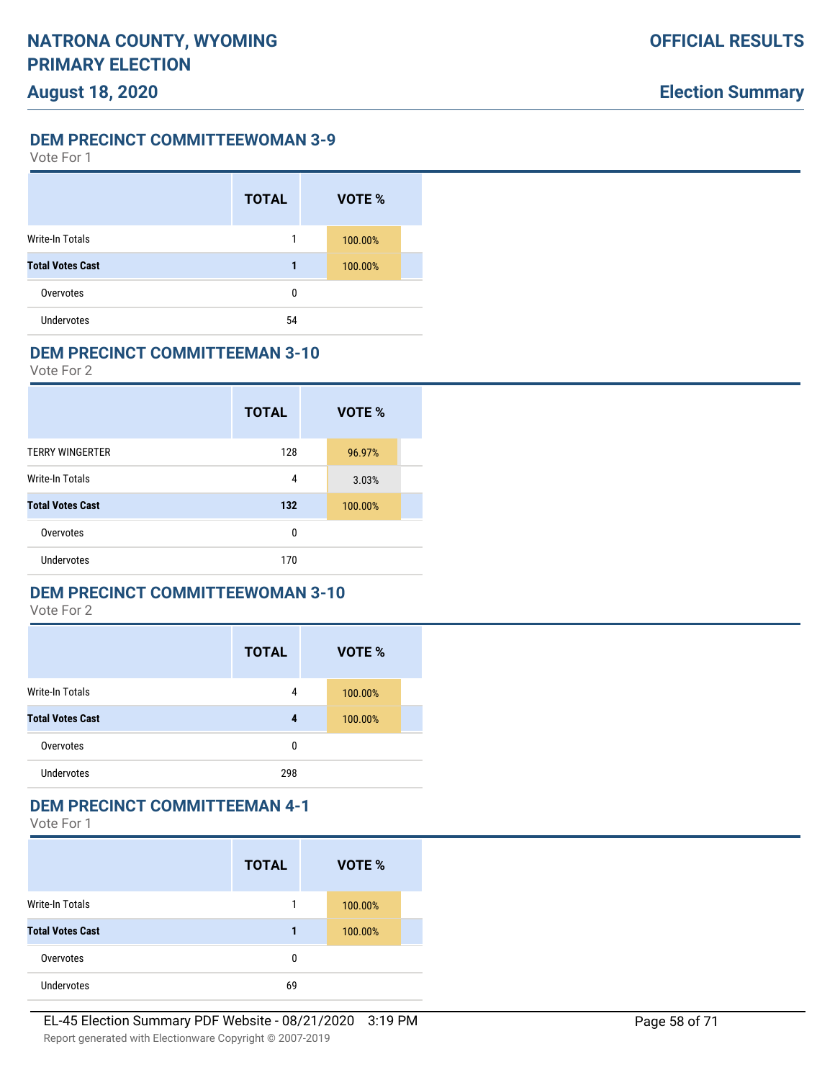Vote For 1

|                         | <b>TOTAL</b> | VOTE %  |  |
|-------------------------|--------------|---------|--|
| Write-In Totals         | 1            | 100.00% |  |
| <b>Total Votes Cast</b> | 1            | 100.00% |  |
| Overvotes               | 0            |         |  |
| <b>Undervotes</b>       | 54           |         |  |

#### **DEM PRECINCT COMMITTEEMAN 3-10**

Vote For 2

|                         | <b>TOTAL</b> | VOTE %  |
|-------------------------|--------------|---------|
| <b>TERRY WINGERTER</b>  | 128          | 96.97%  |
| <b>Write-In Totals</b>  | 4            | 3.03%   |
| <b>Total Votes Cast</b> | 132          | 100.00% |
| Overvotes               | 0            |         |
| <b>Undervotes</b>       | 170          |         |

### **DEM PRECINCT COMMITTEEWOMAN 3-10**

Vote For 2

|                         | <b>TOTAL</b> | VOTE %  |
|-------------------------|--------------|---------|
| <b>Write-In Totals</b>  | 4            | 100.00% |
| <b>Total Votes Cast</b> | 4            | 100.00% |
| Overvotes               | 0            |         |
| <b>Undervotes</b>       | 298          |         |

### **DEM PRECINCT COMMITTEEMAN 4-1**

|                         | <b>TOTAL</b> | VOTE %  |  |
|-------------------------|--------------|---------|--|
| Write-In Totals         | 1            | 100.00% |  |
| <b>Total Votes Cast</b> | 1            | 100.00% |  |
| Overvotes               | 0            |         |  |
| <b>Undervotes</b>       | 69           |         |  |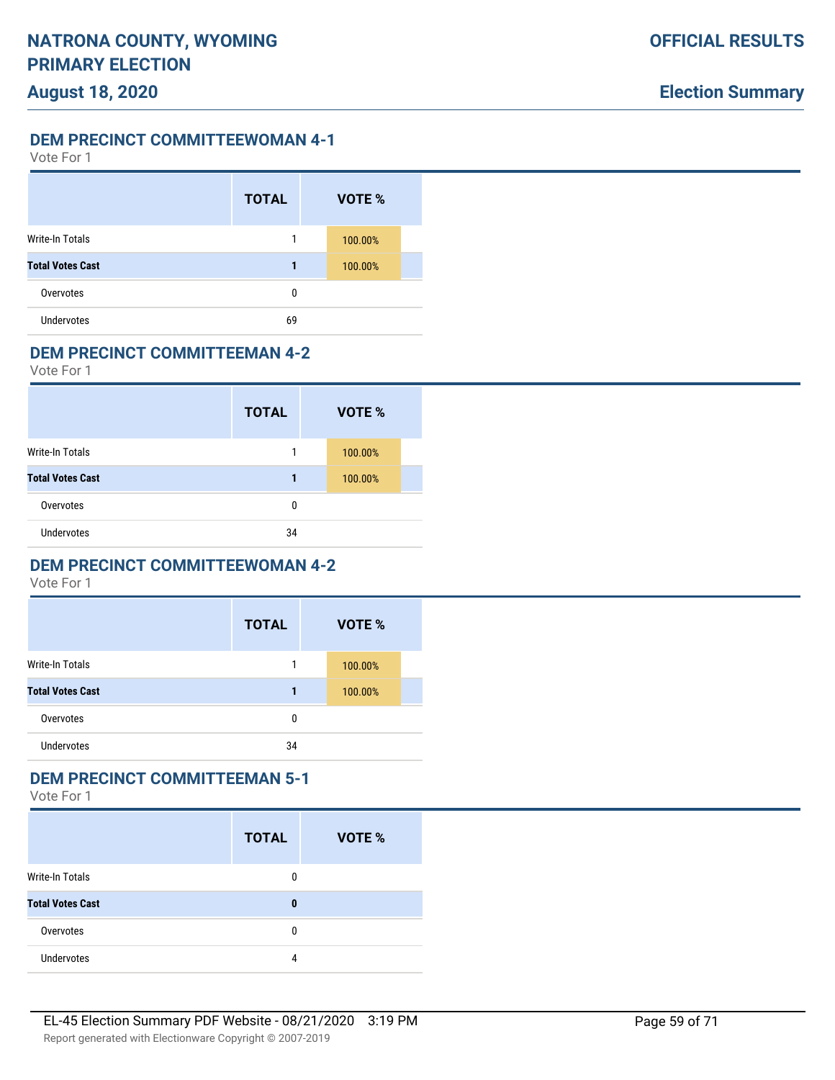Vote For 1

|                         | <b>TOTAL</b> | VOTE %  |  |
|-------------------------|--------------|---------|--|
| Write-In Totals         | 1            | 100.00% |  |
| <b>Total Votes Cast</b> | 1            | 100.00% |  |
| Overvotes               | 0            |         |  |
| <b>Undervotes</b>       | 69           |         |  |

#### **DEM PRECINCT COMMITTEEMAN 4-2**

Vote For 1

|                         | <b>TOTAL</b> | VOTE %  |  |
|-------------------------|--------------|---------|--|
| <b>Write-In Totals</b>  | 1            | 100.00% |  |
| <b>Total Votes Cast</b> | 1            | 100.00% |  |
| Overvotes               | 0            |         |  |
| <b>Undervotes</b>       | 34           |         |  |

### **DEM PRECINCT COMMITTEEWOMAN 4-2**

Vote For 1

|                         | <b>TOTAL</b> | VOTE %  |  |
|-------------------------|--------------|---------|--|
| <b>Write-In Totals</b>  |              | 100.00% |  |
| <b>Total Votes Cast</b> |              | 100.00% |  |
| Overvotes               | 0            |         |  |
| <b>Undervotes</b>       | 34           |         |  |

### **DEM PRECINCT COMMITTEEMAN 5-1**

|                         | <b>TOTAL</b> | <b>VOTE %</b> |
|-------------------------|--------------|---------------|
| <b>Write-In Totals</b>  | 0            |               |
| <b>Total Votes Cast</b> | 0            |               |
| Overvotes               | 0            |               |
| <b>Undervotes</b>       | 4            |               |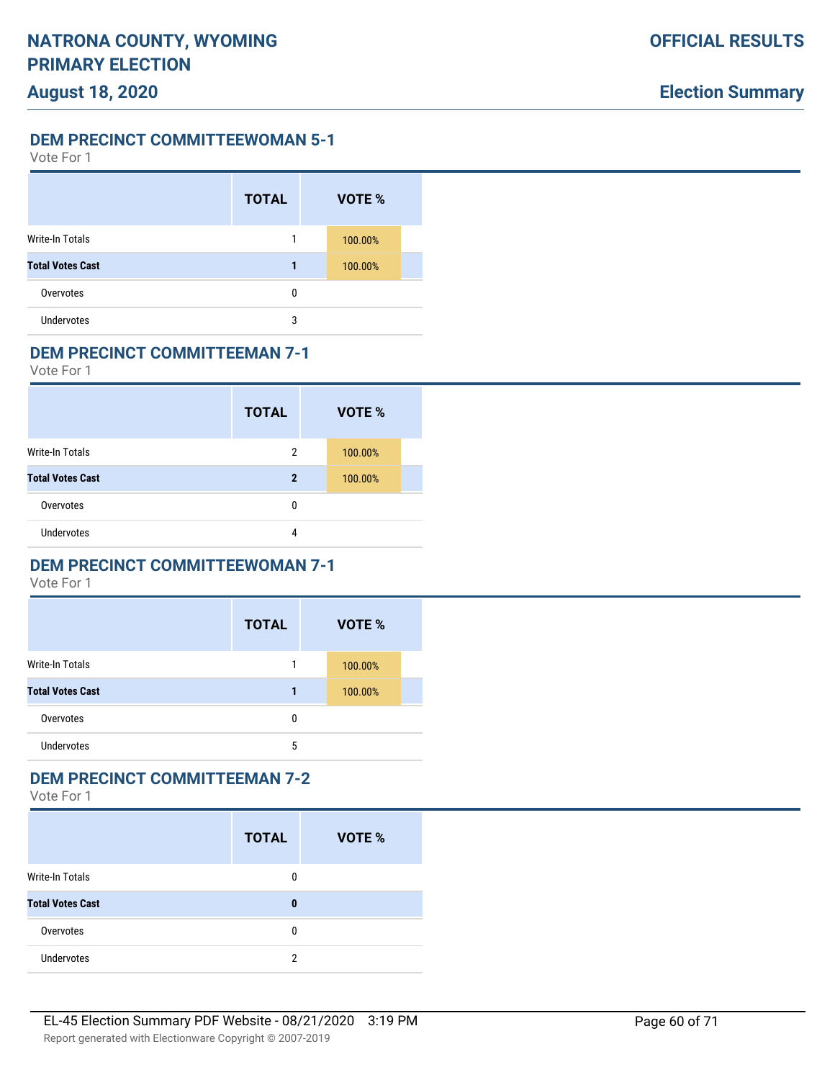Vote For 1

|                         | <b>TOTAL</b> | VOTE %  |  |
|-------------------------|--------------|---------|--|
| Write-In Totals         |              | 100.00% |  |
| <b>Total Votes Cast</b> | 1            | 100.00% |  |
| Overvotes               | 0            |         |  |
| Undervotes              | 3            |         |  |

#### **DEM PRECINCT COMMITTEEMAN 7-1**

Vote For 1

|                         | <b>TOTAL</b> | VOTE %  |  |
|-------------------------|--------------|---------|--|
| <b>Write-In Totals</b>  | 2            | 100.00% |  |
| <b>Total Votes Cast</b> | 2            | 100.00% |  |
| Overvotes               | 0            |         |  |
| <b>Undervotes</b>       | 4            |         |  |

### **DEM PRECINCT COMMITTEEWOMAN 7-1**

Vote For 1

|                         | <b>TOTAL</b> | VOTE %  |
|-------------------------|--------------|---------|
| <b>Write-In Totals</b>  |              | 100.00% |
| <b>Total Votes Cast</b> |              | 100.00% |
| Overvotes               | 0            |         |
| <b>Undervotes</b>       | 5            |         |

### **DEM PRECINCT COMMITTEEMAN 7-2**

|                         | <b>TOTAL</b> | <b>VOTE %</b> |
|-------------------------|--------------|---------------|
| <b>Write-In Totals</b>  | 0            |               |
| <b>Total Votes Cast</b> | 0            |               |
| Overvotes               | 0            |               |
| <b>Undervotes</b>       | 2            |               |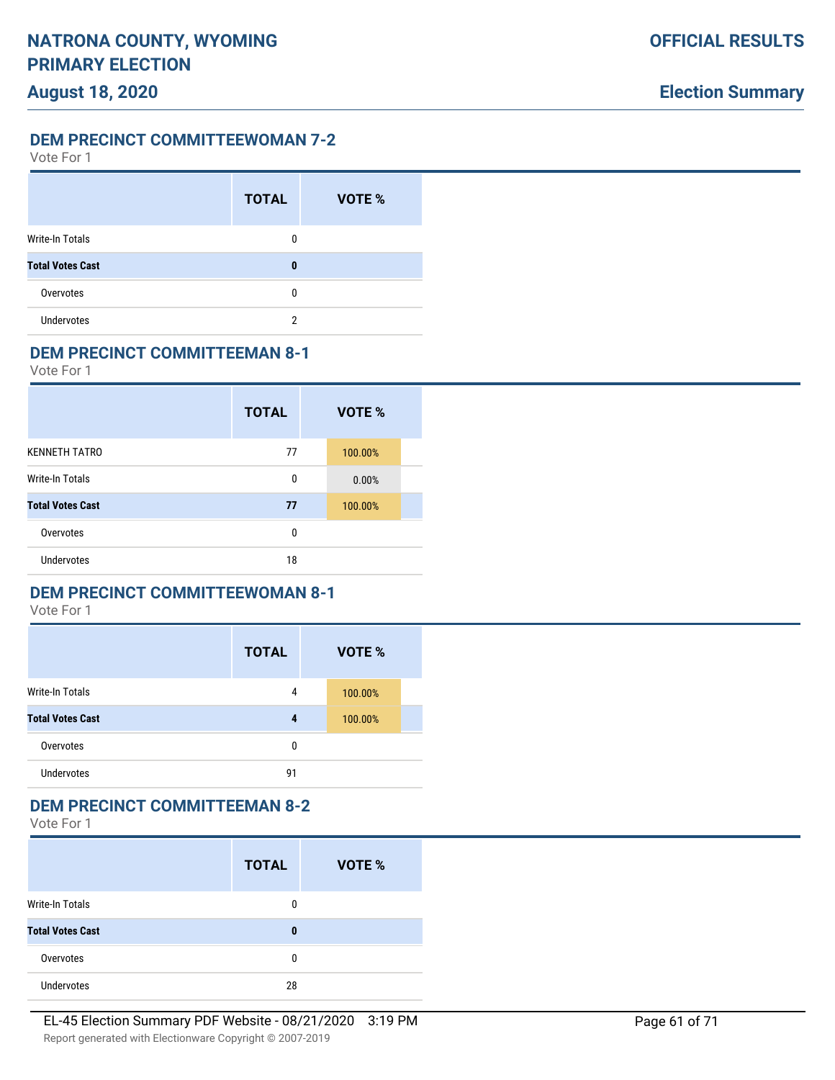Vote For 1

|                         | <b>TOTAL</b> | VOTE % |
|-------------------------|--------------|--------|
| <b>Write-In Totals</b>  | 0            |        |
| <b>Total Votes Cast</b> | 0            |        |
| Overvotes               | 0            |        |
| <b>Undervotes</b>       | 2            |        |

#### **DEM PRECINCT COMMITTEEMAN 8-1**

Vote For 1

|                         | <b>TOTAL</b> | VOTE %  |
|-------------------------|--------------|---------|
| <b>KENNETH TATRO</b>    | 77           | 100.00% |
| <b>Write-In Totals</b>  | 0            | 0.00%   |
| <b>Total Votes Cast</b> | 77           | 100.00% |
| Overvotes               | 0            |         |
| Undervotes              | 18           |         |

### **DEM PRECINCT COMMITTEEWOMAN 8-1**

Vote For 1

|                         | <b>TOTAL</b> | VOTE %  |
|-------------------------|--------------|---------|
| <b>Write-In Totals</b>  | 4            | 100.00% |
| <b>Total Votes Cast</b> | 4            | 100.00% |
| Overvotes               | 0            |         |
| <b>Undervotes</b>       | 91           |         |

### **DEM PRECINCT COMMITTEEMAN 8-2**

|                         | <b>TOTAL</b> | VOTE % |
|-------------------------|--------------|--------|
| <b>Write-In Totals</b>  | 0            |        |
| <b>Total Votes Cast</b> | $\bf{0}$     |        |
| Overvotes               | 0            |        |
| Undervotes              | 28           |        |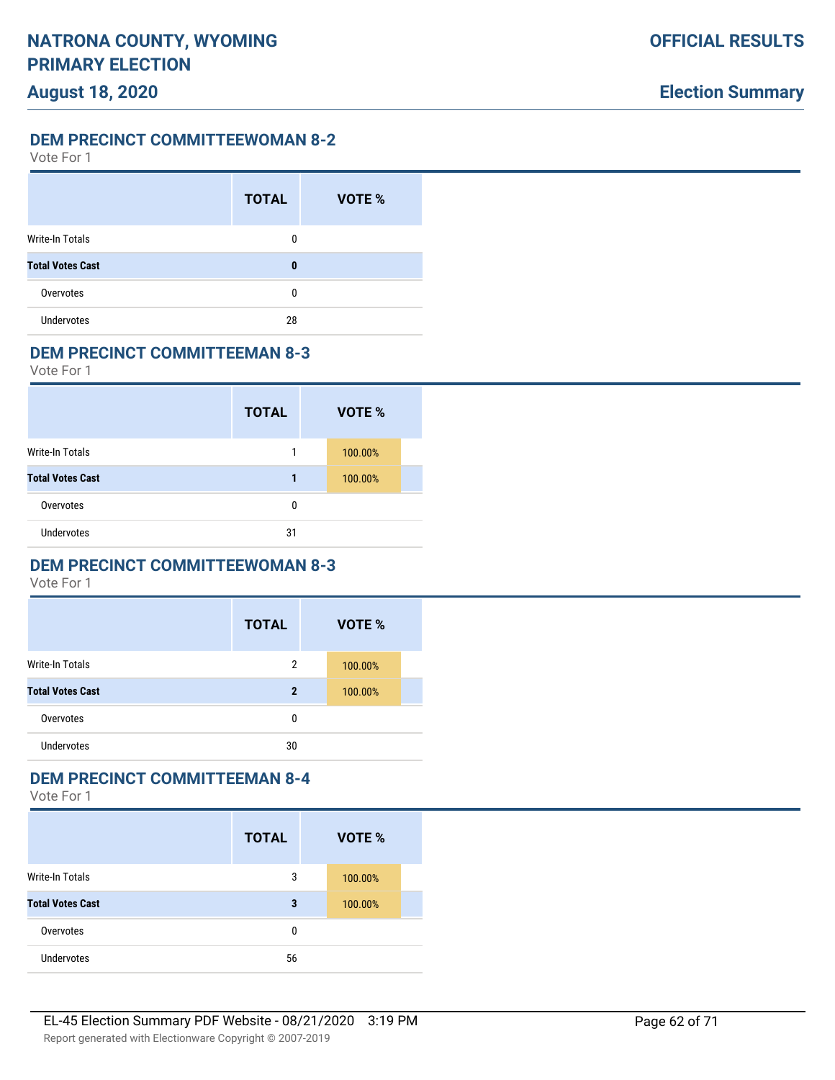Vote For 1

|                         | <b>TOTAL</b> | VOTE % |
|-------------------------|--------------|--------|
| <b>Write-In Totals</b>  | 0            |        |
| <b>Total Votes Cast</b> | 0            |        |
| Overvotes               | 0            |        |
| <b>Undervotes</b>       | 28           |        |

#### **DEM PRECINCT COMMITTEEMAN 8-3**

Vote For 1

|                         | <b>TOTAL</b> | VOTE %  |  |
|-------------------------|--------------|---------|--|
| Write-In Totals         |              | 100.00% |  |
| <b>Total Votes Cast</b> | 1            | 100.00% |  |
| Overvotes               | 0            |         |  |
| <b>Undervotes</b>       | 31           |         |  |

# **DEM PRECINCT COMMITTEEWOMAN 8-3**

Vote For 1

|                         | <b>TOTAL</b> | VOTE %  |  |
|-------------------------|--------------|---------|--|
| <b>Write-In Totals</b>  | 2            | 100.00% |  |
| <b>Total Votes Cast</b> | $\mathbf 2$  | 100.00% |  |
| Overvotes               | 0            |         |  |
| <b>Undervotes</b>       | 30           |         |  |

# **DEM PRECINCT COMMITTEEMAN 8-4**

|                         | <b>TOTAL</b> | VOTE %  |
|-------------------------|--------------|---------|
| Write-In Totals         | 3            | 100.00% |
| <b>Total Votes Cast</b> | 3            | 100.00% |
| Overvotes               | 0            |         |
| <b>Undervotes</b>       | 56           |         |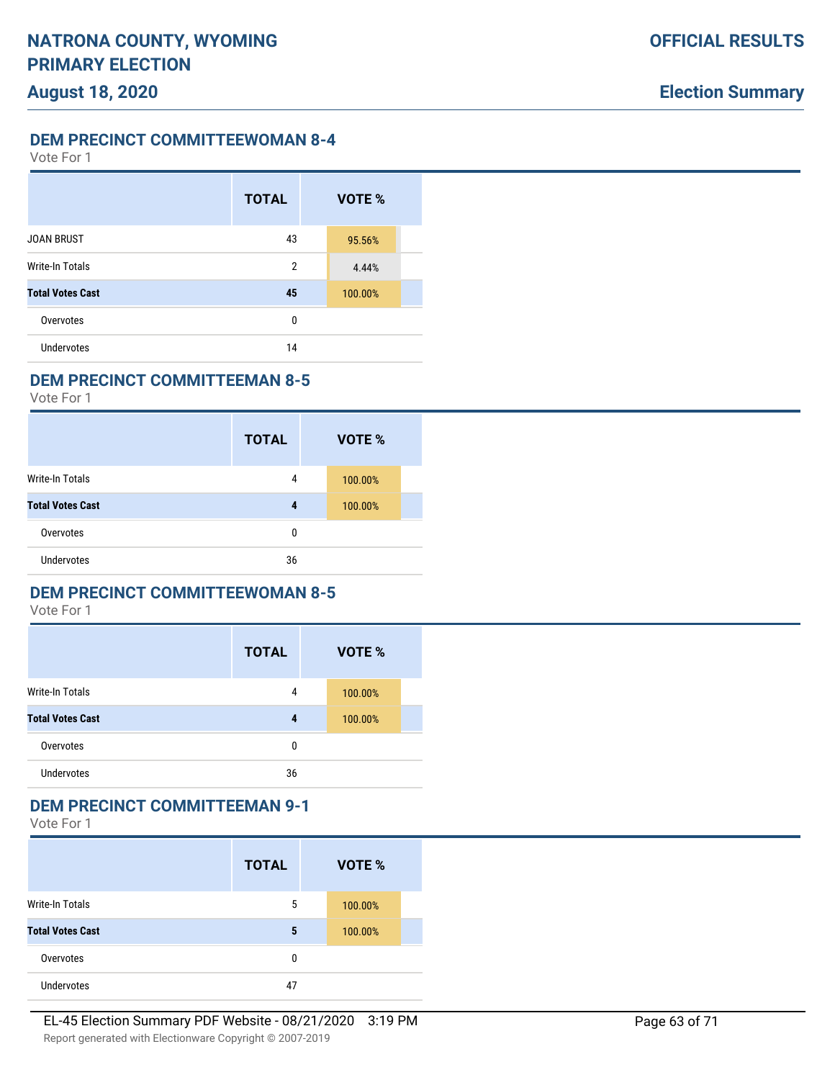Vote For 1

|                         | <b>TOTAL</b>   | VOTE %  |  |
|-------------------------|----------------|---------|--|
| <b>JOAN BRUST</b>       | 43             | 95.56%  |  |
| <b>Write-In Totals</b>  | $\overline{2}$ | 4.44%   |  |
| <b>Total Votes Cast</b> | 45             | 100.00% |  |
| Overvotes               | 0              |         |  |
| Undervotes              | 14             |         |  |

### **DEM PRECINCT COMMITTEEMAN 8-5**

Vote For 1

|                         | <b>TOTAL</b> | <b>VOTE %</b> |  |
|-------------------------|--------------|---------------|--|
| Write-In Totals         | 4            | 100.00%       |  |
| <b>Total Votes Cast</b> | 4            | 100.00%       |  |
| Overvotes               | 0            |               |  |
| <b>Undervotes</b>       | 36           |               |  |

### **DEM PRECINCT COMMITTEEWOMAN 8-5**

Vote For 1

|                         | <b>TOTAL</b> | <b>VOTE %</b> |
|-------------------------|--------------|---------------|
| <b>Write-In Totals</b>  | 4            | 100.00%       |
| <b>Total Votes Cast</b> | 4            | 100.00%       |
| Overvotes               | 0            |               |
| <b>Undervotes</b>       | 36           |               |

### **DEM PRECINCT COMMITTEEMAN 9-1**

|                         | <b>TOTAL</b> | VOTE %  |  |
|-------------------------|--------------|---------|--|
| <b>Write-In Totals</b>  | 5            | 100.00% |  |
| <b>Total Votes Cast</b> | 5            | 100.00% |  |
| Overvotes               | 0            |         |  |
| <b>Undervotes</b>       | 47           |         |  |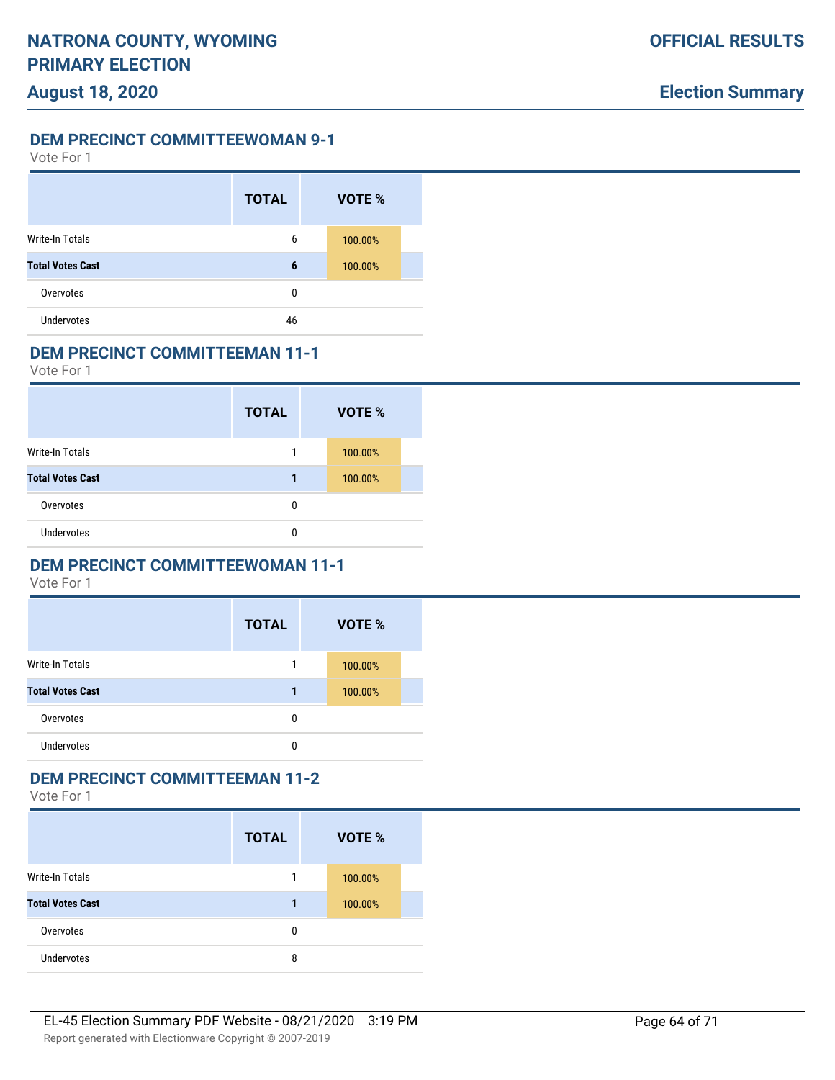Vote For 1

|                         | <b>TOTAL</b> | <b>VOTE %</b> |
|-------------------------|--------------|---------------|
| Write-In Totals         | 6            | 100.00%       |
| <b>Total Votes Cast</b> | 6            | 100.00%       |
| Overvotes               | 0            |               |
| <b>Undervotes</b>       | 46           |               |

#### **DEM PRECINCT COMMITTEEMAN 11-1**

Vote For 1

|                         | <b>TOTAL</b> | VOTE %  |
|-------------------------|--------------|---------|
| <b>Write-In Totals</b>  |              | 100.00% |
| <b>Total Votes Cast</b> | 1            | 100.00% |
| Overvotes               | 0            |         |
| <b>Undervotes</b>       | 0            |         |

## **DEM PRECINCT COMMITTEEWOMAN 11-1**

Vote For 1

|                         | <b>TOTAL</b> | VOTE %  |
|-------------------------|--------------|---------|
| <b>Write-In Totals</b>  |              | 100.00% |
| <b>Total Votes Cast</b> |              | 100.00% |
| Overvotes               | 0            |         |
| <b>Undervotes</b>       | 0            |         |

### **DEM PRECINCT COMMITTEEMAN 11-2**

|                         | <b>TOTAL</b> | VOTE %  |
|-------------------------|--------------|---------|
| Write-In Totals         |              | 100.00% |
| <b>Total Votes Cast</b> | 1            | 100.00% |
| Overvotes               | 0            |         |
| <b>Undervotes</b>       | 8            |         |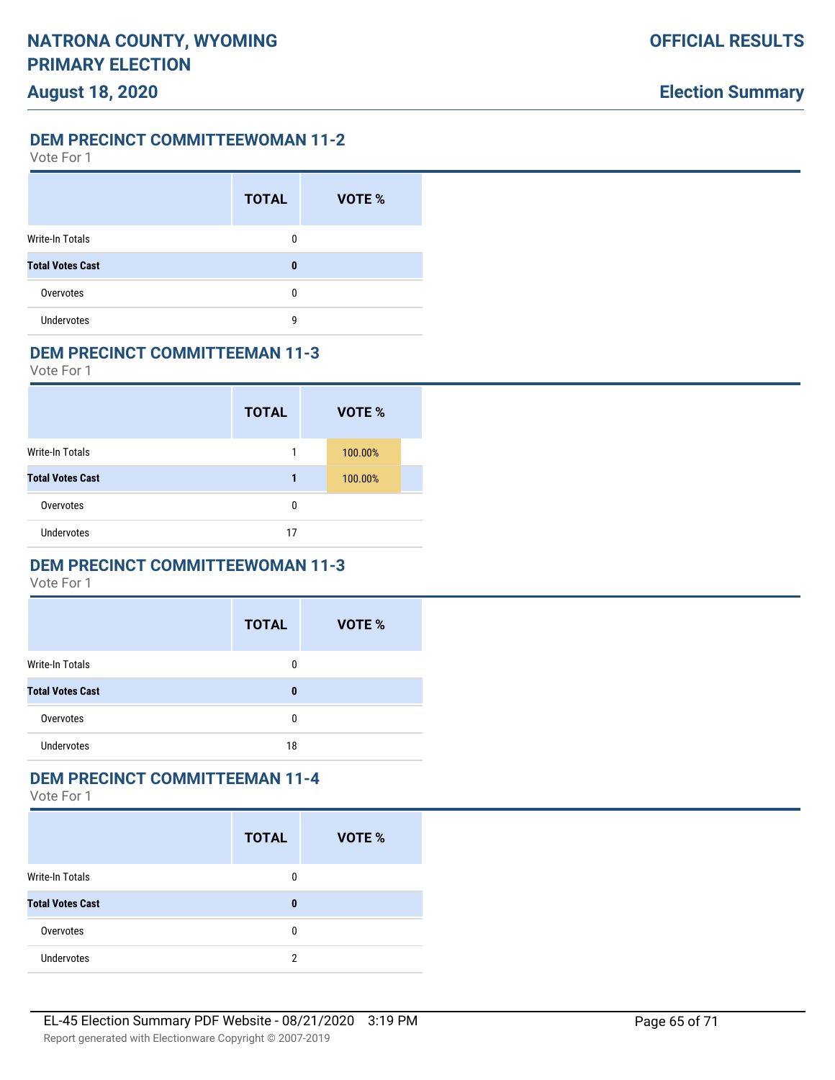Vote For 1

|                         | <b>TOTAL</b> | <b>VOTE %</b> |
|-------------------------|--------------|---------------|
| Write-In Totals         | 0            |               |
| <b>Total Votes Cast</b> | 0            |               |
| Overvotes               | 0            |               |
| <b>Undervotes</b>       | g            |               |

#### **DEM PRECINCT COMMITTEEMAN 11-3**

Vote For 1

|                         | <b>TOTAL</b> | VOTE %  |
|-------------------------|--------------|---------|
| Write-In Totals         |              | 100.00% |
| <b>Total Votes Cast</b> | 1            | 100.00% |
| Overvotes               | 0            |         |
| <b>Undervotes</b>       | 17           |         |

## **DEM PRECINCT COMMITTEEWOMAN 11-3**

Vote For 1

|                         | <b>TOTAL</b> | VOTE % |
|-------------------------|--------------|--------|
| <b>Write-In Totals</b>  | 0            |        |
| <b>Total Votes Cast</b> | $\bf{0}$     |        |
| Overvotes               | 0            |        |
| <b>Undervotes</b>       | 18           |        |
|                         |              |        |

### **DEM PRECINCT COMMITTEEMAN 11-4**

|                         | <b>TOTAL</b> | <b>VOTE %</b> |
|-------------------------|--------------|---------------|
| <b>Write-In Totals</b>  | 0            |               |
| <b>Total Votes Cast</b> | 0            |               |
| Overvotes               | 0            |               |
| Undervotes              | 2            |               |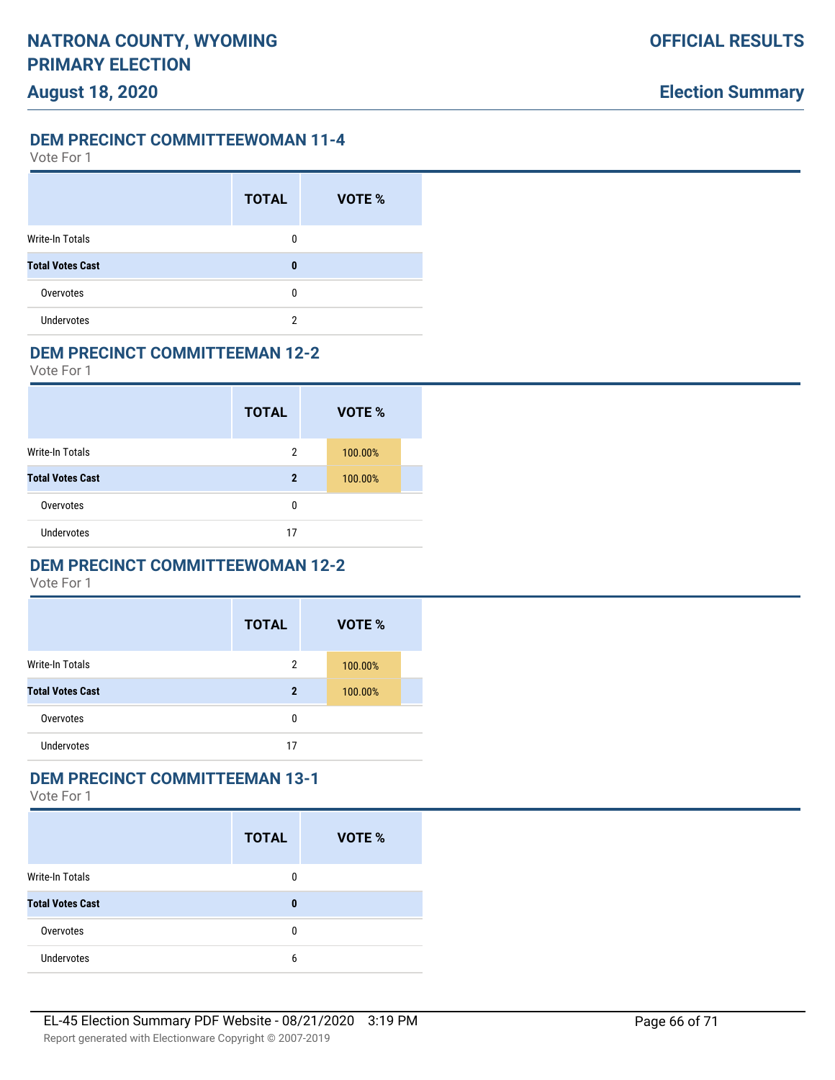### **DEM PRECINCT COMMITTEEWOMAN 11-4**

Vote For 1

|                         | <b>TOTAL</b> | VOTE % |
|-------------------------|--------------|--------|
| <b>Write-In Totals</b>  | 0            |        |
| <b>Total Votes Cast</b> | 0            |        |
| Overvotes               | 0            |        |
| <b>Undervotes</b>       | 2            |        |

#### **DEM PRECINCT COMMITTEEMAN 12-2**

Vote For 1

|                         | <b>TOTAL</b> | VOTE %  |
|-------------------------|--------------|---------|
| <b>Write-In Totals</b>  | 2            | 100.00% |
| <b>Total Votes Cast</b> | $\mathbf 2$  | 100.00% |
| Overvotes               | 0            |         |
| <b>Undervotes</b>       | 17           |         |

# **DEM PRECINCT COMMITTEEWOMAN 12-2**

Vote For 1

|                         | <b>TOTAL</b> | VOTE %  |
|-------------------------|--------------|---------|
| Write-In Totals         | 2            | 100.00% |
| <b>Total Votes Cast</b> | $\mathbf 2$  | 100.00% |
| Overvotes               | 0            |         |
| <b>Undervotes</b>       | 17           |         |

### **DEM PRECINCT COMMITTEEMAN 13-1**

|                         | <b>TOTAL</b> | <b>VOTE %</b> |
|-------------------------|--------------|---------------|
| <b>Write-In Totals</b>  | 0            |               |
| <b>Total Votes Cast</b> | 0            |               |
| Overvotes               | 0            |               |
| <b>Undervotes</b>       | 6            |               |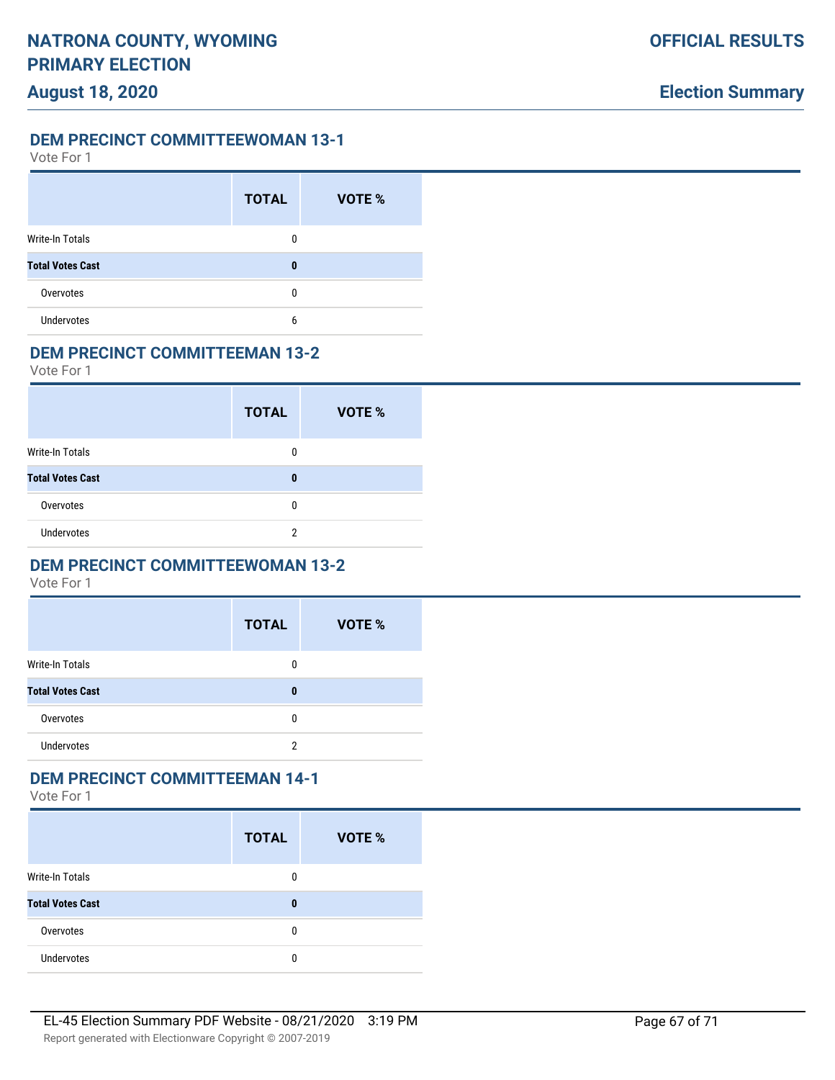Vote For 1

|                         | <b>TOTAL</b> | VOTE % |
|-------------------------|--------------|--------|
| Write-In Totals         | 0            |        |
| <b>Total Votes Cast</b> | 0            |        |
| Overvotes               | 0            |        |
| <b>Undervotes</b>       | 6            |        |

#### **DEM PRECINCT COMMITTEEMAN 13-2**

Vote For 1

|                         | <b>TOTAL</b> | VOTE % |
|-------------------------|--------------|--------|
| <b>Write-In Totals</b>  | 0            |        |
| <b>Total Votes Cast</b> | 0            |        |
| Overvotes               | 0            |        |
| <b>Undervotes</b>       | 2            |        |

### **DEM PRECINCT COMMITTEEWOMAN 13-2**

Vote For 1

| <b>TOTAL</b> | <b>VOTE %</b> |
|--------------|---------------|
| 0            |               |
| 0            |               |
| 0            |               |
| 2            |               |
|              |               |

### **DEM PRECINCT COMMITTEEMAN 14-1**

|                         | <b>TOTAL</b> | <b>VOTE %</b> |
|-------------------------|--------------|---------------|
| Write-In Totals         | 0            |               |
| <b>Total Votes Cast</b> | 0            |               |
| Overvotes               | 0            |               |
| <b>Undervotes</b>       | 0            |               |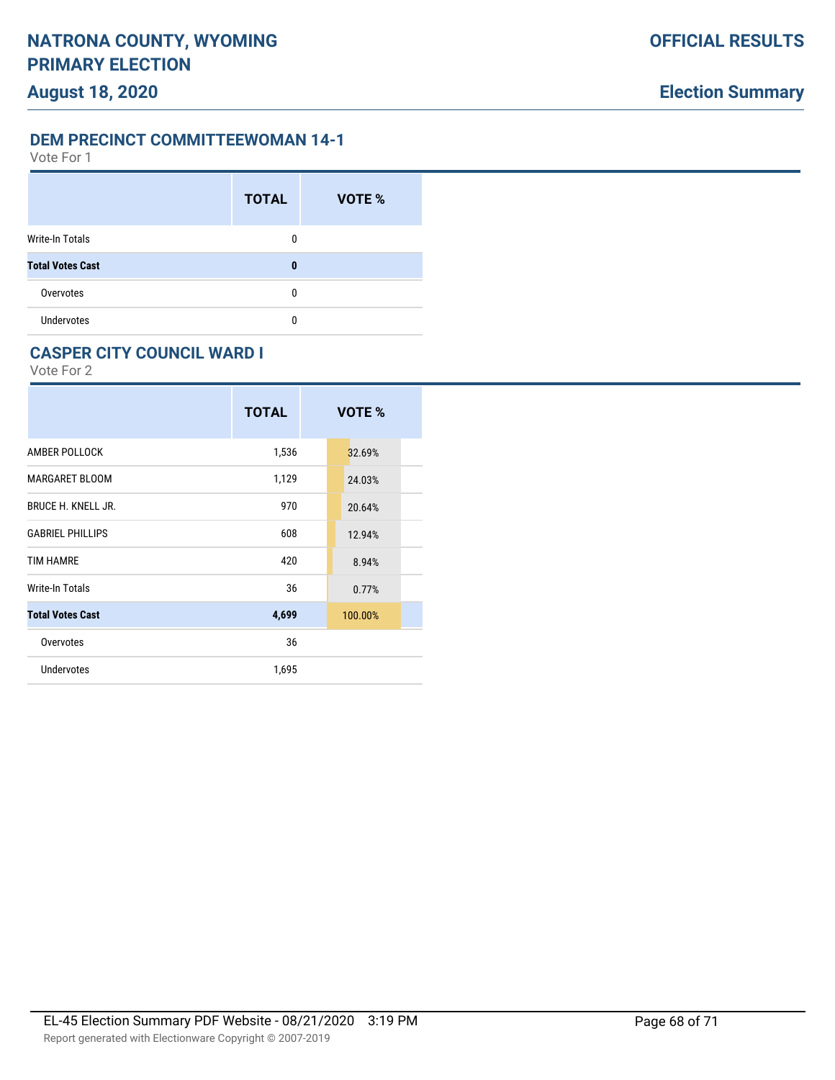Vote For 1

|                         | <b>TOTAL</b> | <b>VOTE %</b> |
|-------------------------|--------------|---------------|
| <b>Write-In Totals</b>  | $\Omega$     |               |
| <b>Total Votes Cast</b> | 0            |               |
| Overvotes               | 0            |               |
| <b>Undervotes</b>       | 0            |               |

#### **CASPER CITY COUNCIL WARD I**

|                           | <b>TOTAL</b> | VOTE %  |
|---------------------------|--------------|---------|
| AMBER POLLOCK             | 1,536        | 32.69%  |
| MARGARET BLOOM            | 1,129        | 24.03%  |
| <b>BRUCE H. KNELL JR.</b> | 970          | 20.64%  |
| <b>GABRIEL PHILLIPS</b>   | 608          | 12.94%  |
| <b>TIM HAMRE</b>          | 420          | 8.94%   |
| Write-In Totals           | 36           | 0.77%   |
| <b>Total Votes Cast</b>   | 4,699        | 100.00% |
| Overvotes                 | 36           |         |
| <b>Undervotes</b>         | 1,695        |         |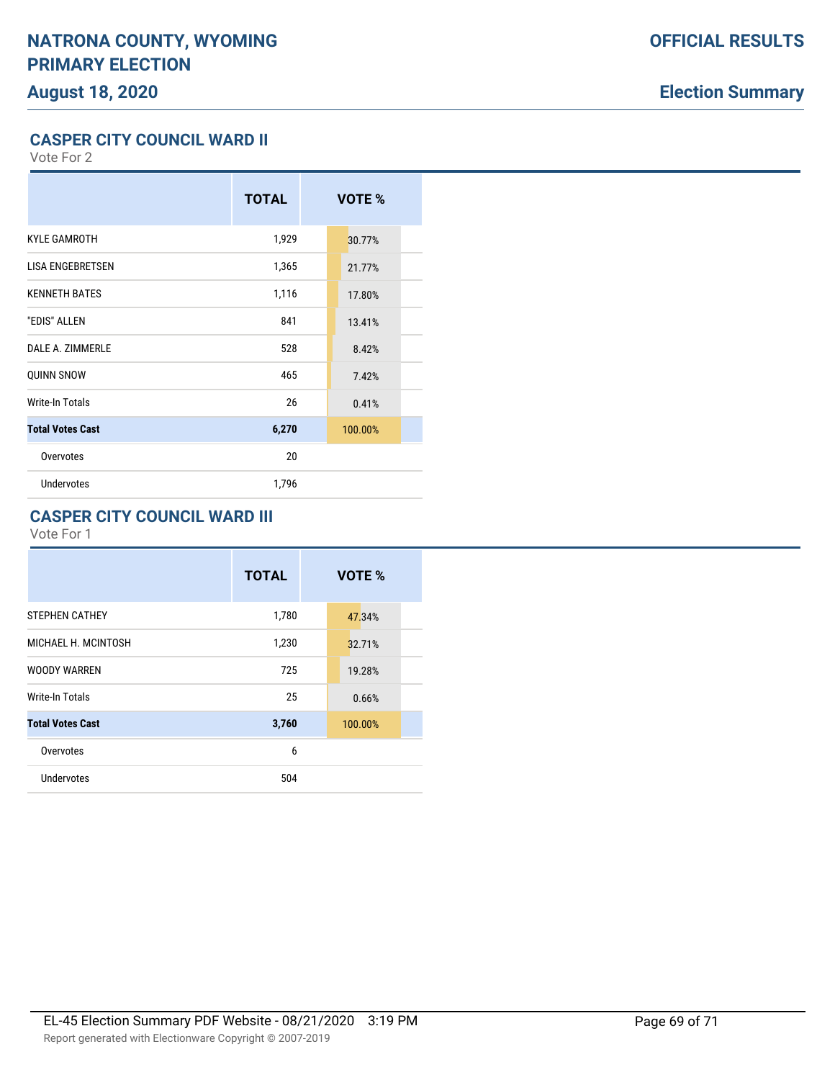# **Election Summary**

**CASPER CITY COUNCIL WARD II**

Vote For 2

|                         | <b>TOTAL</b> | VOTE %  |  |
|-------------------------|--------------|---------|--|
| <b>KYLE GAMROTH</b>     | 1,929        | 30.77%  |  |
| <b>LISA ENGEBRETSEN</b> | 1,365        | 21.77%  |  |
| <b>KENNETH BATES</b>    | 1,116        | 17.80%  |  |
| "EDIS" ALLEN            | 841          | 13.41%  |  |
| DALE A. ZIMMERLE        | 528          | 8.42%   |  |
| <b>QUINN SNOW</b>       | 465          | 7.42%   |  |
| Write-In Totals         | 26           | 0.41%   |  |
| <b>Total Votes Cast</b> | 6,270        | 100.00% |  |
| Overvotes               | 20           |         |  |
| <b>Undervotes</b>       | 1,796        |         |  |

### **CASPER CITY COUNCIL WARD III**

|                         | <b>TOTAL</b> | VOTE %  |
|-------------------------|--------------|---------|
| <b>STEPHEN CATHEY</b>   | 1,780        | 47.34%  |
| MICHAEL H. MCINTOSH     | 1,230        | 32.71%  |
| <b>WOODY WARREN</b>     | 725          | 19.28%  |
| <b>Write-In Totals</b>  | 25           | 0.66%   |
| <b>Total Votes Cast</b> | 3,760        | 100.00% |
| Overvotes               | 6            |         |
| <b>Undervotes</b>       | 504          |         |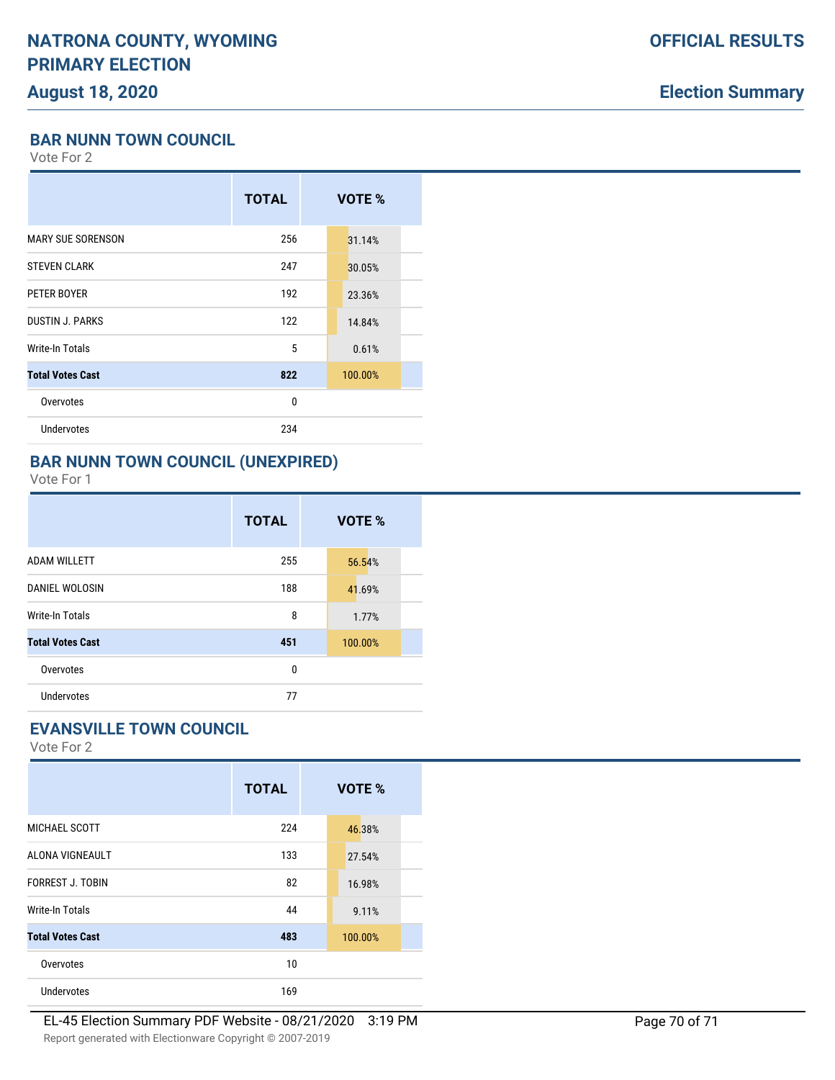# **Election Summary**

**BAR NUNN TOWN COUNCIL**

Vote For 2

|                          | <b>TOTAL</b> | VOTE %  |  |
|--------------------------|--------------|---------|--|
| <b>MARY SUE SORENSON</b> | 256          | 31.14%  |  |
| <b>STEVEN CLARK</b>      | 247          | 30.05%  |  |
| PETER BOYER              | 192          | 23.36%  |  |
| <b>DUSTIN J. PARKS</b>   | 122          | 14.84%  |  |
| Write-In Totals          | 5            | 0.61%   |  |
| <b>Total Votes Cast</b>  | 822          | 100.00% |  |
| Overvotes                | 0            |         |  |
| Undervotes               | 234          |         |  |
|                          |              |         |  |

### **BAR NUNN TOWN COUNCIL (UNEXPIRED)**

Vote For 1

|                         | <b>TOTAL</b> | VOTE %  |
|-------------------------|--------------|---------|
| <b>ADAM WILLETT</b>     | 255          | 56.54%  |
| <b>DANIEL WOLOSIN</b>   | 188          | 41.69%  |
| Write-In Totals         | 8            | 1.77%   |
| <b>Total Votes Cast</b> | 451          | 100.00% |
| Overvotes               | 0            |         |
| <b>Undervotes</b>       | 77           |         |

## **EVANSVILLE TOWN COUNCIL**

|                         | <b>TOTAL</b> | VOTE %  |
|-------------------------|--------------|---------|
| MICHAEL SCOTT           | 224          | 46.38%  |
| ALONA VIGNEAULT         | 133          | 27.54%  |
| <b>FORREST J. TOBIN</b> | 82           | 16.98%  |
| Write-In Totals         | 44           | 9.11%   |
| <b>Total Votes Cast</b> | 483          | 100.00% |
| Overvotes               | 10           |         |
| <b>Undervotes</b>       | 169          |         |